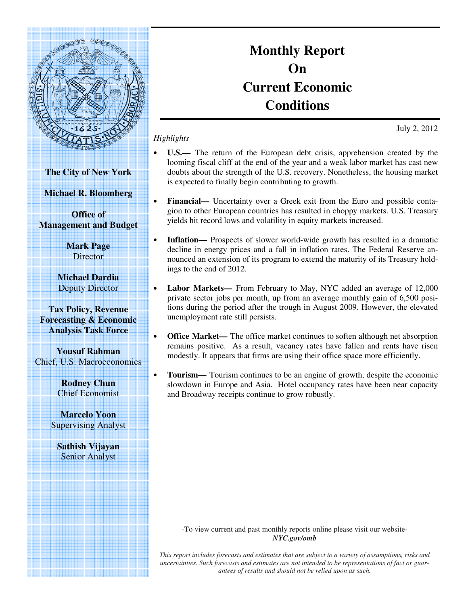

**Monthly Report On Current Economic Conditions**

July 2, 2012

- **U.S.—** The return of the European debt crisis, apprehension created by the looming fiscal cliff at the end of the year and a weak labor market has cast new doubts about the strength of the U.S. recovery. Nonetheless, the housing market is expected to finally begin contributing to growth.
	- **Financial—** Uncertainty over a Greek exit from the Euro and possible contagion to other European countries has resulted in choppy markets. U.S. Treasury yields hit record lows and volatility in equity markets increased.
- **Inflation** Prospects of slower world-wide growth has resulted in a dramatic decline in energy prices and a fall in inflation rates. The Federal Reserve announced an extension of its program to extend the maturity of its Treasury holdings to the end of 2012.
- **Labor Markets—** From February to May, NYC added an average of 12,000 private sector jobs per month, up from an average monthly gain of 6,500 positions during the period after the trough in August 2009. However, the elevated unemployment rate still persists.
- **Office Market—** The office market continues to soften although net absorption remains positive. As a result, vacancy rates have fallen and rents have risen modestly. It appears that firms are using their office space more efficiently.
- **Tourism—** Tourism continues to be an engine of growth, despite the economic slowdown in Europe and Asia. Hotel occupancy rates have been near capacity and Broadway receipts continue to grow robustly.

-To view current and past monthly reports online please visit our website-*NYC.gov/omb* 

*This report includes forecasts and estimates that are subject to a variety of assumptions, risks and uncertainties. Such forecasts and estimates are not intended to be representations of fact or guarantees of results and should not be relied upon as such.*

**The City of New York** 

*Highlights* 

**Michael R. Bloomberg** 

**Office of Management and Budget** 

> **Mark Page Director**

**Michael Dardia**  Deputy Director

**Tax Policy, Revenue Forecasting & Economic Analysis Task Force** 

**Yousuf Rahman**  Chief, U.S. Macroeconomics

> **Rodney Chun**  Chief Economist

**Marcelo Yoon**  Supervising Analyst

**Sathish Vijayan**  Senior Analyst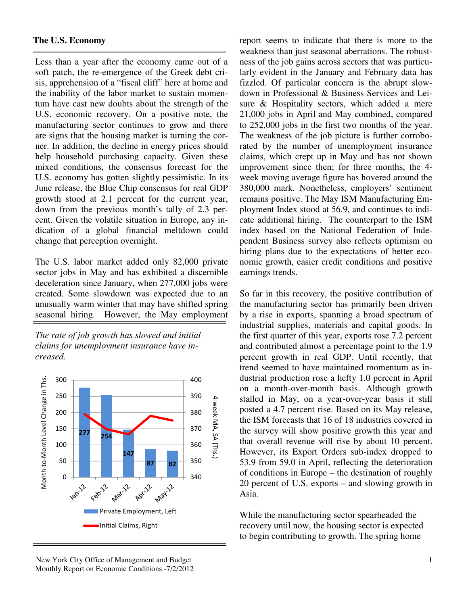Less than a year after the economy came out of a soft patch, the re-emergence of the Greek debt crisis, apprehension of a "fiscal cliff" here at home and the inability of the labor market to sustain momentum have cast new doubts about the strength of the U.S. economic recovery. On a positive note, the manufacturing sector continues to grow and there are signs that the housing market is turning the corner. In addition, the decline in energy prices should help household purchasing capacity. Given these mixed conditions, the consensus forecast for the U.S. economy has gotten slightly pessimistic. In its June release, the Blue Chip consensus for real GDP growth stood at 2.1 percent for the current year, down from the previous month's tally of 2.3 percent. Given the volatile situation in Europe, any indication of a global financial meltdown could change that perception overnight.

The U.S. labor market added only 82,000 private sector jobs in May and has exhibited a discernible deceleration since January, when 277,000 jobs were created. Some slowdown was expected due to an unusually warm winter that may have shifted spring seasonal hiring. However, the May employment

*The rate of job growth has slowed and initial claims for unemployment insurance have increased.* 



report seems to indicate that there is more to the weakness than just seasonal aberrations. The robustness of the job gains across sectors that was particularly evident in the January and February data has fizzled. Of particular concern is the abrupt slowdown in Professional & Business Services and Leisure & Hospitality sectors, which added a mere 21,000 jobs in April and May combined, compared to 252,000 jobs in the first two months of the year. The weakness of the job picture is further corroborated by the number of unemployment insurance claims, which crept up in May and has not shown improvement since then; for three months, the 4 week moving average figure has hovered around the 380,000 mark. Nonetheless, employers' sentiment remains positive. The May ISM Manufacturing Employment Index stood at 56.9, and continues to indicate additional hiring. The counterpart to the ISM index based on the National Federation of Independent Business survey also reflects optimism on hiring plans due to the expectations of better economic growth, easier credit conditions and positive earnings trends.

So far in this recovery, the positive contribution of the manufacturing sector has primarily been driven by a rise in exports, spanning a broad spectrum of industrial supplies, materials and capital goods. In the first quarter of this year, exports rose 7.2 percent and contributed almost a percentage point to the 1.9 percent growth in real GDP. Until recently, that trend seemed to have maintained momentum as industrial production rose a hefty 1.0 percent in April on a month-over-month basis. Although growth stalled in May, on a year-over-year basis it still posted a 4.7 percent rise. Based on its May release, the ISM forecasts that 16 of 18 industries covered in the survey will show positive growth this year and that overall revenue will rise by about 10 percent. However, its Export Orders sub-index dropped to 53.9 from 59.0 in April, reflecting the deterioration of conditions in Europe – the destination of roughly 20 percent of U.S. exports – and slowing growth in Asia.

While the manufacturing sector spearheaded the recovery until now, the housing sector is expected to begin contributing to growth. The spring home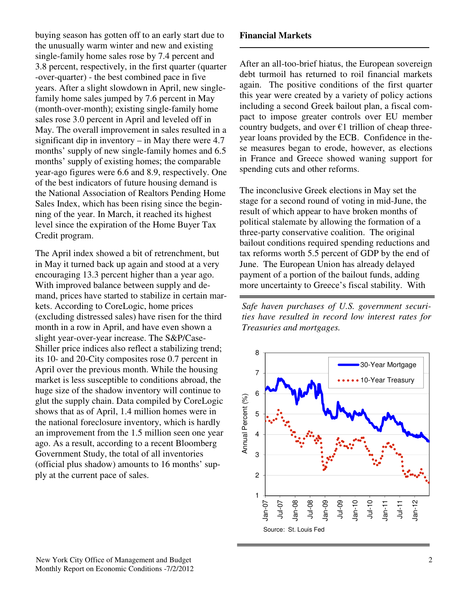buying season has gotten off to an early start due to the unusually warm winter and new and existing single-family home sales rose by 7.4 percent and 3.8 percent, respectively, in the first quarter (quarter -over-quarter) - the best combined pace in five years. After a slight slowdown in April, new singlefamily home sales jumped by 7.6 percent in May (month-over-month); existing single-family home sales rose 3.0 percent in April and leveled off in May. The overall improvement in sales resulted in a significant dip in inventory – in May there were  $4.7$ months' supply of new single-family homes and 6.5 months' supply of existing homes; the comparable year-ago figures were 6.6 and 8.9, respectively. One of the best indicators of future housing demand is the National Association of Realtors Pending Home Sales Index, which has been rising since the beginning of the year. In March, it reached its highest level since the expiration of the Home Buyer Tax Credit program.

The April index showed a bit of retrenchment, but in May it turned back up again and stood at a very encouraging 13.3 percent higher than a year ago. With improved balance between supply and demand, prices have started to stabilize in certain markets. According to CoreLogic, home prices (excluding distressed sales) have risen for the third month in a row in April, and have even shown a slight year-over-year increase. The S&P/Case-Shiller price indices also reflect a stabilizing trend; its 10- and 20-City composites rose 0.7 percent in April over the previous month. While the housing market is less susceptible to conditions abroad, the huge size of the shadow inventory will continue to glut the supply chain. Data compiled by CoreLogic shows that as of April, 1.4 million homes were in the national foreclosure inventory, which is hardly an improvement from the 1.5 million seen one year ago. As a result, according to a recent Bloomberg Government Study, the total of all inventories (official plus shadow) amounts to 16 months' supply at the current pace of sales.

### **Financial Markets**

After an all-too-brief hiatus, the European sovereign debt turmoil has returned to roil financial markets again. The positive conditions of the first quarter this year were created by a variety of policy actions including a second Greek bailout plan, a fiscal compact to impose greater controls over EU member country budgets, and over  $\epsilon$ 1 trillion of cheap threeyear loans provided by the ECB. Confidence in these measures began to erode, however, as elections in France and Greece showed waning support for spending cuts and other reforms.

The inconclusive Greek elections in May set the stage for a second round of voting in mid-June, the result of which appear to have broken months of political stalemate by allowing the formation of a three-party conservative coalition. The original bailout conditions required spending reductions and tax reforms worth 5.5 percent of GDP by the end of June. The European Union has already delayed payment of a portion of the bailout funds, adding more uncertainty to Greece's fiscal stability. With

*Safe haven purchases of U.S. government securities have resulted in record low interest rates for Treasuries and mortgages.* 

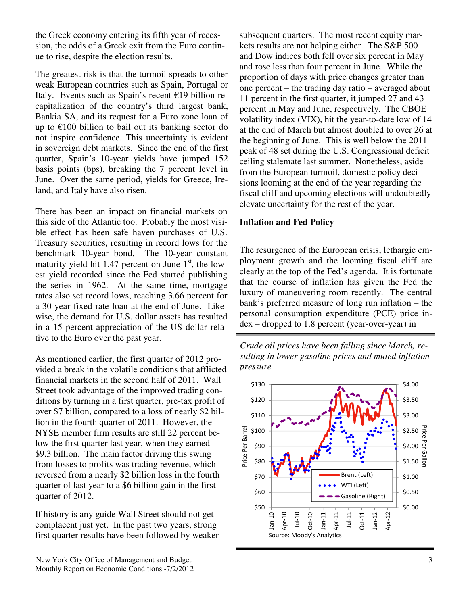the Greek economy entering its fifth year of recession, the odds of a Greek exit from the Euro continue to rise, despite the election results.

The greatest risk is that the turmoil spreads to other weak European countries such as Spain, Portugal or Italy. Events such as Spain's recent  $\epsilon$ 19 billion recapitalization of the country's third largest bank, Bankia SA, and its request for a Euro zone loan of up to  $\epsilon$ 100 billion to bail out its banking sector do not inspire confidence. This uncertainty is evident in sovereign debt markets. Since the end of the first quarter, Spain's 10-year yields have jumped 152 basis points (bps), breaking the 7 percent level in June. Over the same period, yields for Greece, Ireland, and Italy have also risen.

There has been an impact on financial markets on this side of the Atlantic too. Probably the most visible effect has been safe haven purchases of U.S. Treasury securities, resulting in record lows for the benchmark 10-year bond. The 10-year constant maturity yield hit 1.47 percent on June  $1<sup>st</sup>$ , the lowest yield recorded since the Fed started publishing the series in 1962. At the same time, mortgage rates also set record lows, reaching 3.66 percent for a 30-year fixed-rate loan at the end of June. Likewise, the demand for U.S. dollar assets has resulted in a 15 percent appreciation of the US dollar relative to the Euro over the past year.

As mentioned earlier, the first quarter of 2012 provided a break in the volatile conditions that afflicted financial markets in the second half of 2011. Wall Street took advantage of the improved trading conditions by turning in a first quarter, pre-tax profit of over \$7 billion, compared to a loss of nearly \$2 billion in the fourth quarter of 2011. However, the NYSE member firm results are still 22 percent below the first quarter last year, when they earned \$9.3 billion. The main factor driving this swing from losses to profits was trading revenue, which reversed from a nearly \$2 billion loss in the fourth quarter of last year to a \$6 billion gain in the first quarter of 2012.

If history is any guide Wall Street should not get complacent just yet. In the past two years, strong first quarter results have been followed by weaker

subsequent quarters. The most recent equity markets results are not helping either. The S&P 500 and Dow indices both fell over six percent in May and rose less than four percent in June. While the proportion of days with price changes greater than one percent – the trading day ratio – averaged about 11 percent in the first quarter, it jumped 27 and 43 percent in May and June, respectively. The CBOE volatility index (VIX), hit the year-to-date low of 14 at the end of March but almost doubled to over 26 at the beginning of June. This is well below the 2011 peak of 48 set during the U.S. Congressional deficit ceiling stalemate last summer. Nonetheless, aside from the European turmoil, domestic policy decisions looming at the end of the year regarding the fiscal cliff and upcoming elections will undoubtedly elevate uncertainty for the rest of the year.

# **Inflation and Fed Policy**

The resurgence of the European crisis, lethargic employment growth and the looming fiscal cliff are clearly at the top of the Fed's agenda. It is fortunate that the course of inflation has given the Fed the luxury of maneuvering room recently. The central bank's preferred measure of long run inflation – the personal consumption expenditure (PCE) price index – dropped to 1.8 percent (year-over-year) in

*Crude oil prices have been falling since March, resulting in lower gasoline prices and muted inflation pressure.*

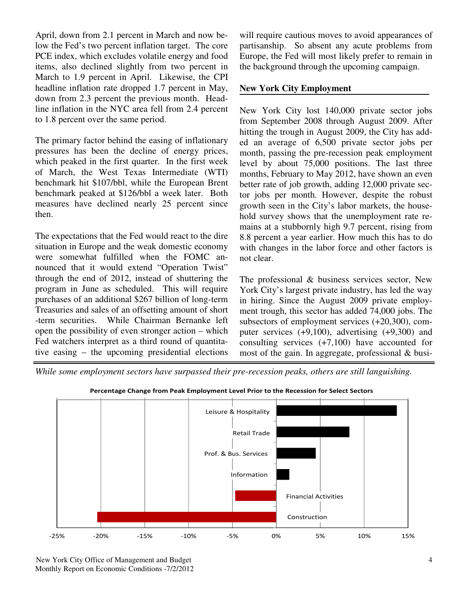April, down from 2.1 percent in March and now below the Fed's two percent inflation target. The core PCE index, which excludes volatile energy and food items, also declined slightly from two percent in March to 1.9 percent in April. Likewise, the CPI headline inflation rate dropped 1.7 percent in May, down from 2.3 percent the previous month. Headline inflation in the NYC area fell from 2.4 percent to 1.8 percent over the same period.

The primary factor behind the easing of inflationary pressures has been the decline of energy prices, which peaked in the first quarter. In the first week of March, the West Texas Intermediate (WTI) benchmark hit \$107/bbl, while the European Brent benchmark peaked at \$126/bbl a week later. Both measures have declined nearly 25 percent since then.

The expectations that the Fed would react to the dire situation in Europe and the weak domestic economy were somewhat fulfilled when the FOMC announced that it would extend "Operation Twist" through the end of 2012, instead of shuttering the program in June as scheduled. This will require purchases of an additional \$267 billion of long-term Treasuries and sales of an offsetting amount of short -term securities. While Chairman Bernanke left open the possibility of even stronger action – which Fed watchers interpret as a third round of quantitative easing – the upcoming presidential elections will require cautious moves to avoid appearances of partisanship. So absent any acute problems from Europe, the Fed will most likely prefer to remain in the background through the upcoming campaign.

## **New York City Employment**

New York City lost 140,000 private sector jobs from September 2008 through August 2009. After hitting the trough in August 2009, the City has added an average of 6,500 private sector jobs per month, passing the pre-recession peak employment level by about 75,000 positions. The last three months, February to May 2012, have shown an even better rate of job growth, adding 12,000 private sector jobs per month. However, despite the robust growth seen in the City's labor markets, the household survey shows that the unemployment rate remains at a stubbornly high 9.7 percent, rising from 8.8 percent a year earlier. How much this has to do with changes in the labor force and other factors is not clear.

The professional & business services sector, New York City's largest private industry, has led the way in hiring. Since the August 2009 private employment trough, this sector has added 74,000 jobs. The subsectors of employment services (+20,300), computer services (+9,100), advertising (+9,300) and consulting services (+7,100) have accounted for most of the gain. In aggregate, professional & busi-

*While some employment sectors have surpassed their pre-recession peaks, others are still languishing.* 



Percentage Change from Peak Employment Level Prior to the Recession for Select Sectors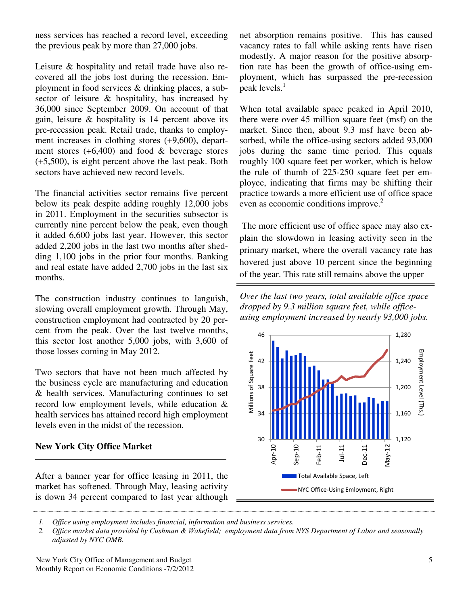ness services has reached a record level, exceeding the previous peak by more than 27,000 jobs.

Leisure & hospitality and retail trade have also recovered all the jobs lost during the recession. Employment in food services & drinking places, a subsector of leisure & hospitality, has increased by 36,000 since September 2009. On account of that gain, leisure & hospitality is 14 percent above its pre-recession peak. Retail trade, thanks to employment increases in clothing stores (+9,600), department stores  $(+6,400)$  and food  $&$  beverage stores (+5,500), is eight percent above the last peak. Both sectors have achieved new record levels.

The financial activities sector remains five percent below its peak despite adding roughly 12,000 jobs in 2011. Employment in the securities subsector is currently nine percent below the peak, even though it added 6,600 jobs last year. However, this sector added 2,200 jobs in the last two months after shedding 1,100 jobs in the prior four months. Banking and real estate have added 2,700 jobs in the last six months.

The construction industry continues to languish, slowing overall employment growth. Through May, construction employment had contracted by 20 percent from the peak. Over the last twelve months, this sector lost another 5,000 jobs, with 3,600 of those losses coming in May 2012.

Two sectors that have not been much affected by the business cycle are manufacturing and education & health services. Manufacturing continues to set record low employment levels, while education & health services has attained record high employment levels even in the midst of the recession.

# **New York City Office Market**

After a banner year for office leasing in 2011, the market has softened. Through May, leasing activity is down 34 percent compared to last year although

net absorption remains positive. This has caused vacancy rates to fall while asking rents have risen modestly. A major reason for the positive absorption rate has been the growth of office-using employment, which has surpassed the pre-recession peak levels.<sup>1</sup>

When total available space peaked in April 2010, there were over 45 million square feet (msf) on the market. Since then, about 9.3 msf have been absorbed, while the office-using sectors added 93,000 jobs during the same time period. This equals roughly 100 square feet per worker, which is below the rule of thumb of 225-250 square feet per employee, indicating that firms may be shifting their practice towards a more efficient use of office space even as economic conditions improve.<sup>2</sup>

 The more efficient use of office space may also explain the slowdown in leasing activity seen in the primary market, where the overall vacancy rate has hovered just above 10 percent since the beginning of the year. This rate still remains above the upper

*Over the last two years, total available office space dropped by 9.3 million square feet, while officeusing employment increased by nearly 93,000 jobs.* 



*1. Office using employment includes financial, information and business services.* 

*2.* Office market data provided by Cushman & Wakefield; employment data from *NYS Department of Labor and seasonally adjusted by NYC OMB.*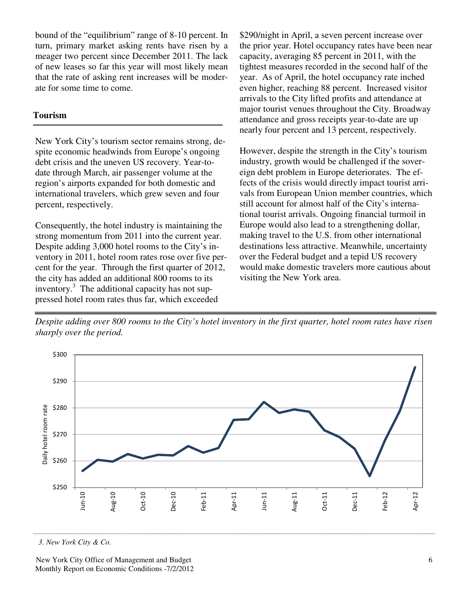bound of the "equilibrium" range of 8-10 percent. In turn, primary market asking rents have risen by a meager two percent since December 2011. The lack of new leases so far this year will most likely mean that the rate of asking rent increases will be moderate for some time to come.

#### **Tourism**

New York City's tourism sector remains strong, despite economic headwinds from Europe's ongoing debt crisis and the uneven US recovery. Year-todate through March, air passenger volume at the region's airports expanded for both domestic and international travelers, which grew seven and four percent, respectively.

Consequently, the hotel industry is maintaining the strong momentum from 2011 into the current year. Despite adding 3,000 hotel rooms to the City's inventory in 2011, hotel room rates rose over five percent for the year. Through the first quarter of 2012, the city has added an additional 800 rooms to its inventory.<sup>3</sup> The additional capacity has not suppressed hotel room rates thus far, which exceeded

\$290/night in April, a seven percent increase over the prior year. Hotel occupancy rates have been near capacity, averaging 85 percent in 2011, with the tightest measures recorded in the second half of the year. As of April, the hotel occupancy rate inched even higher, reaching 88 percent. Increased visitor arrivals to the City lifted profits and attendance at major tourist venues throughout the City. Broadway attendance and gross receipts year-to-date are up nearly four percent and 13 percent, respectively.

However, despite the strength in the City's tourism industry, growth would be challenged if the sovereign debt problem in Europe deteriorates. The effects of the crisis would directly impact tourist arrivals from European Union member countries, which still account for almost half of the City's international tourist arrivals. Ongoing financial turmoil in Europe would also lead to a strengthening dollar, making travel to the U.S. from other international destinations less attractive. Meanwhile, uncertainty over the Federal budget and a tepid US recovery would make domestic travelers more cautious about visiting the New York area.

*Despite adding over 800 rooms to the City's hotel inventory in the first quarter, hotel room rates have risen sharply over the period.* 



*<sup>3.</sup> New York City & Co.*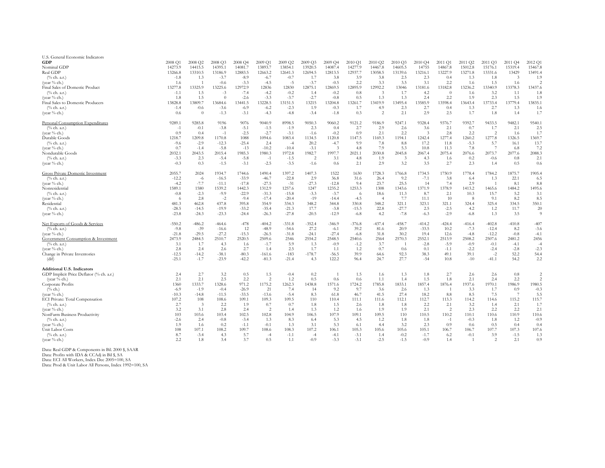| U.S. General Economic Indicators         |          |                |          |         |          |          |          |          |          |          |          |          |          |              |                |          |                |
|------------------------------------------|----------|----------------|----------|---------|----------|----------|----------|----------|----------|----------|----------|----------|----------|--------------|----------------|----------|----------------|
| <b>GDP</b>                               | 2008 Q1  | 2008 Q2        | 2008 Q3  | 2008 Q4 | 2009 Q1  | 2009 Q2  | 2009 Q3  | 2009 Q4  | 2010 Q1  | 2010 Q2  | 2010 Q3  | 2010 Q4  | 2011 Q1  | 2011 Q2      | 2011 Q3        | 2011 Q4  | 2012 Q1        |
| Nominal GDP                              | 14273.9  | 14415.5        | 14395.1  | 14081.7 | 13893.7  | 13854.   | 13920.5  | 14087.4  | 14277.9  | 14467.8  | 14605.5  | 14755    | 14867.8  | 15012.8      | 15176.1        | 15319.4  | 15467.8        |
| Real GDP                                 | 13266.8  | 13310.5        | 13186.9  | 12883.5 | 12663.2  | 12641.3  | 12694.5  | 12813.5  | 12937.7  | 13058.5  | 13139.6  | 13216.1  | 13227.9  | 13271.8      | 13331.6        | 13429    | 13491.4        |
| $(\%$ ch. a.r.)                          | $-1.8$   | 1.3            | $-3.7$   | $-8.9$  | $-6.7$   | $-0.7$   | 1.7      | 3.8      | 3.9      | 3.8      | 2.5      | 2.3      | 0.4      | 1.3          | 1.8            |          | 1.9            |
| (year % ch.)                             | 1.6      |                | $-0.6$   | $-3.3$  | $-4.5$   | $-5$     | $-3.7$   | $-0.5$   | 2.2      | 3.3      | 3.5      | 3.1      | 2.2      | 1.6          | 1.5            | 1.6      |                |
| Final Sales of Domestic Product          | 13277.8  | 13325.9        | 13225.6  | 12972.9 | 12836    | 12830    | 12875.1  | 12869.5  | 12895.9  | 12992.2  | 13046    | 13181.6  | 13182.8  | 13236.2      | 13340.9        | 13378.3  | 13437.6        |
| $(\%$ ch. a.r.)                          |          |                |          | $-7.4$  | $-4.2$   | $-0.2$   |          | $-0.2$   |          |          | 1.7      |          |          |              | 3.2            |          | 1.8            |
|                                          | $-1.1$   | 1.5            | $-3$     |         |          |          | 1.4      |          | 0.8      |          |          | 4.2      |          | 1.6          |                |          |                |
| (year % ch.)                             | 1.8      | 1.5            |          | $-2.6$  | $-3.3$   | $-3.7$   | $-2.7$   | $-0.8$   | 0.5      | 1.3      | 1.3      | 2.4      | 2.2      | 1.9          | 2.3            | 1.5      | 1.9            |
| Final Sales to Domestic Producers        | 13828.8  | 13809.7        | 13684.6  | 13441.5 | 13228.5  | 13151.5  | 13215    | 13204.8  | 13261.7  | 13419.9  | 13495.4  | 13585.9  | 13598.4  | 13643.4      | 13733.4        | 13779.4  | 13835.1        |
| $(\%$ ch. a.r.)                          | $-1.4$   | $-0.6$         | $-3.6$   | $-6.9$  | $-6.2$   | $-2.3$   | 1.9      | $-0.3$   | 1.7      | 4.9      | 2.3      | 2.7      | 0.4      | 1.3          | 2.7            | 1.3      | 1.6            |
| (year % ch.)                             | 0.6      | $\Omega$       | $-1.3$   | $-3.1$  | $-4.3$   | $-4.8$   | $-3.4$   | $-1.8$   | 0.3      | 2        | 2.1      | 2.9      | 2.5      | 1.7          | 1.8            | 1.4      | 1.7            |
| Personal Consumption Expenditures        | 9289.    | 9285.8         | 9196     | 9076    | 9040.9   | 8998.5   | 9050.3   | 9060.2   | 9121.2   | 9186.9   | 9247.1   | 9328.4   | 9376.7   | 9392.7       | 9433.5         | 9482.1   | 9540.1         |
| $(\%$ ch. a.r.)                          | -1       | $-0.1$         | $-3.8$   | $-5.1$  | $-1.5$   | $-1.9$   | 2.3      | 0.4      | 2.7      | 2.9      | 2.6      | 3.6      | 2.1      | 0.7          | 1.7            | 2.1      | 2.5            |
| (year % ch.)                             | 0.9      | 0.4            | $-1$     | $-2.5$  | $-2.7$   | $-3.1$   | $-1.6$   | $-0.2$   | 0.9      | 2.1      | 2.2      |          | 2.8      | 2.2          | -2             | 1.6      | 1.7            |
| Durable Goods                            | 1218.7   | 1209.8         | 1170.8   | 1088    | 1094.6   | 1083.4   | 1134.5   | 1120.8   | 1147.5   | 1169.3   | 1194.1   | 1242.4   | 1277.4   | 1260.2       | 1277.8         | 1326.5   | 1369.7         |
| $(\%$ ch. a.r.)                          | $-9.6$   | $-2.9$         | $-12.3$  | $-25.4$ | 2.4      | $-4$     | 20.2     | $-4.7$   | 9.9      | 7.8      | 8.8      | 17.2     | 11.8     | $-5.3$       | 5.7            | 16.1     | 13.7           |
| (year % ch.)                             | 0.7      | $-1.4$         | $-5.8$   | $-13$   | $-10.2$  | $-10.4$  | $-3.1$   | 3        | 4.8      | 7.9      | 5.3      | 10.8     | 11.3     | 7.8          |                | 6.8      | 7.2            |
| Nondurable Goods                         | 2032.    | 2043.5         | 2015.4   | 1985.3  | 1980.3   | 1972.8   | 1982.7   | 1997.7   | 2021.1   | 2030.8   | 2045.8   | 2067.4   | 2075.4   | 2076.6       | 2073.7         | 2077.6   | 2088.3         |
| $(\%$ ch. a.r.)                          | $-3.3$   | 2.3            | $-5.4$   | $-5.8$  | $-1$     | $-1.5$   | 2        | 3.1      | 4.8      | 1.9      | 3        | 4.3      | 1.6      | 0.2          | $-0.6$         | 0.8      | 2.1            |
| (year $\%$ ch.)                          | $-0.3$   | 0.3            | $-1.5$   | $-3.1$  | $-2.5$   | $-3.5$   | $-1.6$   | 0.6      | 2.1      | 2.9      | 3.2      | 3.5      | 2.7      | 2.3          |                | 0.5      | 0.6            |
|                                          |          |                |          |         |          |          |          |          |          |          |          |          |          |              | 1.4            |          |                |
| <b>Gross Private Domestic Investment</b> | 2055.7   | 2024           | 1934.7   | 1744.6  | 1490.4   | 1397.2   | 1407.3   | 1522     | 1630     | 1728.3   | 1766.8   | 1734.5   | 1750.9   | 1778.4       | 1784.2         | 1875.7   | 1905.4         |
| $(\%$ ch. a.r.)                          | $-12.2$  | $-6$           | $-16.5$  | $-33.9$ | $-46.7$  | $-22.8$  | 2.9      | 36.8     | 31.6     | 26.4     | 9.2      | $-7.1$   | 3.8      | 6.4          | 1.3            | 22.1     | 6.5            |
| (year % ch.)                             | $-4.2$   | $-7.7$         | $-11.1$  | $-17.8$ | $-27.5$  | $-31$    | $-27.3$  | $-12.8$  | 9.4      | 23.7     | 25.5     | 14       | 7.4      | 2.9          |                | 8.1      | 8.8            |
| Nonresidential                           | 1589.1   | 1580           | 1539.2   | 1442.3  | 1312.9   | 1257.6   | 1247     | 1235.2   | 1253.3   | 1308     | 1343.6   | 1371.9   | 1378.9   | 1413.2       | 1465.6         | 1484.2   | 1495.6         |
| $(\%$ ch. a.r.)                          | $-0.8$   | $-2.3$         | $-9.9$   | $-22.9$ | $-31.3$  | $-15.8$  | $-3.3$   | $-3.7$   | - 6      | 18.6     | 11.3     | 8.7      | 2.1      | 10.3         | 15.7           | 5.2      | 3.1            |
| (year % ch.)                             | - 6      | 2.8            | $-2$     | $-9.4$  | $-17.4$  | $-20.4$  | $-19$    | $-14.4$  | $-4.5$   |          | 7.7      | 11.1     | 10       | 8            | 9.1            | 8.2      | 8.5            |
| Residential                              | 481.3    | 462.8          | 437.8    | 395.8   | 354.9    | 334.3    | 348.2    | 344.8    | 330.8    | 348.2    | 321.1    | 323.1    | 321.1    | 324.4        | 325.4          | 334.5    | 350.1          |
| $(\%$ ch. a.r.)                          | $-28.5$  | $-14.5$        | $-19.9$  | $-33.2$ | $-35.4$  | $-21.3$  | 17.7     | $-3.8$   | $-15.3$  | 22.8     | $-27.7$  | 2.5      | $-2.5$   | 4.2          | 1.2            | 11.7     | 20             |
|                                          | $-23.8$  | $-24.3$        | $-23.3$  |         | $-26.3$  | $-27.8$  | $-20.5$  | $-12.9$  | $-6.8$   |          | $-7.8$   | $-6.3$   |          | $-6.8$       |                | 3.5      | $\overline{9}$ |
| (year $\%$ ch.)                          |          |                |          | $-24.4$ |          |          |          |          |          | 4.2      |          |          | $-2.9$   |              | 1.3            |          |                |
| Net Exports of Goods & Services          | $-550.2$ | $-486.2$       | $-464.6$ | $-478$  | $-404.2$ | $-331.8$ | $-352.4$ | $-346.9$ | $-376.8$ | $-437.4$ | $-458.7$ | $-414.2$ | $-424.4$ | $-416.4$     | $-402.8$       | $-410.8$ | $-407$         |
| $(\%$ ch. a.r.)                          | $-9.8$   | $-39$          | $-16.6$  | 12      | $-48.9$  | $-54.6$  | 27.2     | $-6.1$   | 39.2     | 81.6     | 20.9     | $-33.5$  | 10.2     | $-7.3$       | $-12.4$        | 8.2      | $-3.6$         |
| (year % ch.)                             | $-21.8$  | $-29.5$        | $-27.2$  | $-15.3$ | $-26.5$  | $-31.8$  | $-24.1$  | $-27.4$  | $-6.8$   | 31.8     | 30.2     | 19.4     | 12.6     | $-4.8$       | $-12.2$        | $-0.8$   | $-4.1$         |
| Government Consumption & Investment      | 2473.9   | 2484.5         | 2510.7   | 2520.5  | 2509.6   | 2546     | 2554.2   | 2548.5   | 2540.6   | 2564     | 2570.3   | 2552.1   | 2513.9   | 2508.2       | 2507.6         | 2481.2   | 2456           |
| $(\%$ ch. a.r.)                          | 3.1      | 1.7            | 4.3      | 1.6     | $-1.7$   | 5.9      | 1.3      | $-0.9$   | $-1.2$   | 3.7      |          | $-2.8$   | $-5.9$   | $-0.9$       | $-0.1$         | $-4.1$   |                |
|                                          |          |                |          |         |          |          |          |          |          |          |          |          |          |              |                |          | -4             |
| (year % ch.)                             | 2.8      | 2.4            | 2.6      | 2.7     | 1.4      | 2.5      | 1.7      | 1.1      | 1.2      | 0.7      | 0.6      | 0.1      | $-1.1$   | $-2.2$       | $-2.4$         | $-2.8$   | $-2.3$         |
| Change in Private Inventories            | $-12.5$  | $-14.2$        | $-38.1$  | $-80.3$ | $-161.6$ | $-183$   | $-178.7$ | $-56.5$  | 39.9     | 64.6     | 92.3     | 38.3     | 49.1     | 39.1         | $-2$           | 52.2     | 54.4           |
| (dif)                                    | $-25.1$  | $-1.7$         | $-23.9$  | $-42.2$ | $-81.3$  | $-21.4$  | 4.3      | 122.2    | 96.4     | 24.7     | 27.7     | $-54$    | 10.8     | $-10$        | $-41.1$        | 54.2     | 2.2            |
| <b>Additional U.S. Indicators</b>        |          |                |          |         |          |          |          |          |          |          |          |          |          |              |                |          |                |
| GDP Implicit Price Deflator (% ch. a.r.) | 2.4      | 2.7            | 3.2      | 0.5     | 1.5      | $-0.4$   | $0.2\,$  |          | 1.5      | 1.6      | 1.3      | 1.8      | 2.7      | 2.6          | 2.6            | 0.8      | $\overline{c}$ |
| (year $\%$ ch.)                          | 2.1      | 2.1            | 2.5      | 2.2     | 2        | 1.2      | 0.5      | 0.6      | 0.6      | 1.1      | 1.4      | 1.5      | 1.8      | 2.1          | 2.4            | 2.2      | $\overline{2}$ |
| Corporate Profits                        | 1360     | 1333.7         | 1328.6   | 971.2   | 1175.2   | 1262.3   | 1438.8   | 1571.6   | 1724.2   | 1785.8   | 1833.1   | 1857.4   | 1876.4   | 1937.6       | 1970.1         | 1986.9   | 1980.5         |
| $(^{0}/_{0}$ ch.)                        | $-6.9$   | $-1.9$         | $-0.4$   | $-26.9$ | 21       | 7.4      | 14       | 9.2      | 9.7      | 3.6      | 2.6      | 1.3      |          | 3.3          | 1.7            | 0.9      | $-0.3$         |
| (year % ch.)                             | $-10.3$  | $-14.8$        | $-11.5$  | $-33.5$ | $-13.6$  | $-5.4$   | 8.3      | 61.8     | 46.7     | 41.5     | 27.4     | 18.2     | 8.8      | 8.5          | 7.5            |          | 5.5            |
| ECI Private: Total Compensation          | 107.2    | 108            | 108.6    | 109.1   | 109.3    | 109.5    | 110      | 110.4    | 111.1    | 111.6    | 112.1    | 112.7    | 113.3    | 114.2        | 114.6          | 115.2    | 115.7          |
| $(\%$ ch. a.r.)                          | 2.7      | $\overline{3}$ | 2.2      | 1.9     | 0.7      | 0.7      | 1.8      | 1.5      | 2.6      | 1.8      | 1.8      | 2.2      | 2.1      | 3.2          | 1.4            | 2.1      | 1.7            |
|                                          |          |                |          |         |          |          |          |          |          |          |          |          |          |              |                |          |                |
| (year $\%$ ch.)                          | 3.2      | 3.1            | 2.8      | 2.4     | 2        | 1.4      | 1.3      | 1.2      | 1.6      | 1.9      | 1.9      | 2.1      | 2        | 2.3          | 2.2            | 2.2      | 2.1            |
| NonFarm Business Productivity            | 103      | 103.6          | 103.4    | 102.5   | 102.8    | 104.9    | 106.5    | 107.9    | 109.1    | 109.5    | 110      | 110.5    | 110.2    | 110.1        | 110.6          | 110.9    | 110.6          |
| $(\%$ ch. a.r.)                          | $-2.6$   | 2.4            | $-0.8$   | $-3.4$  | 1.3      | 8.3      | 6.4      | 5.3      | 4.5      | 1.2      | 1.8      | 1.8      | $-1$     | $-0.3$       | 1.8            | 1.2      | $-0.9$         |
| (year $\%$ ch.)                          | 1.9      | 1.6            | 0.2      | $-1.1$  | $-0.1$   | 1.3      | 3.1      | 5.3      | 6.1      | 4.4      | 3.2      | 2.3      | 0.9      | 0.6          | 0.5            | 0.4      | 0.4            |
| Unit Labor Costs                         | 108      | 107.1          | 108.2    | 109.7   | 108.6    | 108.3    | 107.2    | 106.1    | 105.3    | 105.6    | 105.6    | 105.1    | 106.7    | 106.7        | 107.7          | 107.3    | 107.6          |
| $(\%$ ch. a.r.)                          | 8.7      | $-3.4$         | 4.3      | 5.7     | -4       | $-1.1$   | $-4$     | $-4.1$   | $-3.1$   | 1.4      | $-0.2$   | $-1.7$   | 6.2      | $-0.1$       | 3.9            | $-1.5$   | 1.3            |
| (year % ch.)                             | 2.2      | 1.8            | 3.4      | 3.7     | 0.5      | 1.1      | $-0.9$   | $-3.3$   | $-3.1$   | $-2.5$   | $-1.5$   | $-0.9$   | 1.4      | $\mathbf{1}$ | $\overline{2}$ | 2.1      | 0.9            |
|                                          |          |                |          |         |          |          |          |          |          |          |          |          |          |              |                |          |                |

Data: Real GDP & Components in Bil. 2000 \$, SAAR Data: Profits with IDA & CCAdj in Bil \$, SA Data: ECI All Workers, Index Dec 2005=100, SA

Data: Prod & Unit Labor All Persons, Index 1992=100, SA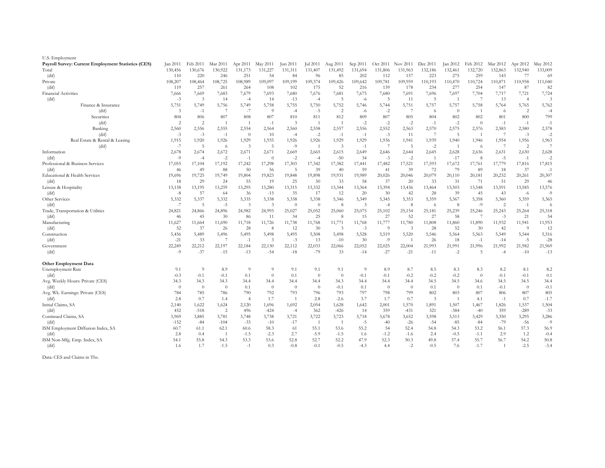| U.S. Employment                                            |          |                |                |                |                |                |                |                |          |                |                |                |                |                |               |                |                |
|------------------------------------------------------------|----------|----------------|----------------|----------------|----------------|----------------|----------------|----------------|----------|----------------|----------------|----------------|----------------|----------------|---------------|----------------|----------------|
| <b>Payroll Survey: Current Employment Statistics (CES)</b> | Jan 2011 | Feb 2011       | Mar 2011       | Apr 2011       | May 2011       | Jun 2011       | Jul 2011       | Aug 2011       | Sep 2011 | Oct 2011       | Nov 2011       | Dec 2011       | Jan 2012       | Feb 2012       | Mar 2012      | Apr 2012       | May 2012       |
| Total                                                      | 130,456  | 130,676        | 130,922        | 131,173        | 131,227        | 131,311        | 131,407        | 131,492        | 131,694  | 131,806        | 131,963        | 132,186        | 132,461        | 132,720        | 132,863       | 132,940        | 133,009        |
| (dif)                                                      | 110      | 220            | 246            | 251            | 54             | 84             | 96             | 85             | 202      | 112            | 157            | 223            | 275            | 259            | 143           | 77             | 69             |
| Private                                                    | 108,207  | 108,464        | 108,725        | 108,989        | 109,097        | 109,199        | 109,374        | 109,426        | 109,642  | 109,781        | 109,959        | 110,193        | 110,470        | 110,724        | 110,871       | 110,958        | 111,040        |
| (dif)                                                      | 119      | 257            | 261            | 264            | 108            | 102            | 175            | 52             | 216      | 139            | 178            | 234            | 277            | 254            | 147           | 87             | 82             |
| <b>Financial Activities</b>                                | 7,666    | 7,669          | 7,683          | 7,679          | 7,693          | 7,680          | 7,676          | 7,681          | 7,675    | 7,680          | 7,691          | 7,696          | 7,697          | 7,704          | 7,717         | 7,721          | 7,724          |
| (dif)                                                      | $-3$     | -3             | 14             | $-4$           | -14            | $-13$          | $-4$           | -5             | $-6$     | 5              | 11             | $\overline{5}$ | $\overline{1}$ | -7             | 13            | $\overline{4}$ | $\mathfrak{Z}$ |
| Finance & Insurance                                        | 5,751    | 5,749          | 5,756          | 5,749          | 5,758          | 5,755          | 5,750          | 5,752          | 5,746    | 5,744          | 5,751          | 5,757          | 5,757          | 5,758          | 5,764         | 5,765          | 5,762          |
| (dif)                                                      | -3       | $-1$           |                | $-7$           | -9             | $-4$           | $-5$           | $\overline{2}$ | $-6$     | $-2$           | 7              | -6             | $\overline{0}$ |                | -6            | 2              | $-4$           |
| Securities                                                 | 804      | 806            | 807            | 808            | 807            | 810            | 811            | 812            | 809      | 807            | 805            | 804            | 802            | 802            | 801           | 800            | 799            |
| (dif)                                                      | 2        | 2              |                |                | $-1$           | 3              |                |                | $-2$     | $-2$           | $-2$           | $-1$           | $-2$           | $\overline{0}$ | -1            | $-1$           | $-1$           |
| Banking                                                    | 2,560    | 2,556          | 2,555          | 2,554          | 2,564          | 2,560          | 2,558          | 2,557          | 2,556    | 2,552          | 2,563          | 2,570          | 2,575          | 2,576          | 2,583         | 2,580          | 2,578          |
| (dif)                                                      | $-3$     | $-3$           | $-1$           | $\overline{0}$ | 10             | $-4$           | $-2$           | $-1$           | $-1$     | $-3$           | 11             |                | 5              |                |               | $-3$           | $-2$           |
| Real Estate & Rental & Leasing                             | 1,915    | 1,920          | 1,926          | 1,929          | 1,935          | 1,926          | 1,926          | 1,929          | 1,929    | 1,936          | 1,941          | 1,939          | 1,940          | 1,946          | 1,954         | 1,956          | 1,963          |
| (dif)                                                      | $-7$     | 5              | -6             | $\mathfrak{Z}$ | -5             | $-9$           |                | 3              | $-1$     |                | 5              | $-2$           |                | 6              |               | 2              | 7              |
| Information                                                | 2,678    | 2,674          | 2,672          | 2,671          | 2,671          | 2,669          | 2,665          | 2,615          | 2,649    | 2,646          | 2,644          | 2,645          | 2,628          | 2,636          | 2,631         | 2,630          | 2,628          |
| (dif)                                                      | -9       | $-4$           | $-2$           | $-1$           | $\overline{0}$ | $-2$           | $-4$           | $-50$          | 34       | $-3$           | $-2$           |                | $-17$          | 8              | $-5$          | $-1$           | $-2$           |
| Professional & Business Services                           | 17,055   | 17,104         | 17,192         | 17,242         | 17,298         | 17,303         | 17,342         | 17,382         | 17,441   | 17,482         | 17,521         | 17,593         | 17,672         | 17,761         | 17,779        | 17,816         | 17,815         |
| (dif)                                                      | 46       | 49             | 88             | 50             | 56             | -5             | 39             | 40             | 59       | 41             | 39             | 72             | 79             | 89             | 18            | 37             | $-1$           |
| Educational & Health Services                              | 19,696   | 19,725         | 19,749         | 19,804         | 19,823         | 19,848         | 19,898         | 19,931         | 19,989   | 20,026         | 20,046         | 20,079         | 20,110         | 20,181         | 20,232        | 20,261         | 20,307         |
| (dif)                                                      | 18       | 29             | 24             | 55             | -19            | 25             | 50             | 33             | 58       | 37             | 20             | 33             | 31             | 71             | 51            | 29             | 46             |
| Leisure & Hospitality                                      | 13,138   | 13,195         | 13,259         | 13,295         | 13,280         | 13,315         | 13,332         | 13,344         | 13,364   | 13,394         | 13,436         | 13,464         | 13,503         | 13,548         | 13,591        | 13,585         | 13,576         |
| (dif)                                                      | -8       | -57            | -64            | 36             | $-15$          | 35             | 17             | 12             | 20       | 30             | 42             | 28             | 39             | 45             | 43            | $-6$           | $-9$           |
| Other Services                                             | 5,332    | 5,337          | 5,332          | 5,335          | 5,338          | 5,338          | 5,338          | 5,346          | 5,349    | 5,345          | 5,353          | 5,359          | 5,367          | 5,358          | 5,360         | 5,359          | 5,365          |
| (dif)                                                      | -7       | -5             | -5             | 3              | -3             | $\overline{0}$ | $\overline{0}$ | -8             | 3        | $-4$           | 8              | -6             | -8             | $-9$           | $\mathcal{L}$ | $-1$           | -6             |
| Trade, Transportation & Utilities                          | 24,821   | 24,866         | 24,896         | 24,982         | 24,993         | 25,027         | 25,052         | 25,060         | 25,075   | 25,102         | 25,154         | 25,181         | 25,239         | 25,246         | 25,243        | 25,264         | 25,318         |
| (dif)                                                      | 46       | 45             | 30             | -86            | 11             | 34             | 25             | -8             | 15       | 27             | 52             | 27             | 58             | -7             | $-3$          | 21             | 54             |
| Manufacturing                                              | 11,627   | 11,664         | 11,690         | 11,718         | 11,726         | 11,738         | 11,768         | 11,771         | 11,768   | 11,777         | 11,780         | 11,808         | 11,860         | 11,890         | 11,932        | 11,941         | 11,953         |
| (dif)                                                      | 52       | -37            | 26             | 28             | -8             | 12             | 30             | -3             | $-3$     | -9             | 3              | 28             | 52             | 30             | 42            | -9             | 12             |
| Construction                                               | 5,456    | 5,489          | 5,496          | 5,495          | 5,498          | 5,495          | 5,508          | 5,498          | 5,528    | 5,519          | 5,520          | 5,546          | 5,564          | 5,563          | 5,549         | 5,544          | 5,516          |
| (dif)                                                      | -21      | 33             |                | $-1$           | -3             | $-3$           | 13             | $-10$          | 30       | -9             | $\overline{1}$ | 26             | 18             | $-1$           | $-14$         | $-5$           | $-28$          |
| Government                                                 | 22,249   | 22,212         | 22,197         | 22,184         | 22,130         | 22,112         | 22,033         | 22,066         | 22,052   | 22,025         | 22,004         | 21,993         | 21,991         | 21,996         | 21,992        | 21,982         | 21,969         |
| (dif)                                                      | $-9$     | $-37$          | $-15$          | $-13$          | $-54$          | $-18$          | $-79$          | 33             | $-14$    | $-27$          | $-21$          | $-11$          | $-2$           | 5              | $-4$          | $-10$          | $-13$          |
| <b>Other Employment Data</b>                               |          |                |                |                |                |                |                |                |          |                |                |                |                |                |               |                |                |
| Unemployment Rate                                          | 9.1      | 9              | 8.9            | 9              | Q              | 9.1            | 9.1            | 9.1            | $\Omega$ | 8.9            | 8.7            | 8.5            | 8.3            | 8.3            | 8.2           | 8.1            | 8.2            |
| (dif)                                                      | $-0.3$   | $-0.1$         | $-0.1$         | 0.1            | $\theta$       | 0.1            | $\overline{0}$ | $\theta$       | $-0.1$   | $-0.1$         | $-0.2$         | $-0.2$         | $-0.2$         | $\theta$       | $-0.1$        | $-0.1$         | 0.1            |
| Avg. Weekly Hours: Private (CES)                           | 34.3     | 34.3           | 34.3           | 34.4           | 34.4           | 34.4           | 34.4           | 34.3           | 34.4     | 34.4           | 34.4           | 34.5           | 34.5           | 34.6           | 34.5          | 34.5           | 34.4           |
| (dif)                                                      | $\theta$ | $\overline{0}$ | $\overline{0}$ | 0.1            | $\overline{0}$ | $\overline{0}$ | $\overline{0}$ | $-0.1$         | 0.1      | $\overline{0}$ | $\overline{0}$ | 0.1            | $\overline{0}$ | 0.1            | $-0.1$        | $\overline{0}$ | $-0.1$         |
| Avg. Wk. Earnings: Private (CES)                           | 784      | 785            | 786            | 790            | 792            | 793            | 796            | 793            | 797      | 798            | 799            | 802            | 803            | 807            | 806           | 807            | 805            |
| (dif)                                                      | 2.8      | 0.7            | -1.4           | $\overline{4}$ | 1.7            |                | 2.8            | $-2.6$         | 3.7      | 1.7            | 0.7            | -3             |                | 4.1            | $-1$          | 0.7            | $-1.7$         |
| Initial Claims, SA                                         | 2,140    | 1,622          | 1,624          | 2,120          | 1,696          | 1,692          | 2,054          | 1,628          | 1,642    | 2,001          | 1,570          | 1,891          | 1,507          | 1,467          | 1,826         | 1,537          | 1,504          |
| $\text{(dif)}$                                             | 452      | $-518$         | 2              | 496            | $-424$         | $-4$           | 362            | $-426$         | 14       | 359            | $-431$         | 321            | $-384$         | $-40$          | 359           | $-289$         | $-33$          |
| Continued Claims, SA                                       | 3,969    | 3,885          | 3,781          | 3,748          | 3,738          | 3,721          | 3,722          | 3,723          | 3,718    | 3,678          | 3,652          | 3,598          | 3,513          | 3,429          | 3,350         | 3,295          | 3,286          |
| (dif)                                                      | $-152$   | $-84$          | $-104$         | $-33$          | $-10$          | $-17$          | $\overline{1}$ |                | $-5$     | $-40$          | $-26$          | $-54$          | $-85$          | $-84$          | $-79$         | $-56$          | $-9$           |
| ISM Employment Diffusion Index, SA                         | 60.7     | 61.1           | 62.1           | 60.6           | 58.3           | 61             | 55.1           | 53.6           | 55.2     | 54             | 52.4           | 54.8           | 54.3           | 53.2           | 56.1          | 57.3           | 56.9           |
| (dif)                                                      | 2.8      | 0.4            | -1             | $-1.5$         | $-2.3$         | 2.7            | $-5.9$         | $-1.5$         | 1.6      | $-1.2$         | $-1.6$         | 2.4            | $-0.5$         | $-1.1$         | 2.9           | 1.2            | $-0.4$         |
| ISM Non-Mfg. Emp. Index, SA                                | 54.1     | 55.8           | 54.3           | 53.3           | 53.6           | 52.8           | 52.7           | 52.2           | 47.9     | 52.3           | 50.3           | 49.8           | 57.4           | 55.7           | 56.7          | 54.2           | 50.8           |
| (dif)                                                      | 1.6      | 1.7            | $-1.5$         | $-1$           | 0.3            | $-0.8$         | $-0.1$         | $-0.5$         | $-4.3$   | 4.4            | $-2$           | $-0.5$         | 7.6            | $-1.7$         |               | $-2.5$         | $-3.4$         |

Data: CES and Claims in Ths.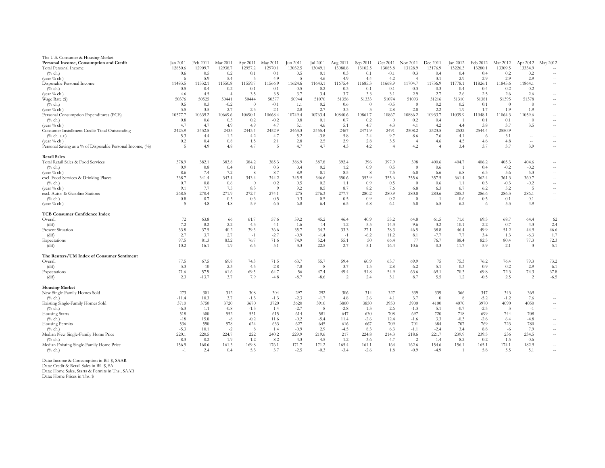| The U.S. Consumer & Housing Market<br>Personal Income, Consumption and Credit | Jan 201  | Feb 2011 | Mar 2011       | Apr 2011 | May 2011       | Jun 2011 | Jul 2011 | Aug 2011 | Sep 2011 | Oct 2011 | Nov 2011       | Dec 2011       | Jan 2012 | Feb 2012 | Mar 2012       | Apr 2012 | May 2012                  |
|-------------------------------------------------------------------------------|----------|----------|----------------|----------|----------------|----------|----------|----------|----------|----------|----------------|----------------|----------|----------|----------------|----------|---------------------------|
| Total Personal Income                                                         | 12850.6  | 12909.7  | 12938.7        | 12957.2  | 12970.1        | 13032.5  | 13049.1  | 13088.8  | 13102.5  | 13085.8  | 13128.9        | 13176.9        | 13226.3  | 13280.1  | 13309.5        | 13334.9  | $--$                      |
| $(^{0}/_{0}$ ch.)                                                             | 0.6      | 0.5      | 0.2            | 0.1      | 0.1            | 0.5      | 0.1      | 0.3      | 0.1      | $-0.1$   | 0.3            | 0.4            | 0.4      | 0.4      | 0.2            | 0.2      | $--$                      |
| (year % ch.)                                                                  |          | 5.9      | 5.4            | 5        | 4.9            | -5       | 4.6      | 4.9      | 4.4      | 4.2      |                | 3.1            | 2.9      | 2.9      | 2.9            | 2.9      | $--$                      |
| Disposable Personal Income                                                    | 11483.5  | 11532.1  | 11550.8        | 11559.7  | 11566.9        | 11624.6  | 11643.1  | 11675.4  | 11685.3  | 11668.9  | 11704.7        | 11736.9        | 11778.   | 11826.1  | 11845.6        | 11864.1  | $--$                      |
| $(^{0}/_{0}$ ch.)                                                             | 0.5      | 0.4      | 0.2            | 0.1      | 0.1            | 0.5      | 0.2      | 0.3      | 0.1      | $-0.1$   | 0.3            | 0.3            | 0.4      | 0.4      | 0.2            | 0.2      | $--$                      |
| (year $\%$ ch.)                                                               | 4.6      | 4.5      | $\overline{4}$ | 3.5      | 3.5            | 3.7      | 3.4      | 3.7      | 3.3      | 3.1      | 2.9            | 2.7            | 2.6      | 2.5      | 2.6            | 2.6      | $--$                      |
| Wage Rate (\$)                                                                | 50376    | 50525    | 50441          | 50444    | 50377          | 50944    | 51070    | 51356    | 51333    | 51074    | 51093          | 51216          | 51310    | 51381    | 51395          | 51378    | $--$                      |
| $(^{0}/_{0}$ ch.)                                                             | 0.5      | 0.3      | $-0.2$         |          | $-0.1$         | 1.1      | 0.2      | 0.6      |          | $-0.5$   | $\theta$       | 0.2            | 0.2      | 0.1      | $\overline{0}$ | $\theta$ | $- -$ .                   |
| (year $\%$ ch.)                                                               | 3.5      | 3.5      | 2.7            | 2.3      | 2.1            | 2.8      | 2.7      | 3.3      | -3       | 2.8      | 2.8            | 2.2            | 1.9      | 1.7      | 1.9            | 1.9      | $--$                      |
| Personal Consumption Expenditures (PCE)                                       | 10577.   | 10639.2  | 10669.6        | 10690.1  | 10668.4        | 10749.4  | 10763.4  | 10840.6  | 10861.7  | 10867    | 10886.2        | 10933.7        | 11039.9  | 11048.1  | 11064.3        | 11059.6  | $--$                      |
| $(\%$ ch.)                                                                    | 0.8      | 0.6      | 0.3            | 0.2      | $-0.2$         | 0.8      | 0.1      | 0.7      | 0.2      | $\theta$ | 0.2            | 0.4            |          | 0.1      | 0.1            | $\Omega$ | $--$                      |
| (year $%$ ch.)                                                                | 4.7      | 4.7      | 4.9            | 4.9      | 4.7            | 5.1      | 4.6      | 5.1      | 4.7      | 4.3      | 4.1            | 4.2            | 4.4      | 3.8      | 3.7            | 3.5      | $--$                      |
| Consumer Installment Credit: Total Outstanding                                | 2423.9   | 2432.5   | 2435           | 2443.4   | 2452.9         | 2463.3   | 2455.4   | 2467     | 2471.9   | 2491     | 2508.2         | 2523.5         | 2532     | 2544.4   | 2550.9         | $- -$    | $--$                      |
| $(\%$ ch. a.r.)                                                               | 5.3      | 4.4      | 1.2            | 4.2      | 4.7            | 5.2      | $-3.8$   | 5.8      | 2.4      | 9.7      | 8.6            | 7.6            | 4.1      | - 6      | 3.1            | $--$     | $- -$ .                   |
| (year % ch.)                                                                  | 0.2      | 0.4      | 0.8            | 1.5      | 2.1            | 2.8      | 2.5      | 2.9      | 2.8      | 3.5      | -4             | 4.6            | 4.5      | 4.6      | 4.8            | $--$     | $- -$ .                   |
| Personal Saving as a % of Disposable Personal Income, (%)                     | -5       | 4.9      | 4.8            | 4.7      | $5\phantom{.}$ | 4.7      | 4.7      | 4.3      | 4.2      |          | 4.2            | $\overline{4}$ | 3.4      | 3.7      | 3.7            | 3.9      | $\mathcal{L}=\mathcal{L}$ |
| <b>Retail Sales</b>                                                           |          |          |                |          |                |          |          |          |          |          |                |                |          |          |                |          |                           |
| Total Retail Sales & Food Services                                            | 378.9    | 382.1    | 383.8          | 384.2    | 385.3          | 386.9    | 387.8    | 392.4    | 396      | 397.9    | 398            | 400.6          | 404.7    | 406.2    | 405.3          | 404.6    | $--$                      |
| $(^{0}/_{0}$ ch.)                                                             | 0.9      | 0.8      | 0.4            | 0.1      | 0.3            | 0.4      | 0.2      | 1.2      | 0.9      | 0.5      | $\overline{0}$ | 0.6            |          | 0.4      | $-0.2$         | $-0.2$   | $- -$ .                   |
| (year % ch.)                                                                  | 8.6      | 7.4      | 7.2            | 8        | 8.7            | 8.9      | 8.1      | 8.5      | - 8      | 7.5      | 6.8            | 6.6            | 6.8      | 6.3      | 5.6            | 5.3      | $- -$ .                   |
| excl. Food Services & Drinking Places                                         | 338.7    | 341.4    | 343.4          | 343.4    | 344.2          | 345.9    | 346.6    | 350.6    | 353.9    | 355.6    | 355.6          | 357.5          | 361.4    | 362.4    | 361.3          | 360.7    |                           |
| $(^{0}/_{0}$ ch.)                                                             | 0.7      | 0.8      | 0.6            |          | 0.2            | 0.5      | 0.2      | 1.1      | 0.9      | 0.5      | $\overline{0}$ |                | 1.1      | 0.3      | $-0.3$         | $-0.2$   | $- -$ .                   |
| (year % ch.)                                                                  | 9.1      | 7.7      | 7.5            | 8.3      | -9             | 9.2      | 8.5      | 8.7      | 8.2      | 7.6      | 6.8            | 0.6<br>6.3     | 6.7      | 6.2      | 5.2            | - 5      | $- -$ .                   |
| excl. Autos & Gasoline Stations                                               | 268.5    | 270.4    | 271.9          | 272.7    | 274.1          | 275      | 276.3    | 277.7    | 280.2    | 280.9    | 280.8          | 283.6          | 285.3    | 286.6    | 286.3          | 286.1    | $- -$ .                   |
| $(\%$ ch.)                                                                    | 0.8      | 0.7      | 0.5            | 0.3      | 0.5            | 0.3      | 0.5      | 0.5      | 0.9      | 0.2      | $\overline{0}$ |                | 0.6      | 0.5      | $-0.1$         | $-0.1$   | $- -$ .<br>$--$           |
| (year % ch.)                                                                  |          | 4.8      | 4.8            | 5.9      | 6.3            | 6.8      | 6.4      | 6.5      | 6.8      | 6.1      | 5.8            | 6.5            | 6.2      | 6        | 5.3            | 4.9      | $--$                      |
| <b>TCB Consumer Confidence Index</b>                                          |          |          |                |          |                |          |          |          |          |          |                |                |          |          |                |          |                           |
| Overall                                                                       | 72       | 63.8     | 66             | 61.7     | 57.6           | 59.2     | 45.2     | 46.4     | 40.9     | 55.2     | 64.8           | 61.5           | 71.6     | 69.5     | 68.7           | 64.4     | 62                        |
| (dif)                                                                         | $7.2\,$  | $-8.2$   | 2.2            | $-4.3$   | $-4.1$         | 1.6      | $-14$    | 1.2      | $-5.5$   | 14.3     | 9.6            | $-3.2$         | 10.1     | $-2.2$   | $-0.7$         | $-4.3$   | $-2.4$                    |
| Present Situation                                                             | 33.8     | 37.5     | 40.2           | 39.3     | 36.6           | 35.7     | 34.3     | 33.3     | 27.1     | 38.3     | 46.5           | 38.8           | 46.4     | 49.9     | 51.2           | 44.9     | 46.6                      |
| (dif)                                                                         | 2.7      | 3.7      | 2.7            | $-1$     | $-2.7$         | $-0.9$   | $-1.4$   | $-1$     | $-6.2$   | 11.2     | 8.1            | $-7.7$         | 7.7      | 3.4      | 1.3            | $-6.3$   | 1.7                       |
| Expectations                                                                  | 97.5     | 81.3     | 83.2           | 76.7     | 71.6           | 74.9     | 52.4     | 55.1     | 50       | 66.4     | 77             | 76.7           | 88.4     | 82.5     | 80.4           | 77.3     | 72.3                      |
| (dif)                                                                         | $10.2\,$ | $-16.1$  | 1.9            | $-6.5$   | $-5.1$         | 3.3      | $-22.5$  | 2.7      | $-5.1$   | 16.4     | $10.6\,$       | $-0.3$         | 11.7     | $-5.9$   | $-2.1$         | $-3$     | $-5.1$                    |
| The Reuters/UM Index of Consumer Sentiment                                    |          |          |                |          |                |          |          |          |          |          |                |                |          |          |                |          |                           |
| Overall                                                                       | 77.5     | 67.5     | 69.8           | 74.3     | 71.5           | 63.7     | 55.7     | 59.4     | 60.9     | 63.7     | 69.9           | 75             | 75.3     | 76.2     | 76.4           | 79.3     | 73.2                      |
| (dif)                                                                         | 3.3      | $-10$    | 2.3            | 4.5      | $-2.8$         | $-7.8$   | $-8$     | 3.7      | 1.5      | 2.8      | 6.2            | 5.1            | 0.3      | 0.9      | 0.2            | 2.9      | $-6.1$                    |
| Expectations                                                                  | 71.6     | 57.9     | 61.6           | 69.5     | 64.7           | 56       | 47.4     | 49.4     | 51.8     | 54.9     | 63.6           | 69.1           | 70.3     | 69.8     | 72.3           | 74.3     | 67.8                      |
| (dif)                                                                         | 2.3      | $-13.7$  | 3.7            | 7.9      | $-4.8$         | $-8.7$   | $-8.6$   | 2        | 2.4      | 3.1      | 8.7            | 5.5            | 1.2      | $-0.5$   | 2.5            | 2        | $-6.5$                    |
| <b>Housing Market</b>                                                         |          |          |                |          |                |          |          |          |          |          |                |                |          |          |                |          |                           |
| New Single-Family Homes Sold                                                  | 273      | 301      | 312            | 308      | 304            | 297      | 292      | 306      | 314      | 327      | 339            | 339            | 366      | 347      | 343            | 369      | $- -$ .                   |
| $(^{0}/_{0}$ ch.)                                                             | $-11.4$  | 10.3     | 3.7            | $-1.3$   | $-1.3$         | $-2.3$   | $-1.7$   | 4.8      | 2.6      | 4.1      | 3.7            | $\overline{0}$ | -8       | $-5.2$   | $-1.2$         | 7.6      | $- -$ .                   |
| Existing Single-Family Homes Sold                                             | 3710     | 3750     | 3720           | 3670     | 3720           | 3620     | 3910     | 3800     | 3850     | 3950     | 3900           | 4100           | 4070     | 3970     | 4090           | 4050     | $- -$ .                   |
| $(\%$ ch.)                                                                    | $-6.3$   | 1.1      | $-0.8$         | $-1.3$   | 1.4            | $-2.7$   | 8        | $-2.8$   | 1.3      | 2.6      | $-1.3$         | 5.1            | $-0.7$   | $-2.5$   |                | $-1$     | $--$                      |
| Housing Starts                                                                | 518      | 600      | 552            | 551      | 615            | 614      | 581      | 647      | 630      | 708      | 697            | 720            | 718      | 699      | 744            | 708      | $- -$ .                   |
| $(^{0}/_{0}$ ch.)                                                             | $-18$    | 15.8     | $-8$           | $-0.2$   | 11.6           | $-0.2$   | $-5.4$   | 11.4     | $-2.6$   | 12.4     | $-1.6$         | 3.3            | $-0.3$   | $-2.6$   | 6.4            | $-4.8$   | $--$                      |
| Housing Permits                                                               | 536      | 590      | 578            | 624      | 633            | 627      | 645      | 616      | 667      | 709      | 701            | 684            | 707      | 769      | 723            | 780      | $- -$ .                   |
| $(^{0}/_{0}$ ch.)                                                             | $-5.3$   | 10.1     | $-2$           | -8       | 1.4            | $-0.9$   | 2.9      | $-4.5$   | 8.3      | 6.3      | $-1.1$         | $-2.4$         | 3.4      | 8.8      | $-6$           | 7.9      | $- -$ .                   |
| Median New Single-Family Home Price                                           | 220.1    | 220.5    | 224.7          | 222      | 240.2          | 229.9    | 219.6    | 217      | 224.8    | 214.3    | 218.6          | 221.7          | 239.9    | 239.5    | 236            | 234.5    | $- -$ .                   |
| $(^{0}/_{0}$ ch.)                                                             | $-8.3$   | 0.2      | 1.9            | $-1.2$   | 8.2            | $-4.3$   | $-4.5$   | $-1.2$   | 3.6      | $-4.7$   | 2              | -1.4           | 8.2      | $-0.2$   | $-1.5$         | $-0.6$   | $--$                      |
| Median Existing Single-Family Home Price                                      | 156.9    | 160.6    | 161.3          | 169.8    | 176.1          | 171.7    | 171.2    | 165.4    | 161.1    | 164      | 162.6          | 154.6          | 156.1    | 165.1    | 174.1          | 182.9    | $--$                      |
| $(^{0}\!/_{0}$ ch.)                                                           | $-1$     | 2.4      | 0.4            | 5.3      | 3.7            | $-2.5$   | $-0.3$   | $-3.4$   | $-2.6$   | 1.8      | $-0.9$         | $-4.9$         |          | 5.8      | 5.5            | 5.1      | $--$                      |
|                                                                               |          |          |                |          |                |          |          |          |          |          |                |                |          |          |                |          |                           |

Data: Income & Consumption in Bil. \$, SAAR

Data: Credit & Retail Sales in Bil. \$, SA

Data: Home Sales, Starts & Permits in Ths., SAAR

Data: Home Prices in Ths. \$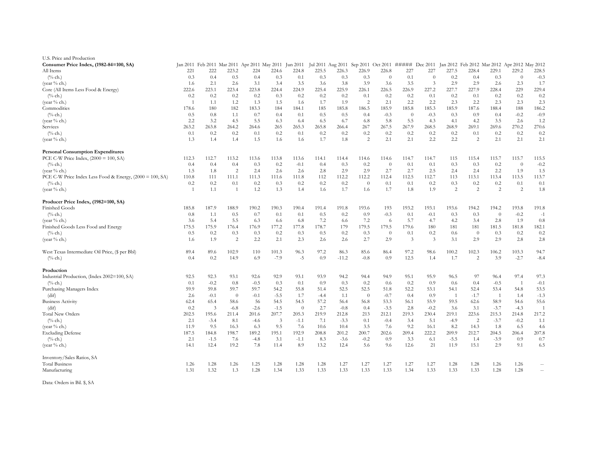| U.S. Price and Production                                |         |                |                                                       |        |                |                |        |         |                                     |                |                |          |                                                             |                |                |          |        |
|----------------------------------------------------------|---------|----------------|-------------------------------------------------------|--------|----------------|----------------|--------|---------|-------------------------------------|----------------|----------------|----------|-------------------------------------------------------------|----------------|----------------|----------|--------|
| Consumer Price Index, (1982-84=100, SA)                  |         |                | Jan 2011 Feb 2011 Mar 2011 Apr 2011 May 2011 Jun 2011 |        |                |                |        |         | Jul 2011 Aug 2011 Sep 2011 Oct 2011 |                |                |          | ##### Dec 2011 Jan 2012 Feb 2012 Mar 2012 Apr 2012 May 2012 |                |                |          |        |
| All Items                                                | 221     | 222            | 223.2                                                 | 224    | 224.6          | 224.8          | 225.5  | 226.3   | 226.9                               | 226.8          | 227            | 227      | 227.5                                                       | 228.4          | 229.1          | 229.2    | 228.5  |
| $(\%$ ch.)                                               | 0.3     | 0.4            | 0.5                                                   | 0.4    | 0.3            | 0.1            | 0.3    | 0.3     | 0.3                                 | $\overline{0}$ | 0.1            | $\Omega$ | 0.2                                                         | 0.4            | 0.3            | $\Omega$ | $-0.3$ |
| (year % ch.)                                             | 1.6     | 2.1            | 2.6                                                   | 3.1    | 3.4            | 3.5            | 3.6    | 3.8     | 3.9                                 | 3.6            | 3.5            | 3        | 2.9                                                         | 2.9            | 2.6            | 2.3      | 1.7    |
| Core (All Items Less Food & Energy)                      | 222.6   | 223.1          | 223.4                                                 | 223.8  | 224.4          | 224.9          | 225.4  | 225.9   | 226.1                               | 226.5          | 226.9          | 227.2    | 227.7                                                       | 227.9          | 228.4          | 229      | 229.4  |
| $(^{0}\!/{}_{0}$ ch.)                                    | 0.2     | 0.2            | 0.2                                                   | 0.2    | 0.3            | 0.2            | 0.2    | 0.2     | 0.1                                 | 0.2            | 0.2            | 0.1      | 0.2                                                         | 0.1            | 0.2            | 0.2      | 0.2    |
| (year % ch.)                                             |         | 1.1            | 1.2                                                   | 1.3    | 1.5            | 1.6            | 1.7    | 1.9     | $\overline{2}$                      | 2.1            | 2.2            | 2.2      | 2.3                                                         | 2.2            | 2.3            | 2.3      | 2.3    |
| Commodities                                              | 178.6   | 180            | 182                                                   | 183.3  | 184            | 184.1          | 185    | 185.8   | 186.5                               | 185.9          | 185.8          | 185.3    | 185.9                                                       | 187.6          | 188.4          | 188      | 186.2  |
| $(^{0}\!/_{0}$ ch.)                                      | 0.5     | 0.8            | 1.1                                                   | 0.7    | 0.4            | 0.1            | 0.5    | 0.5     | 0.4                                 | $-0.3$         | $\overline{0}$ | $-0.3$   | 0.3                                                         | 0.9            | 0.4            | $-0.2$   | $-0.9$ |
| (year % ch.)                                             | 2.2     | 3.2            | 4.5                                                   | 5.5    | 6.3            | -6.4           | 6.5    | 6.7     | 6.8                                 | 5.8            | 5.5            | 4.3      | 4.1                                                         | 4.2            | 3.5            | 2.6      | 1.2    |
| Services                                                 | 263.2   | 263.8          | 264.2                                                 | 264.6  | 265            | 265.3          | 265.8  | 266.4   | 267                                 | 267.5          | 267.9          | 268.5    | 268.9                                                       | 269.1          | 269.6          | 270.2    | 270.6  |
| $(^{0}\!/_{0}$ ch.)                                      | 0.1     | 0.2            | 0.2                                                   | 0.1    | 0.2            | 0.1            | 0.2    | 0.2     | 0.2                                 | 0.2            | 0.2            | 0.2      | 0.2                                                         | 0.1            | 0.2            | 0.2      | 0.2    |
| (year % ch.)                                             | 1.3     | 1.4            | 1.4                                                   | 1.5    | 1.6            | 1.6            | 1.7    | 1.8     | 2                                   | 2.1            | 2.1            | 2.2      | 2.2                                                         | 2              | 2.1            | 2.1      | 2.1    |
| <b>Personal Consumption Expenditures</b>                 |         |                |                                                       |        |                |                |        |         |                                     |                |                |          |                                                             |                |                |          |        |
| PCE C-W Price Index, $(2000 = 100, SA)$                  | 112.3   | 112.7          | 113.2                                                 | 113.6  | 113.8          | 113.6          | 114.1  | 114.4   | 114.6                               | 114.6          | 114.7          | 114.7    | 115                                                         | 115.4          | 115.7          | 115.7    | 115.5  |
| $(^{0}\!/_{0}$ ch.)                                      | 0.4     | 0.4            | 0.4                                                   | 0.3    | 0.2            | $-0.1$         | 0.4    | 0.3     | 0.2                                 | $\overline{0}$ | 0.1            | 0.1      | 0.3                                                         | 0.3            | 0.2            | $\Omega$ | $-0.2$ |
| (year % ch.)                                             | 1.5     | 1.8            | $\overline{2}$                                        | 2.4    | 2.6            | 2.6            | 2.8    | 2.9     | 2.9                                 | 2.7            | 2.7            | 2.5      | 2.4                                                         | 2.4            | 2.2            | 1.9      | 1.5    |
| PCE C-W Price Index Less Food & Energy, (2000 = 100, SA) | 110.8   | 111            | 111.1                                                 | 111.3  | 111.6          | 111.8          | 112    | 112.2   | 112.2                               | 112.4          | 112.5          | 112.7    | 113                                                         | 113.1          | 113.4          | 113.5    | 113.7  |
| $(\%$ ch.)                                               | $0.2\,$ | 0.2            | 0.1                                                   | 0.2    | 0.3            | 0.2            | 0.2    | 0.2     | $\overline{0}$                      | 0.1            | 0.1            | 0.2      | 0.3                                                         | 0.2            | 0.2            | 0.1      | 0.1    |
| (year % ch.)                                             |         | 1.1            |                                                       | 1.2    | 1.3            | 1.4            | 1.6    | 1.7     | 1.6                                 | 1.7            | 1.8            | 1.9      | 2                                                           | 2              | 2              | 2        | 1.8    |
| Producer Price Index, (1982=100, SA)                     |         |                |                                                       |        |                |                |        |         |                                     |                |                |          |                                                             |                |                |          |        |
| Finished Goods                                           | 185.8   | 187.9          | 188.9                                                 | 190.2  | 190.3          | 190.4          | 191.4  | 191.8   | 193.6                               | 193            | 193.2          | 193.1    | 193.6                                                       | 194.2          | 194.2          | 193.8    | 191.8  |
| $(\%$ ch.)                                               | 0.8     | 1.1            | 0.5                                                   | 0.7    | 0.1            | 0.1            | 0.5    | 0.2     | 0.9                                 | $-0.3$         | 0.1            | $-0.1$   | 0.3                                                         | 0.3            | $\overline{0}$ | $-0.2$   | $-1$   |
| (year % ch.)                                             | 3.6     | 5.4            | 5.5                                                   | 6.3    | 6.6            | 6.8            | 7.2    | 6.6     | 7.2                                 | -6             | 5.7            | 4.7      | 4.2                                                         | 3.4            | 2.8            | 1.9      | 0.8    |
| Finished Goods Less Food and Energy                      | 175.5   | 175.9          | 176.4                                                 | 176.9  | 177.2          | 177.8          | 178.7  | 179     | 179.5                               | 179.5          | 179.6          | 180      | 181                                                         | 181            | 181.5          | 181.8    | 182.1  |
| $(^{0}\!/_{0}$ ch.)                                      | 0.5     | 0.2            | 0.3                                                   | 0.3    | 0.2            | 0.3            | 0.5    | 0.2     | 0.3                                 | $\overline{0}$ | 0.1            | 0.2      | 0.6                                                         | $\overline{0}$ | 0.3            | 0.2      | 0.2    |
| (year $\%$ ch.)                                          | 1.6     | 1.9            | 2                                                     | 2.2    | 2.1            | 2.3            | 2.6    | 2.6     | 2.7                                 | 2.9            | 3              | 3        | 3.1                                                         | 2.9            | 2.9            | 2.8      | 2.8    |
| West Texas Intermediate Oil Price, (\$ per Bbl)          | 89.4    | 89.6           | 102.9                                                 | 110    | 101.3          | 96.3           | 97.2   | 86.3    | 85.6                                | 86.4           | 97.2           | 98.6     | 100.2                                                       | 102.3          | 106.2          | 103.3    | 94.7   |
| $(\%$ ch.)                                               | 0.4     | 0.2            | 14.9                                                  | 6.9    | $-7.9$         | $-5$           | 0.9    | $-11.2$ | $-0.8$                              | 0.9            | 12.5           | 1.4      | 1.7                                                         | 2              | 3.9            | $-2.7$   | $-8.4$ |
| Production                                               |         |                |                                                       |        |                |                |        |         |                                     |                |                |          |                                                             |                |                |          |        |
| Industrial Production, (Index 2002=100, SA)              | 92.5    | 92.3           | 93.1                                                  | 92.6   | 92.9           | 93.1           | 93.9   | 94.2    | 94.4                                | 94.9           | 95.1           | 95.9     | 96.5                                                        | 97             | 96.4           | 97.4     | 97.3   |
| $(%$ ch.)                                                | 0.1     | $-0.2$         | 0.8                                                   | $-0.5$ | 0.3            | 0.1            | 0.9    | 0.3     | 0.2                                 | 0.6            | 0.2            | 0.9      | 0.6                                                         | 0.4            | $-0.5$         |          | $-0.1$ |
| Purchasing Managers Index                                | 59.9    | 59.8           | 59.7                                                  | 59.7   | 54.2           | 55.8           | 51.4   | 52.5    | 52.5                                | 51.8           | 52.2           | 53.1     | 54.1                                                        | 52.4           | 53.4           | 54.8     | 53.5   |
| (dif)                                                    | 2.6     | $-0.1$         | $\overline{0}$                                        | $-0.1$ | $-5.5$         | 1.7            | $-4.4$ | 1.1     | $\overline{0}$                      | $-0.7$         | 0.4            | 0.9      | $\overline{1}$                                              | $-1.7$         |                | 1.4      | $-1.3$ |
| <b>Business Activity</b>                                 | 62.4    | 65.4           | 58.6                                                  | 56     | 54.5           | 54.5           | 57.2   | 56.4    | 56.8                                | 53.3           | 56.1           | 55.9     | 59.5                                                        | 62.6           | 58.9           | 54.6     | 55.6   |
| $\int \mathrm{d}\mathbf{i} f$                            | 0.2     | $\overline{3}$ | $-6.8$                                                | $-2.6$ | $-1.5$         | $\overline{0}$ | 2.7    | $-0.8$  | 0.4                                 | $-3.5$         | 2.8            | $-0.2$   | 3.6                                                         | 3.1            | $-3.7$         | $-4.3$   |        |
| <b>Total New Orders</b>                                  | 202.5   | 195.6          | 211.4                                                 | 201.6  | 207.7          | 205.3          | 219.9  | 212.8   | 213                                 | 212.1          | 219.3          | 230.4    | 219.1                                                       | 223.6          | 215.3          | 214.8    | 217.2  |
| $(%$ ch.)                                                | 2.1     | $-3.4$         | 8.1                                                   | $-4.6$ | $\overline{3}$ | $-1.1$         | 7.1    | $-3.3$  | 0.1                                 | $-0.4$         | 3.4            | 5.1      | $-4.9$                                                      | $\overline{c}$ | $-3.7$         | $-0.2$   | 1.1    |
| (year % ch.)                                             | 11.9    | 9.5            | 16.3                                                  | 6.3    | 9.5            | 7.6            | 10.6   | 10.4    | 3.5                                 | 7.6            | 9.2            | 16.1     | 8.2                                                         | 14.3           | 1.8            | 6.5      | 4.6    |
| <b>Excluding Defense</b>                                 | 187.5   | 184.8          | 198.7                                                 | 189.2  | 195.1          | 192.9          | 208.8  | 201.2   | 200.7                               | 202.6          | 209.4          | 222.2    | 209.9                                                       | 212.7          | 204.5          | 206.4    | 207.8  |
| $(^{0}/_{0}$ ch.)                                        | 2.1     | $-1.5$         | 7.6                                                   | $-4.8$ | 3.1            | $-1.1$         | 8.3    | $-3.6$  | $-0.2$                              | 0.9            | 3.3            | 6.1      | $-5.5$                                                      | 1.4            | $-3.9$         | 0.9      | 0.7    |
| (year % ch.)                                             | 14.1    | 12.4           | 19.2                                                  | 7.8    | 11.4           | 8.9            | 13.2   | 12.4    | 5.6                                 | 9.6            | 12.6           | 21       | 11.9                                                        | 15.1           | 2.9            | 9.1      | 6.5    |
| Inventory/Sales Ratios, SA                               |         |                |                                                       |        |                |                |        |         |                                     |                |                |          |                                                             |                |                |          |        |
| <b>Total Business</b>                                    | 1.26    | 1.28           | 1.26                                                  | 1.25   | 1.28           | 1.28           | 1.28   | 1.27    | 1.27                                | 1.27           | 1.27           | 1.27     | 1.28                                                        | 1.28           | 1.26           | 1.26     |        |
| Manufacturing                                            | 1.31    | 1.32           | 1.3                                                   | 1.28   | 1.34           | 1.33           | 1.33   | 1.33    | 1.33                                | 1.33           | 1.34           | 1.33     | 1.33                                                        | 1.33           | 1.28           | 1.28     |        |

Data: Orders in Bil. \$, SA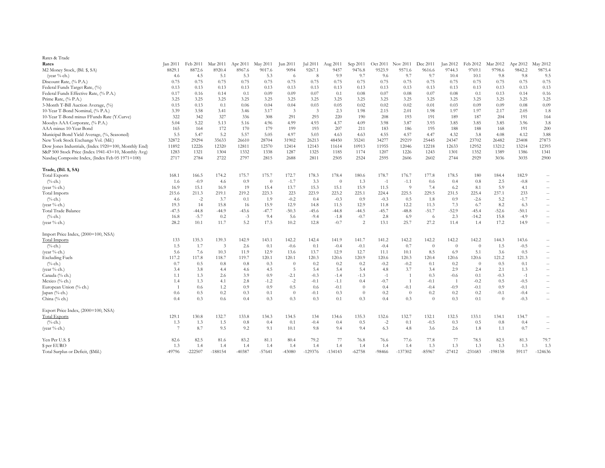| Rates & Trade                                        |                |           |           |          |                |                |                |                |                |          |           |                |                |                |                |          |               |
|------------------------------------------------------|----------------|-----------|-----------|----------|----------------|----------------|----------------|----------------|----------------|----------|-----------|----------------|----------------|----------------|----------------|----------|---------------|
| Rates                                                | Jan 2011       | Feb 2011  | Mar 2011  | Apr 2011 | May 2011       | Jun 2011       | Jul 2011       | Aug 2011       | Sep 2011       | Oct 2011 | Nov 2011  | Dec 2011       | Jan 2012       | Feb 2012       | Mar 2012       | Apr 2012 | May 2012      |
| M2 Money Stock, (Bil. \$, SA)                        | 8829.1         | 8872.6    | 8920.4    | 8967.6   | 9017.6         | 9094           | 9267.1         | 9457           | 9476.8         | 9523.9   | 9571.6    | 9616.6         | 9744.3         | 9769.1         | 9798.6         | 9842.2   | 9875.4        |
| (year $%$ ch.)                                       | 4.6            | 4.5       | 5.1       | 5.3      | 5.3            | -6             | 8              | 9.9            | 9.7            | 9.6      | 9.7       | 9.7            | 10.4           | 10.1           | 9.8            | 9.8      | 9.5           |
| Discount Rate, (% P.A.)                              | 0.75           | 0.75      | 0.75      | 0.75     | 0.75           | 0.75           | 0.75           | 0.75           | 0.75           | 0.75     | 0.75      | 0.75           | 0.75           | 0.75           | 0.75           | 0.75     | 0.75          |
| Federal Funds Target Rate, (%)                       | 0.13           | 0.13      | 0.13      | 0.13     | 0.13           | 0.13           | 0.13           | 0.13           | 0.13           | 0.13     | 0.13      | 0.13           | 0.13           | 0.13           | 0.13           | 0.13     | 0.13          |
| Federal Funds Effective Rate, (% P.A.)               | 0.17           | 0.16      | 0.14      | 0.1      | 0.09           | 0.09           | 0.07           | 0.1            | 0.08           | 0.07     | 0.08      | 0.07           | 0.08           | 0.1            | 0.13           | 0.14     | 0.16          |
| Prime Rate, (% P.A.)                                 | 3.25           | 3.25      | 3.25      | 3.25     | 3.25           | 3.25           | 3.25           | 3.25           | 3.25           | 3.25     | 3.25      | 3.25           | 3.25           | 3.25           | 3.25           | 3.25     | 3.25          |
| 3-Month T-Bill Auction Average, (%)                  | 0.15           | 0.13      | 0.1       | 0.06     | 0.04           | 0.04           | 0.03           | 0.05           | 0.02           | 0.02     | 0.02      | 0.01           | 0.03           | 0.09           | 0.09           | 0.08     | 0.09          |
| 10-Year T-Bond Nominal, (% P.A.)                     | 3.39           | 3.58      | 3.41      | 3.46     | 3.17           | 3              | $\mathfrak{Z}$ | 2.3            | 1.98           | 2.15     | 2.01      | 1.98           | 1.97           | 1.97           | 2.17           | 2.05     | 1.8           |
| 10-Year T-Bond minus FFunds Rate (Y.Curve)           | 322            | 342       | 327       | 336      | 308            | 291            | 293            | 220            | 190            | 208      | 193       | 191            | 189            | 187            | 204            | 191      | 164           |
| Moodys AAA Corporate, (% P.A.)                       | 5.04           | 5.22      | 5.13      | 5.16     | 4.96           | 4.99           | 4.93           | 4.37           | 4.09           | 3.98     | 3.87      | 3.93           | 3.85           | 3.85           | 3.85           | 3.96     | 3.8           |
| AAA minus 10-Year Bond                               | 165            | 164       | 172       | 170      | 179            | 199            | 193            | 207            | 211            | 183      | 186       | 195            | 188            | 188            | 168            | 191      | 200           |
| Municipal Bond Yield Average, (%, Seasoned)          | 5.5            | 5.47      | 5.2       | 5.57     | 5.05           | 4.97           | 5.03           | 4.63           | 4.63           | 4.55     | 4.57      | 4.47           | 4.32           | 3.8            | 4.08           | 4.12     | 3.88          |
| New York Stock Exchange Vol. (Mil.)                  | 32872          | 29294     | 35633     | 26610    | 28704          | 31902          | 26213          | 48450          | 35241          | 34277    | 29219     | 25445          | 24347          | 23702          | 26482          | 23408    | 27873         |
| Dow Jones Industrials, (Index 1920=100, Monthly End) | 11892          | 12226     | 12320     | 12811    | 12570          | 12414          | 12143          | 11614          | 10913          | 11955    | 12046     | 12218          | 12633          | 12952          | 13212          | 13214    | 12393         |
| S&P 500 Stock Price (Index 1941-43=10, Monthly Avg)  | 1283           | 1321      | 1304      | 1332     | 1338           | 1287           | 1325           | 1185           | 1174           | 1207     | 1226      | 1243           | 1301           | 1352           | 1389           | 1386     | 1341          |
| Nasdaq Composite Index, (Index Feb 05 1971=100)      | 2717           | 2784      | 2722      | 2797     | 2815           | 2688           | 2811           | 2505           | 2524           | 2595     | 2606      | 2602           | 2744           | 2929           | 3036           | 3035     | 2900          |
| Trade, (Bil. \$, SA)                                 |                |           |           |          |                |                |                |                |                |          |           |                |                |                |                |          |               |
| <b>Total Exports</b>                                 | 168.1          | 166.5     | 174.2     | 175.7    | 175.7          | 172.7          | 178.3          | 178.4          | 180.6          | 178.7    | 176.7     | 177.8          | 178.5          | 180            | 184.4          | 182.9    | $--$          |
| $(\%$ ch.)                                           | 1.6            | $-0.9$    | 4.6       | 0.9      | $\overline{0}$ | $-1.7$         | 3.3            | $\overline{0}$ | 1.3            | $-1$     | $-1.1$    | 0.6            | 0.4            | 0.8            | 2.5            | $-0.8$   | $--$          |
| (year % ch.)                                         | 16.9           | 15.1      | 16.9      | 19       | 15.4           | 13.7           | 15.3           | 15.1           | 15.9           | 11.5     | 9         | 7.4            | 6.2            | 8.1            | 5.9            | 4.1      | $--$          |
| <b>Total Imports</b>                                 | 215.6          | 211.3     | 219.1     | 219.2    | 223.3          | 223            | 223.9          | 223.2          | 225.1          | 224.4    | 225.5     | 229.5          | 231.5          | 225.4          | 237.1          | 233      | $\sim$ $\sim$ |
| $(\%$ ch.)                                           | 4.6            | $-2$      | 3.7       | 0.1      | 1.9            | $-0.2$         | 0.4            | $-0.3$         | 0.9            | $-0.3$   | 0.5       | 1.8            | 0.9            | $-2.6$         | 5.2            | $-1.7$   | $\sim$ $\sim$ |
| (year % ch.)                                         | 19.3           | 14        | 15.8      | 16       | 15.9           | 12.9           | 14.8           | 11.5           | 12.9           | 11.8     | 12.2      | 11.3           | 7.3            | 6.7            | 8.2            | 6.3      | $\sim$ $\sim$ |
| Total Trade Balance                                  | $-47.5$        | $-44.8$   | $-44.9$   | $-43.6$  | $-47.7$        | $-50.3$        | $-45.6$        | $-44.8$        | $-44.5$        | $-45.7$  | $-48.8$   | $-51.7$        | $-52.9$        | $-45.4$        | $-52.6$        | $-50.1$  | $\sim$ $\sim$ |
| $(^{0}/_{0}$ ch.)                                    | 16.8           | $-5.7$    | 0.2       | $-3$     | 9.4            | 5.6            | $-9.4$         | $-1.8$         | $-0.7$         | 2.8      | 6.9       | -6             | 2.3            | $-14.2$        | 15.8           | $-4.9$   | $\sim$ $\sim$ |
| (year % ch.)                                         | 28.2           | 10.1      | 11.7      | 5.2      | 17.5           | 10.2           | 12.8           | $-0.7$         | 2              | 13.1     | 25.7      | 27.2           | 11.4           | 1.4            | 17.2           | 14.9     | $\sim$ $\sim$ |
| Import Price Index, (2000=100, NSA)                  |                |           |           |          |                |                |                |                |                |          |           |                |                |                |                |          |               |
| <b>Total Imports</b>                                 | 133            | 135.3     | 139.3     | 142.9    | 143.1          | 142.2          | 142.4          | 141.9          | 141.7          | 141.2    | 142.2     | 142.2          | 142.2          | 142.2          | 144.3          | 143.6    | $--$          |
| $(^{0}\!/_{0}$ ch.)                                  | 1.5            | 1.7       | 3         | 2.6      | 0.1            | $-0.6$         | 0.1            | $-0.4$         | $-0.1$         | $-0.4$   | 0.7       | $\overline{0}$ | $\overline{0}$ | $\overline{0}$ | 1.5            | $-0.5$   | $\sim$ $\sim$ |
| (year % ch.)                                         | 5.6            | 7.6       | 10.3      | 11.9     | 12.9           | 13.6           | 13.7           | 12.9           | 12.7           | 11.1     | 10.1      | 8.5            | 6.9            | 5.1            | 3.6            | 0.5      | $\sim$ $\sim$ |
| <b>Excluding Fuels</b>                               | 117.2          | 117.8     | 118.7     | 119.7    | 120.1          | 120.1          | 120.3          | 120.6          | 120.9          | 120.6    | 120.3     | 120.4          | 120.6          | 120.6          | 121.2          | 121.3    | $\sim$ $\sim$ |
| $(^{0}\!/_{0}$ ch.)                                  | 0.7            | 0.5       | 0.8       | 0.8      | 0.3            | $\overline{0}$ | 0.2            | 0.2            | 0.2            | $-0.2$   | $-0.2$    | 0.1            | 0.2            | $\overline{0}$ | 0.5            | 0.1      | $\sim$ $\sim$ |
| (year % ch.)                                         | 3.4            | 3.8       | 4.4       | 4.6      | 4.5            | 5              | 5.4            | 5.4            | 5.4            | 4.8      | 3.7       | 3.4            | 2.9            | 2.4            | 2.1            | 1.3      |               |
| Canada (% ch.)                                       | 1.1            | 1.3       | 2.6       | 3.9      | 0.9            | $-2.1$         | $-0.3$         | $-1.4$         | $-1.3$         | $-1$     |           | 0.3            | $-0.6$         | 0.1            | $-0.3$         | $-1$     | $\sim$ $\sim$ |
| Mexico (% ch.)                                       | 1.4            | 1.3       | 4.1       | 2.8      | $-1.2$         | $-2$           | $-0.1$         | $-1.1$         | 0.4            | $-0.7$   |           | $-0.1$         |                | $-0.2$         | 0.5            | $-0.5$   | $\sim$ $\sim$ |
| European Union (% ch.)                               |                | 0.6       | 1.2       | 0.9      | 0.9            | 0.5            | 0.6            | $-0.1$         | $\overline{0}$ | 0.4      | $-0.1$    | $-0.4$         | $-0.9$         | $-0.1$         | 0.9            | $-0.1$   | $\sim$ $\sim$ |
| Japan (% ch.)                                        | $0.6\,$        | 0.5       | 0.2       | 0.3      | 0.1            | $\overline{0}$ | $-0.1$         | 0.3            | $\theta$       | $0.2\,$  | $\theta$  | 0.2            | $0.2\,$        | 0.2            | $-0.1$         | $-0.4$   | $\sim$ $\sim$ |
| China (% ch.)                                        | 0.4            | 0.3       | $0.6\,$   | 0.4      | 0.3            | 0.3            | 0.3            | 0.1            | 0.3            | 0.4      | 0.3       | $\overline{0}$ | 0.3            | 0.1            | $\overline{0}$ | $-0.3$   | $\sim$ $\sim$ |
| Export Price Index, (2000=100, NSA)                  |                |           |           |          |                |                |                |                |                |          |           |                |                |                |                |          |               |
| <b>Total Exports</b>                                 | 129.1          | 130.8     | 132.7     | 133.8    | 134.3          | 134.5          | 134            | 134.6          | 135.3          | 132.6    | 132.7     | 132.1          | 132.5          | 133.1          | 134.1          | 134.7    | $\sim$ $\sim$ |
| $(\%$ ch.)                                           | 1.3            | 1.3       | 1.5       | 0.8      | 0.4            | 0.1            | $-0.4$         | 0.4            | 0.5            | $-2$     | 0.1       | $-0.5$         | 0.3            | 0.5            | 0.8            | 0.4      | $\sim$ $\sim$ |
| (year % ch.)                                         | $\overline{7}$ | 8.7       | 9.5       | 9.2      | 9.1            | 10.1           | 9.8            | 9.4            | 9.4            | 6.3      | 4.8       | 3.6            | 2.6            | 1.8            | 1.1            | 0.7      | $\sim$ $\sim$ |
| Yen Per U.S. \$                                      | 82.6           | 82.5      | 81.6      | 83.2     | 81.1           | 80.4           | 79.2           | 77             | 76.8           | 76.6     | 77.6      | 77.8           | 77             | 78.5           | 82.5           | 81.3     | 79.7          |
| \$ per EURO                                          | 1.3            | 1.4       | 1.4       | 1.4      | 1.4            | 1.4            | 1.4            | 1.4            | 1.4            | 1.4      | 1.4       | 1.3            | 1.3            | 1.3            | 1.3            | 1.3      | 1.3           |
| Total Surplus or Deficit, (\$Mil.)                   | $-49796$       | $-222507$ | $-188154$ | $-40387$ | $-57641$       | $-43080$       | $-129376$      | $-134143$      | $-62758$       | -98466   | $-137302$ | $-85967$       | $-27412$       | $-231683$      | $-198158$      | 59117    | $-124636$     |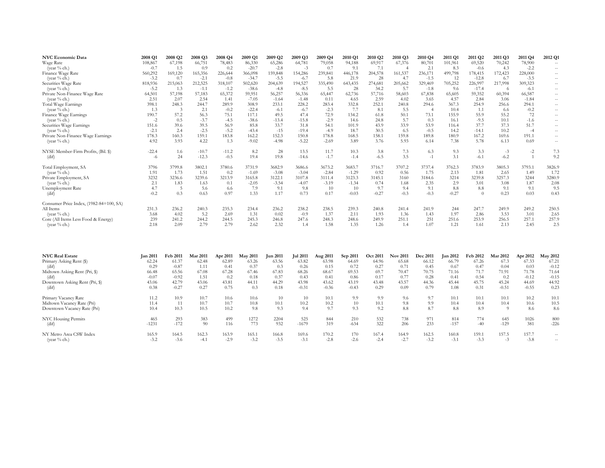| <b>NYC Economic Data</b>                | 2008 Q1 | 2008 Q2 | 2008 Q3 | 2008 Q4 | 2009 Q1 | 2009 Q2 | 2009 Q3 | 2009 Q4 | 2010 Q1 | 2010 Q2 | 2010 Q3 | 2010 Q4 | 2011 Q1 | 2011 Q2  | 2011 Q3 | 2011 Q4 | 2012 Q1 |
|-----------------------------------------|---------|---------|---------|---------|---------|---------|---------|---------|---------|---------|---------|---------|---------|----------|---------|---------|---------|
| Wage Rate                               | 108,867 | 67,198  | 66,751  | 78,483  | 86,330  | 65,286  | 64,781  | 79,058  | 94,188  | 69,917  | 67,376  | 80,701  | 101,961 | 69,520   | 70,242  | 78,900  | $--$    |
| (year % ch.)                            | $-0.7$  | 1.5     | 0.9     | 0.2     | $-20.7$ | $-2.8$  | $-3$    | 0.7     | 9.1     | 7.1     |         | 2.1     | 8.3     | $-0.6$   | 4.3     | $-2.2$  | $-  \,$ |
| Finance Wage Rate                       | 560,292 | 169,120 | 165,356 | 226,644 | 366,098 | 159,848 | 154,286 | 239,841 | 446,178 | 204,578 | 161,537 | 236,171 | 499,798 | 178,415  | 172,423 | 228,000 | $--$    |
| (year $%$ ch.)                          | $-3.2$  | 0.7     | $-2.1$  | $-0.8$  | $-34.7$ | $-5.5$  | $-6.7$  | 5.8     | 21.9    | 28      | 4.7     | $-1.5$  | 12      | $-12.8$  | 6.7     | $-3.5$  | $--$    |
| Securities Wage Rate                    | 818,936 | 215,063 | 212,525 | 318,107 | 502,620 | 204,639 | 194,527 | 335,490 | 643,435 | 274,681 | 205,662 | 329,469 | 705,252 | 226,997  | 217,998 | 309,323 | $--$    |
| (year $\%$ ch.)                         | $-5.2$  | 1.3     | $-1.1$  | $-1.2$  | $-38.6$ | $-4.8$  | $-8.5$  | 5.5     | 28      | 34.2    | 5.7     | $-1.8$  | 9.6     | $-17.4$  | -6      | $-6.1$  | $  \,$  |
| Private Non-Finance Wage Rate           | 64,501  | 57,198  | 57,183  | 65,372  | 59,951  | 56,257  | 56,336  | 65,447  | 62,736  | 57,716  | 58,603  | 67,838  | 65,605  | 59,352   | 60,394  | 66,587  | $--$    |
| (year $\%$ ch.)                         | 2.51    | 2.07    | 2.54    | 1.41    | $-7.05$ | $-1.64$ | $-1.48$ | 0.11    | 4.65    | 2.59    | 4.02    | 3.65    | 4.57    | 2.84     | 3.06    | $-1.84$ | $--$    |
| Total Wage Earnings                     | 398.1   | 248.3   | 244.7   | 289.9   | 308.9   | 233.1   | 228.2   | 283.4   | 332.8   | 252.1   | 240.8   | 294.6   | 367.3   | 254.9    | 256.6   | 294.1   | $  \,$  |
| (year $\%$ ch.)                         | 1.3     | 3       | 2.1     | $-0.2$  | $-22.4$ | $-6.1$  | $-6.7$  | $-2.3$  | 7.7     | 8.1     | 5.5     |         | 10.4    | 1.1      | 6.6     | $-0.2$  | $-  \,$ |
| Finance Wage Earnings                   | 190.7   | 57.2    | 56.3    | 75.1    | 117.1   | 49.5    | 47.4    | 72.9    | 134.2   | 61.8    | 50.1    | 73.1    | 155.9   | 55.9     | 55.2    | 72      | $--$    |
| (year $\%$ ch.)                         | $-2$    | 0.5     | $-3.7$  | $-4.5$  | $-38.6$ | $-13.4$ | $-15.8$ | $-2.9$  | 14.6    | 24.8    | 5.7     | 0.3     | 16.1    | $-9.5$   | 10.1    | $-1.6$  | $  \,$  |
| Securities Wage Earnings                | 151.6   | 39.6    | 39.5    | 56.9    | 85.8    | 33.7    | 31.8    | 54.1    | 101.9   | 43.9    | 33.9    | 53.9    | 116.4   | 37.7     | 37.3    | 51.7    | $-  \,$ |
| (year $%$ ch.)                          | $-2.1$  | 2.4     | $-2.5$  | $-5.2$  | $-43.4$ | $-15$   | $-19.4$ | $-4.9$  | 18.7    | 30.5    | 6.5     | $-0.5$  | 14.2    | $-14.1$  | 10.2    | $-4$    | $-  \,$ |
| Private Non-Finance Wage Earnings       | 178.3   | 160.3   | 159.1   | 183.8   | 162.2   | 152.3   | 150.8   | 178.8   | 168.5   | 158.1   | 159.8   | 189.8   | 180.9   | 167.2    | 169.6   | 191.1   | $--$    |
| (year $\%$ ch.)                         | 4.92    | 3.93    | 4.22    | 1.3     | $-9.02$ | $-4.98$ | $-5.22$ | $-2.69$ | 3.89    | 3.76    | 5.93    | 6.14    | 7.38    | 5.78     | 6.13    | 0.69    | $--$    |
| NYSE Member-Firm Profits, (Bil. \$)     | $-22.4$ | 1.6     | $-10.7$ | $-11.2$ | 8.2     | 28      | 13.5    | 11.7    | 10.3    | 3.8     | 7.3     | 6.3     | 9.3     | 3.3      | $-3$    | $-2$    | 7.3     |
| (dif)                                   | $-6$    | 24      | $-12.3$ | $-0.5$  | 19.4    | 19.8    | $-14.6$ | $-1.7$  | $-1.4$  | $-6.5$  | 3.5     | $-1$    | 3.1     | $-6.1$   | $-6.2$  |         | 9.2     |
| Total Employment, SA                    | 3796    | 3799.8  | 3802.1  | 3780.6  | 3731.9  | 3682.9  | 3686.6  | 3673.2  | 3683.7  | 3716.7  | 3707.2  | 3737.4  | 3762.3  | 3783.9   | 3805.3  | 3793.1  | 3826.9  |
| (year $\%$ ch.)                         | 1.91    | 1.73    | 1.51    | 0.2     | $-1.69$ | $-3.08$ | $-3.04$ | $-2.84$ | $-1.29$ | 0.92    | 0.56    | 1.75    | 2.13    | 1.81     | 2.65    | 1.49    | 1.72    |
| Private Employment, SA                  | 3232    | 3236.6  | 3239.6  | 3213.9  | 3165.8  | 3122.1  | 3107.8  | 3111.4  | 3123.3  | 3145.1  | 3160    | 3184.6  | 3214    | 3239.8   | 3257.3  | 3244    | 3280.9  |
| (year $\%$ ch.)                         | 2.1     | 1.83    | 1.63    | 0.1     | $-2.05$ | $-3.54$ | $-4.07$ | $-3.19$ | $-1.34$ | 0.74    | 1.68    | 2.35    | 2.9     | 3.01     | 3.08    | 1.87    | 2.08    |
| <b>Unemployment Rate</b>                | 4.7     | 5       | 5.6     | 6.6     | 7.9     | 9.1     | 9.8     | 10      | 10      | 9.7     | 9.4     | 9.1     | 8.8     | 8.8      | 9.1     | 9.1     | 9.5     |
| $\overline{\text{diff}}$                | $-0.2$  | 0.3     | 0.63    | 0.97    | 1.33    | 1.17    | 0.73    | 0.17    | $-0.03$ | $-0.27$ | $-0.3$  | $-0.3$  | $-0.27$ | $\Omega$ | 0.23    | 0.03    | 0.43    |
| Consumer Price Index, (1982-84=100, SA) |         |         |         |         |         |         |         |         |         |         |         |         |         |          |         |         |         |
| All Items                               | 231.3   | 236.2   | 240.3   | 235.3   | 234.4   | 236.2   | 238.2   | 238.5   | 239.3   | 240.8   | 241.4   | 241.9   | 244     | 247.7    | 249.9   | 249.2   | 250.5   |
| (year % ch.)                            | 3.68    | 4.02    | 5.2     | 2.69    | 1.31    | 0.02    | $-0.9$  | 1.37    | 2.11    | 1.93    | 1.36    | 1.43    | 1.97    | 2.86     | 3.53    | 3.01    | 2.65    |
| Core (All Items Less Food & Energy)     | 239     | 241.2   | 244.2   | 244.5   | 245.3   | 246.8   | 247.6   | 248.3   | 248.6   | 249.9   | 251.1   | 251     | 251.6   | 253.9    | 256.5   | 257.1   | 257.9   |
| (year $\%$ ch.)                         | 2.18    | 2.09    | 2.79    | 2.79    | 2.62    | 2.32    | 1.4     | 1.58    | 1.35    | 1.26    | 1.4     | 1.07    | 1.21    | 1.61     | 2.13    | 2.45    | 2.5     |

| <b>NYC Real Estate</b>         | <b>Jan 2011</b> | <b>Feb 2011</b> | <b>Mar 2011</b> | Apr 2011 | <b>May 2011</b> | <b>Jun 2011</b> | <b>Jul 2011</b> | Aug 2011 | Sep 2011 | <b>Oct 2011</b> | <b>Nov 2011</b> | <b>Dec 2011</b> | <b>Jan 2012</b> | Feb 2012 | <b>Mar 2012</b> | Apr 2012 | <b>May 2012</b>   |
|--------------------------------|-----------------|-----------------|-----------------|----------|-----------------|-----------------|-----------------|----------|----------|-----------------|-----------------|-----------------|-----------------|----------|-----------------|----------|-------------------|
| Primary Asking Rent (\$)       | 62.24           | 61.37           | 62.48           | 62.89    | 63.26           | 63.56           | 63.82           | 63.98    | 64.69    | 64.96           | 65.68           | 66.12           | 66.79           | 67.26    | 67.3            | 67.33    | 67.21             |
| (dif)                          | 0.29            | $-0.87$         | 1.11            | 0.41     | 0.37            | 0.3             | 0.26            | 0.15     | 0.72     | 0.27            | 0.71            | 0.45            | 0.67            | 0.47     | 0.04            | 0.03     | $-0.12$           |
| Midtown Asking Rent (Pri, \$)  | 66.48           | 65.56           | 67.08           | 67.28    | 67.46           | 67.83           | 68.26           | 68.67    | 69.53    | 69.7            | 70.47           | 70.75           | 71.16           | 71.7     | 71.91           | 71.78    | 71.64             |
| (dif)                          | $-0.07$         | $-0.92$         | 1.51            | 0.2      | 0.18            | 0.37            | 0.43            | 0.41     | 0.86     | 0.17            | 0.77            | 0.28            | 0.41            | 0.54     | 0.2             | $-0.12$  | $-0.15$           |
| Downtown Asking Rent (Pri, \$) | 43.06           | 42.79           | 43.06           | 43.81    | 44.11           | 44.29           | 43.98           | 43.62    | 43.19    | 43.48           | 43.57           | 44.36           | 45.44           | 45.75    | 45.24           | 44.69    | 44.92             |
| (dif)                          | 0.38            | $-0.27$         | 0.27            | 0.75     | 0.3             | 0.18            | $-0.31$         | $-0.36$  | $-0.43$  | 0.29            | 0.09            | 0.79            | 1.08            | 0.31     | $-0.51$         | $-0.55$  | 0.23              |
| Primary Vacancy Rate           | 11.2            | 10.9            | 10.7            | 10.6     | 10.6            | 10              | 10              | 10.1     | 9.9      | 9.9             | 9.6             | 9.7             | 10.1            | 10.1     | 10.1            | 10.2     | 10.1              |
| Midtown Vacancy Rate (Pri)     | 11.4            |                 | 10.7            | 10.7     | 10.8            | 10.1            | 10.2            | 10.2     | 10       | 10.1            | 9.8             | 9.9             | 10.4            | 10.4     | 10.4            | 10.6     | 10.5              |
| Downtown Vacancy Rate (Pri)    | 10.4            | 10.3            | 10.5            | 10.2     | 9.8             | 9.3             | 9.4             | 9.7      | 9.3      | 9.2             | 8.8             | 8.7             | 8.8             | 8.9      |                 | 8.6      | 8.6               |
| NYC Housing Permits            | 465             | 293             | 383             | 499      | 1272            | 2204            | 525             | 844      | 210      | 532             | 738             | 971             | 814             | 774      | 645             | 1026     | 800               |
| (dif)                          | $-1231$         | $-172$          | 90              | 116      | 773             | 932             | $-1679$         | 319      | $-634$   | 322             | 206             | 233             | $-157$          | $-40$    | $-129$          | 381      | $-226$            |
| NY Metro Area CSW Index        | 165.9           | 164.5           | 162.3           | 163.9    | 165.1           | 166.8           | 169.6           | 170.2    | 170      | 167.4           | 164.9           | 162.5           | 160.8           | 159.1    | 157.5           | 157.7    | $\qquad \qquad -$ |
| (year $%$ ch.)                 | $-3.2$          | $-3.6$          | $-4.1$          | $-2.9$   | $-3.2$          | $-3.5$          | $-3.1$          | $-2.8$   | $-2.6$   | $-2.4$          | $-2.7$          | $-3.2$          | $-3.1$          | $-3.3$   | $-1$            | $-3.8$   | $--$              |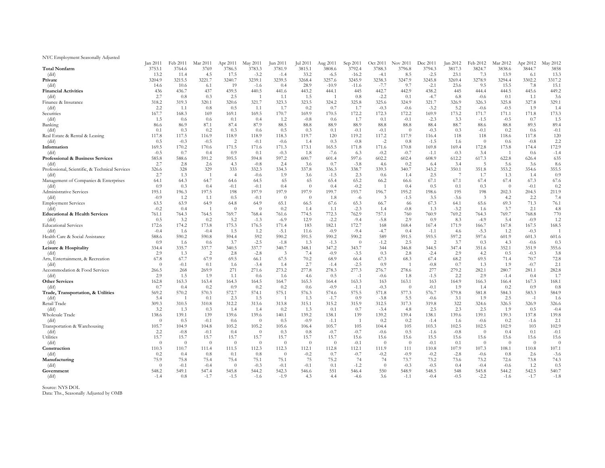NYC Employment Seasonally Adjusted

|                                                | Jan 2011          | Feb 2011        | Mar 2011        | Apr 2011                | <b>May 2011</b> | Jun 2011                | Jul 2011                | Aug 2011        | Sep 2011        | Oct 2011              | Nov 2011                | Dec 2011        | Jan 2012      | Feb 2012              | Mar 2012        | Apr 2012       | May 2012     |
|------------------------------------------------|-------------------|-----------------|-----------------|-------------------------|-----------------|-------------------------|-------------------------|-----------------|-----------------|-----------------------|-------------------------|-----------------|---------------|-----------------------|-----------------|----------------|--------------|
| <b>Total Nonfarm</b>                           | 3753.1            | 3764.6          | 3769            | 3786.5                  | 3783.3          | 3781.9                  | 3815.1                  | 3808.6          | 3792.4          | 3788.3                | 3796.8                  | 3794.3          | 3817.3        | 3824.7                | 3838.6          | 3844.7         | 3858         |
| (dif)                                          | 13.2              | 11.4            | 4.5             | 17.5                    | $-3.2$          | $-1.4$                  | 33.2                    | $-6.5$          | $-16.2$         | $-4.1$                | 8.5                     | $-2.5$          | 23.1          | 7.3                   | 13.9            | -6.1           | 13.3         |
| Private                                        | 3204.9            | 3215.5          | 3221.7          | 3240.7                  | 3239.1          | 3239.5                  | 3268.4                  | 3257.6          | 3245.9          | 3238.3                | 3247.9                  | 3245.8          | 3269.4        | 3278.9                | 3294.4          | 3302.2         | 3317.2       |
| (dif)                                          | 14.6              | 10.6            | 6.1             | 19                      | $-1.6$          | 0.4                     | 28.9                    | $-10.9$         | $-11.6$         | $-7.7$                | 9.7                     | $-2.1$          | 23.6          | 9.5                   | 15.5            | 7.8            | 15.1         |
| <b>Financial Activities</b>                    | 436               | 436.7           | 437             | 439.5                   | 440.5           | 441.6                   | 443.2                   | 444.1           | 445             | 442.7                 | 442.9                   | 438.2           | 445           | 444.4                 | 444.5           | 445.6          | 449.2        |
| (dif)                                          | 2.7               | 0.8             | 0.3             | 2.5                     |                 | 1.1                     | 1.5                     |                 | 0.8             | $-2.2$                | 0.1                     | $-4.7$          | 6.8           | $-0.6$                | 0.1             | 1.1            | 3.6          |
| Finance & Insurance                            | 318.2             | 319.3           | 320.1           | 320.6                   | 321.7           | 323.3                   | 323.5                   | 324.2           | 325.8           | 325.6                 | 324.9                   | 321.7           | 326.9         | 326.3                 | 325.8           | 327.8          | 329.1        |
| (dif)<br>Securities                            | 2.2<br>167.7      | 1.1<br>168.3    | 0.8<br>169      | 0.5<br>169.1            | 1.1<br>169.5    | 1.7<br>170.7            | 0.2<br>169.9            | 0.7<br>170.5    | 1.7<br>172.2    | $-0.3$<br>172.3       | $-0.6$<br>172.2         | $-3.2$<br>169.9 | 5.2<br>173.2  | $-0.6$<br>171.7       | $-0.5$<br>171.1 | 1.9<br>171.8   | 1.4<br>173.3 |
| (dif)                                          | 1.5               | 0.6             | 0.6             | 0.1                     | 0.4             | 1.2                     | $-0.8$                  | 0.6             | 1.7             | 0.1                   | $-0.1$                  | $-2.3$          | 3.3           | $-1.5$                | $-0.5$          | 0.7            | 1.5          |
| Banking                                        | 86.6              | 86.9            | 87.1            | 87.4                    | 87.9            | 88.5                    | 88.8                    | 88.9            | 88.9            | 88.8                  | 88.8                    | 88.4            | 88.7          | 88.6                  | 88.8            | 89.5           | 89.4         |
| (dif)                                          | 0.1               | 0.3             | $0.2\,$         | 0.3                     | 0.6             | 0.5                     | 0.3                     | 0.1             | $-0.1$          | $-0.1$                | $\Omega$                | $-0.3$          | 0.3           | $-0.1$                | 0.2             | 0.6            | $-0.1$       |
| Real Estate & Rental & Leasing                 | 117.8             | 117.5           | 116.9           | 118.9                   | 118.9           | 118.3                   | 119.7                   | 120             | 119.2           | 117.2                 | 117.9                   | 116.4           | 118           | 118                   | 118.6           | 117.8          | 120          |
| (dif)                                          | 0.5               | $-0.3$          | $-0.5$          | 2                       | $-0.1$          | $-0.6$                  | 1.4                     | 0.3             | $-0.8$          | $-2$                  | 0.8                     | $-1.5$          | 1.6           | $\overline{0}$        | 0.6             | $-0.8$         | 2.2          |
| Information                                    | 169.5             | 170.2           | 170.6           | 171.5                   | 171.6           | 171.3                   | 173.1                   | 165.5           | 171.8           | 171.6                 | 170.8                   | 169.8           | 169.4         | 172.8                 | 173.8           | 174.4          | 172.9        |
| (dif)                                          | $-0.5$            | 0.7             | 0.4             | 0.9                     | 0.1             | $-0.3$                  | 1.8                     | $-7.6$          | 6.3             | $-0.2$                | $-0.7$                  | $-1.1$          | $-0.3$        | 3.4                   | - 1             | 0.6            | $-1.4$       |
| Professional & Business Services               | 585.8             | 588.6           | 591.2           | 595.5                   | 594.8           | 597.2                   | 600.7                   | 601.4           | 597.6           | 602.2                 | 602.4                   | 608.9           | 612.2         | 617.3                 | 622.8           | 626.4          | 635          |
| (dif)                                          | 2.7               | 2.8             | 2.6             | 4.3                     | $-0.8$          | 2.4                     | 3.6                     | 0.7             | $-3.8$          | -4.6                  | 0.2                     | 6.4             | 3.4           | $\overline{5}$        | 5.6             | 3.6            | 8.6          |
| Professional, Scientific, & Technical Services | 326.6             | 328             | 329             | 333                     | 332.3           | 334.3                   | 337.8                   | 336.3           | 338.7           | 339.3                 | 340.7                   | 343.2           | 350.1         | 351.8                 | 353.2           | 354.6          | 355.5        |
| (dif)                                          | 2.7               | 1.3             |                 | $\overline{4}$          | $-0.6$          | 1.9                     | 3.6                     | $-1.5$          | 2.3             | 0.6                   | 1.4                     | 2.5             |               | 1.7                   | 1.3             | 1.4            | 0.9          |
| Management of Companies & Enterprises          | 64.1              | 64.3            | 64.7            | 64.6                    | 64.5            | 65                      | 65                      | 65.4            | 65.2            | 66.2                  | 66.6                    | 67.1            | 67.1          | 67.4                  | 67.4            | 67.3           | 67.6         |
| (dif)                                          | 0.9               | 0.3             | 0.4             | $-0.1$                  | $-0.1$          | 0.4                     | $\overline{0}$          | 0.4             | $-0.2$          |                       | 0.4                     | 0.5             | 0.1           | 0.3                   | $\overline{0}$  | $-0.1$         | 0.2          |
| <b>Administrative Services</b>                 | 195.1<br>$-0.9$   | 196.3<br>1.2    | 197.5<br>1.1    | 198<br>0.5              | 197.9<br>$-0.1$ | 197.9<br>$\overline{0}$ | 197.9<br>$\overline{0}$ | 199.7<br>1.8    | 193.7           | 196.7<br>3            | 195.2<br>$-1.5$         | 198.6<br>3.5    | 195<br>$-3.6$ | 198<br>$\overline{3}$ | 202.3<br>4.2    | 204.5<br>2.2   | 211.9<br>7.4 |
| (dif)<br><b>Employment Services</b>            | 63.5              | 63.9            | 64.9            | 64.8                    | 64.9            | 65.1                    | 66.5                    | 67.6            | -6<br>65.3      | 66.7                  | 66                      | 67.3            | 64.1          | 65.6                  | 69.3            | 71.3           | 76.1         |
| (dif)                                          | $-0.2$            | 0.4             |                 | $\overline{0}$          | $\theta$        | $0.2\,$                 | 1.4                     | 1.1             | $-2.3$          | 1.4                   | $-0.8$                  | 1.3             | $-3.2$        | 1.6                   | 3.7             | 2.1            | 4.8          |
| <b>Educational &amp; Health Services</b>       | 761.1             | 764.3           | 764.5           | 769.7                   | 768.4           | 761.6                   | 774.5                   | 772.3           | 762.9           | 757.1                 | 760                     | 760.9           | 769.2         | 764.3                 | 769.7           | 768.8          | 770          |
| (dif)                                          | 0.5               | 3.2             | 0.2             | 5.2                     | $-1.3$          | $-6.9$                  | 12.9                    | $-2.2$          | $-9.4$          | $-5.8$                | 2.9                     | 0.9             | 8.3           | $-4.9$                | 5.4             | $-0.9$         | 1.2          |
| <b>Educational Services</b>                    | 172.6             | 174.2           | 173.8           | 175.3                   | 176.5           | 171.4                   | 183                     | 182.1           | 172.7           | 168                   | 168.4                   | 167.4           | 171.9         | 166.7                 | 167.8           | 167.5          | 168.5        |
| (dif)                                          | $-0.4$            | 1.6             | $-0.4$          | 1.5                     | 1.2             | $-5.1$                  | 11.6                    | $-0.9$          | $-9.4$          | $-4.7$                | 0.4                     | $-1.1$          | 4.6           | $-5.3$                | 1.2             | $-0.3$         |              |
| Health Care & Social Assistance                | 588.6             | 590.2           | 590.8           | 594.4                   | 592             | 590.2                   | 591.5                   | 590.2           | 590.2           | 589                   | 591.5                   | 593.5           | 597.2         | 597.6                 | 601.9           | 601.3          | 601.6        |
| (dif)                                          | 0.9               | 1.6             | 0.6             | 3.7                     | $-2.5$          | $-1.8$                  | 1.3                     | $-1.3$          | $\theta$        | $-1.2$                | 2.5                     | $\overline{2}$  | 3.7           | 0.3                   | 4.3             | $-0.6$         | 0.3          |
| Leisure & Hospitality                          | 334.4             | 335.7           | 337.7           | 340.5                   | 337.7           | 340.7                   | 348.1                   | 347.2           | 343.7           | 344                   | 346.8                   | 344.5           | 347.4         | 351.6                 | 352.1           | 351.9          | 355.6        |
| (dif)                                          | 2.9               | 1.3             |                 | 2.8                     | $-2.8$          | 3                       | 7.4                     | $-0.9$          | $-3.5$          | 0.3                   | 2.8                     | $-2.4$          | 2.9           | 4.2                   | 0.5             | $-0.3$         | 3.8          |
| Arts, Entertainment, & Recreation              | 67.8              | 67.7            | 67.9            | 69.5                    | 66.1            | 67.5                    | 70.2                    | 68.9            | 66.4            | 67.3                  | 68.3                    | 67.4            | 68.2          | 69.5                  | 71.4            | 70.7           | 72.8         |
| (dif)                                          | $\Omega$          | $-0.1$          | 0.1             | 1.6                     | $-3.4$          | 1.4                     | 2.7                     | $-1.4$          | $-2.5$          | 0.9                   |                         | $-0.8$          | 0.7           | 1.3                   | 1.9             | $-0.7$         | 2.1          |
| Accommodation & Food Services                  | 266.5             | 268             | 269.9           | 271                     | 271.6           | 273.2                   | 277.8                   | 278.3           | 277.3           | 276.7                 | 278.6                   | 277             | 279.2         | 282.1                 | 280.7           | 281.1          | 282.8        |
| (dif)<br><b>Other Services</b>                 | 2.9               | 1.5             | 1.9             | 1.1                     | 0.6             | 1.6                     | 4.6                     | 0.5             | $-1$            | $-0.6$                | 1.8                     | $-1.5$          | 2.2           | 2.9                   | $-1.4$          | 0.4            | 1.7          |
| (dif)                                          | 162.8<br>0.7      | 163.3<br>0.4    | 163.4<br>0.2    | 164.3<br>0.9            | 164.5<br>0.2    | 164.7<br>0.2            | 165.3<br>0.6            | 164.4<br>$-0.9$ | 163.3<br>$-1.1$ | 163<br>$-0.3$         | 163.1<br>$\overline{0}$ | 163<br>$-0.1$   | 164.9<br>1.9  | 166.3<br>1.4          | 166.4<br>0.2    | 167.3<br>0.9   | 168.1<br>0.8 |
| Trade, Transportation, & Utilities             | 569.2             | 570.2           | 570.3           | 572.7                   | 574.1           | 575.1                   | 576.3                   | 574.6           | 575.5           | 571.8                 | 577.3                   | 576.7           | 579.8         | 581.8                 | 584.3           | 583.3          | 584.9        |
| (dif)                                          | 5.4               |                 | 0.1             | 2.3                     | 1.5             |                         | 1.3                     | $-1.7$          | 0.9             | $-3.8$                | 5.5                     | $-0.6$          | 3.1           | 1.9                   | 2.5             | $-1$           | 1.6          |
| Retail Trade                                   | 309.3             | 310.5           | 310.8           | 312.2                   | 313.6           | 313.8                   | 315.1                   | 315.2           | 315.9           | 312.5                 | 317.3                   | 319.8           | 322           | 324.6                 | 326.5           | 326.9          | 326.6        |
| (dif)                                          | 3.2               | 1.3             | 0.3             | 1.4                     | 1.4             | 0.2                     | 1.3                     | 0.1             | 0.7             | $-3.4$                | 4.8                     | 2.5             | 2.3           | 2.5                   | 1.9             | 0.5            | $-0.4$       |
| Wholesale Trade                                | 138.6             | 139.1           | 139             | 139.6                   | 139.6           | 140.1                   | 139.2                   | 138.1           | 139             | 139.2                 | 139.4                   | 138.1           | 139.6         | 139.1                 | 139.3           | 137.8          | 139.8        |
| (dif)                                          | $\theta$          | 0.5             | $-0.1$          | 0.6                     | $\overline{0}$  | 0.5                     | $-0.9$                  | $-1.1$          |                 | 0.2                   | 0.2                     | $-1.4$          | 1.6           | $-0.6$                | 0.2             | $-1.6$         | 2.1          |
| Transportation & Warehousing                   | 105.7             | 104.9           | 104.8           | 105.2                   | 105.2           | 105.6                   | 106.4                   | 105.7           | 105             | 104.4                 | 105                     | 103.3           | 102.5         | 102.5                 | 102.9           | 103            | 102.9        |
| (dif)                                          | 2.2               | $-0.8$          | $-0.1$          | 0.4                     | $\overline{0}$  | 0.3                     | 0.8                     | $-0.7$          | $-0.7$          | $-0.6$                | 0.5                     | $-1.6$          | $-0.8$        | $\overline{0}$        | 0.4             | 0.1            | $-0.1$       |
| Utilities                                      | 15.7              | 15.7            | 15.7            | 15.7                    | 15.7            | 15.7                    | 15.7                    | 15.7            | 15.6            | 15.6                  | 15.6                    | 15.5            | 15.6          | 15.6                  | 15.6            | 15.6           | 15.6         |
| (dif)                                          | $\theta$          | $\overline{0}$  | $\overline{0}$  | $\overline{0}$          | $\overline{0}$  | $\overline{0}$          | $\overline{0}$          | $\overline{0}$  | $-0.1$          | $\overline{0}$        | $\overline{0}$          | $-0.1$          | 0.1           | $\overline{0}$        | $\overline{0}$  | $\overline{0}$ | $\theta$     |
| Construction                                   | 110.3             | 110.7           | 111.4           | 111.5                   | 112.3           | 112.3                   | 112.1                   | 112.8           | 112.1           | 111.9                 | 111                     | 110.8           | 107.9         | 107.3                 | 108.1           | 110.8          | 107.1        |
| (dif)                                          | 0.2               | 0.4             | 0.8             | 0.1                     | 0.8             | $\overline{0}$          | $-0.2$                  | 0.7             | $-0.7$          | $-0.2$                | $-0.9$                  | $-0.2$          | $-2.8$        | $-0.6$                | 0.8             | 2.6            | $-3.6$       |
| Manufacturing                                  | 75.9              | 75.8            | 75.4            | 75.4                    | 75.1            | 75.1                    | 75                      | 75.2            | 74              | 74                    | 73.7                    | 73.2            | 73.6          | 73.2                  | 72.6            | 73.8           | 74.3         |
| (dif)<br>Government                            | $\theta$<br>548.2 | $-0.1$<br>549.1 | $-0.4$<br>547.4 | $\overline{0}$<br>545.8 | $-0.3$<br>544.2 | $-0.1$<br>542.3         | $-0.1$<br>546.6         | 0.1<br>551      | $-1.2$<br>546.4 | $\overline{0}$<br>550 | $-0.3$<br>548.9         | $-0.5$<br>548.5 | 0.4<br>548    | $-0.4$<br>545.8       | $-0.6$<br>544.2 | 1.2<br>542.5   | 0.5<br>540.7 |
| (dif)                                          | $-1.4$            | 0.8             | $-1.7$          | $-1.5$                  | $-1.6$          | $-1.9$                  | 4.3                     | 4.4             | $-4.6$          | 3.6                   | $-1.1$                  | $-0.4$          | $-0.5$        | $-2.2$                | $-1.6$          | $-1.7$         | $-1.8$       |
|                                                |                   |                 |                 |                         |                 |                         |                         |                 |                 |                       |                         |                 |               |                       |                 |                |              |

Source: NYS DOL

Data: Ths., Seasonally Adjusted by OMB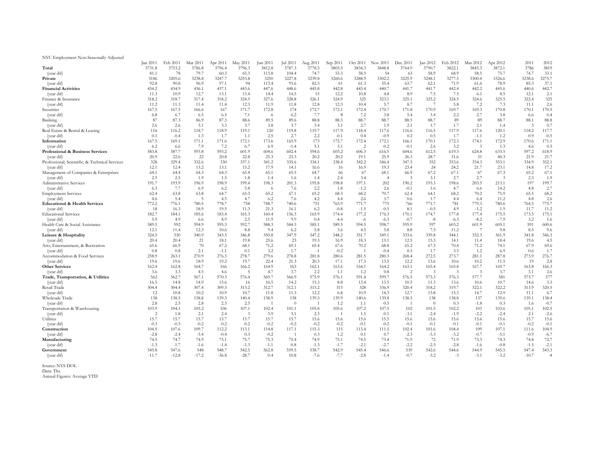| Total<br>3731.8<br>3753.2<br>3786.8<br>3796.4<br>3787.3<br>3778.5<br>3834.3<br>3848.8<br>3764.9<br>3790.7<br>3822.1<br>3845.3<br>3872.1<br>3786<br>3819<br>3796.3<br>3812.8<br>3803.5<br>33.1<br>78<br>79.7<br>60.3<br>65.3<br>74.7<br>53.3<br>58.5<br>54<br>58.9<br>58.5<br>75.7<br>74.7<br>(year dif)<br>81.1<br>113.8<br>104.4<br>68.9<br>63<br>3275.7<br>3227.8<br>3239.8<br>3302.2<br>3277.5<br>3205.6<br>3238.8<br>3247.7<br>3253.8<br>3288.9<br>3225.9<br>3248.1<br>3326.6<br>3238.6<br>Private<br>3186<br>3250<br>3260.6<br>3300.4<br>37.1<br>(year dif)<br>97.1<br>94<br>82.3<br>55.4<br>71.9<br>92.8<br>113.4<br>93.6<br>63.7<br>62.1<br>78.9<br>85.3<br>90.8<br>96.9<br>-61<br>61.3<br>61.6<br>442.7<br><b>Financial Activities</b><br>437.1<br>442.2<br>434.2<br>434.9<br>443.6<br>445.8<br>442.8<br>443.4<br>441.7<br>441.7<br>442.4<br>436.1<br>447.6<br>448.6<br>440.7<br>445.6<br>440.6<br>7.5<br>2.1<br>(year dif)<br>15<br>7.5<br>11.3<br>10.9<br>12.7<br>13.1<br>14.5<br>12.2<br>8.9<br>12.1<br>14.4<br>4.8<br>8.5<br>13.4<br>10.8<br>-6.1<br>325<br>318.7<br>325.2<br>318.2<br>317.4<br>318.2<br>324.5<br>327.6<br>328.8<br>326.1<br>325<br>323.1<br>325.1<br>324.5<br>325.5<br>322.4<br>Finance & Insurance<br>324.9<br>324.6<br>(year dif)<br>5.7<br>7.2<br>2.6<br>11.2<br>11.3<br>12.3<br>12.8<br>12.3<br>8.7<br>7.3<br>11.1<br>11.4<br>11.4<br>11.9<br>11.8<br>5.8<br>10.4<br>Securities<br>172.7<br>170.7<br>170.5<br>167.5<br>167.5<br>171.7<br>172.8<br>174<br>172.1<br>172.4<br>171.8<br>170.9<br>169.7<br>169.3<br>170.8<br>167<br>170.1<br>166.6<br>(year dif)<br>7.7<br>7.2<br>2.7<br>0.4<br>6.7<br>7.1<br>3.8<br>2.2<br>6.8<br>6.5<br>6.2<br>- 8<br>-5.4<br>3.4<br>3.8<br>6.5<br>6.6<br>- 6<br>88.8<br>Banking<br>88.6<br>88.7<br>89<br>87<br>87.3<br>87.3<br>89.6<br>88.8<br>88.3<br>88.7<br>88.5<br>88.7<br>89<br>88.7<br>88.1<br>86.9<br>89.5<br>1.7<br>0.7<br>3.7<br>3.7<br>3.4<br>3.1<br>2.7<br>2.1<br>1.7<br>2.6<br>2.6<br>3.1<br>3.3<br>3.8<br>1.9<br>2.1<br>3<br>1.4<br>(year dif)<br>117.7<br>119.1<br>119.7<br>117.9<br>117.6<br>117.9<br>117.6<br>Real Estate & Rental & Leasing<br>116<br>116.2<br>118.7<br>118.9<br>120<br>119.8<br>116.5<br>120.1<br>118.2<br>118.4<br>116.6<br>(year dif)<br>0.1<br>2.2<br>1.7<br>$-0.5$<br>1.3<br>1.7<br>1.1<br>2.5<br>2.7<br>$-0.1$<br>$-0.9$<br>0.2<br>0.5<br>$-1.1$<br>1.2<br>0.9<br>$-0.4$<br>0.4<br>167.5<br>171.6<br>172.1<br>165.9<br>173<br>172.7<br>172.4<br>172.1<br>172.3<br>174.1<br>172.9<br>171.1<br>169.1<br>171.1<br>173.6<br>166.1<br>170.1<br>170.6<br>Information<br>7.2<br>5.1<br>3.2<br>(year dif)<br>6.2<br>7.9<br>6.7<br>3.1<br>$-0.2$<br>2.6<br>0.5<br>6.6<br>6.9<br>2<br>$-0.1$<br>3<br>1.3<br>$-1.4$<br>4.6<br>587.7<br><b>Professional &amp; Business Services</b><br>583.8<br>593.2<br>603.2<br>612.5<br>619.3<br>624.8<br>633.5<br>597.2<br>618.9<br>593.8<br>601.9<br>602.4<br>594.6<br>606.3<br>616.5<br>604.6<br>604.6<br>21.7<br>22.8<br>20.2<br>28.7<br>31.6<br>31<br>21.9<br>(year dif)<br>20.9<br>22.6<br>22<br>20.8<br>25.3<br>23.3<br>20.2<br>19.1<br>25.9<br>26.3<br>40.3<br>352.1<br>328<br>337.1<br>353.6<br>Professional, Scientific, & Technical Services<br>329.4<br>332.6<br>330<br>341.2<br>335.6<br>334.1<br>338.4<br>342.2<br>346.4<br>347.5<br>352<br>354.3<br>353.1<br>334.9<br>17.2<br>12.1<br>23.4<br>24<br>24.2<br>21.7<br>23.1<br>12.4<br>13.2<br>13.1<br>15.2<br>17.9<br>14.1<br>19.3<br>14.8<br>(year dif)<br>16.6<br>16.9<br>16<br>67.1<br>64.7<br>67.2<br>67.1<br>67<br>67.3<br>Management of Companies & Enterprises<br>64.1<br>64.3<br>65.4<br>65.1<br>65.5<br>67<br>68.1<br>66.9<br>65.2<br>64.4<br>64.3<br>-66<br>2.7<br>2.5<br>1.5<br>3.1<br>2.7<br>1.9<br>(year dif)<br>2.5<br>1.8<br>1.4<br>2.4<br>3.4<br>2.3<br>1.9<br>3<br>1.4<br>1.6<br><b>Administrative Services</b><br>199.4<br>190.2<br>198.6<br>203.5<br>197<br>199.7<br>193.9<br>198.9<br>198.3<br>195.8<br>198.8<br>197.1<br>193.3<br>213.1<br>191.7<br>196.9<br>201.3<br>202<br>(year dif)<br>7.7<br>5.8<br>7.6<br>$-0.1$<br>4.8<br>2.7<br>2.2<br>2.6<br>4.7<br>14.2<br>6.9<br>6.2<br>1.8<br>$-1.2$<br>6.3<br>1.6<br>-6.6<br>- 6<br>70.7<br>68.2<br>63.8<br>68.2<br>70.2<br>63.8<br>65.3<br>65.2<br>67.1<br>65.2<br>68.3<br>68.2<br>62.4<br>75.9<br>62.4<br>64.7<br>64.1<br>65.5<br><b>Employment Services</b><br>2.6<br>5.4<br>4.7<br>7.6<br>4.2<br>3.7<br>11.2<br>(year dif)<br>4.5<br>6.2<br>2.6<br>0.6<br>4.4<br>4.8<br>4.6<br>-5<br>4.4<br>1.7<br>-6.4<br>751<br>775<br>771.7<br>775.7<br>776.1<br>778.7<br>758<br>771.7<br>779.3<br><b>Educational &amp; Health Services</b><br>772.2<br>740.6<br>766<br>781<br>780.6<br>764.5<br>780.5<br>748.7<br>763.9<br>11.2<br>19.5<br>6.2<br>$-1.2$<br>(year dif)<br>18<br>16.3<br>18.9<br>11.3<br>$-0.8$<br>$-0.5$<br>8.1<br>4.9<br>11.7<br>21.3<br>16.1<br>$-1.5$<br>$-0.5$<br>1.9<br>177.2<br>175.1<br><b>Educational Services</b><br>182.7<br>165.3<br>165.9<br>176.3<br>170.1<br>177.8<br>177.4<br>175.5<br>173.5<br>185.6<br>183.4<br>156.3<br>174.4<br>174.7<br>184.1<br>160.4<br>2.5<br>(year dif)<br>3.2<br>5.9<br>8.9<br>9.9<br>0.4<br>$-6.3$<br>$-0.7$<br>$-6.3$<br>$-8.2$<br>$-7.9$<br>1.6<br>4.9<br>11.9<br>-8<br>-6.6<br>$-4.4$<br>-6<br>592.7<br>Health Care & Social Assistance<br>592<br>585.1<br>598.7<br>597<br>603.2<br>601.9<br>591<br>600.6<br>589.5<br>594.9<br>595.3<br>588.3<br>584.3<br>589.5<br>594.5<br>595.9<br>605.1<br>7.5<br>$\overline{7}$<br>12.1<br>8.8<br>5.8<br>5.8<br>11.2<br>9.6<br>(year dif)<br>11.4<br>12.3<br>10.6<br>3.6<br>8.8<br>8.5<br>9.4<br>6.2<br>9.8<br>4.5<br>347.2<br>346.3<br>Leisure & Hospitality<br>324.5<br>330<br>340.9<br>343.5<br>350.8<br>347.9<br>348.2<br>349.1<br>333.6<br>339.8<br>352.3<br>341.8<br>346.8<br>351.7<br>344.1<br>361.9<br>(year dif)<br>23<br>19.3<br>20.4<br>20.4<br>21<br>18.1<br>19.8<br>25.6<br>16.9<br>18.3<br>13.1<br>12.5<br>15.3<br>14.1<br>11.4<br>18.4<br>19.6<br>4.5<br>71.2<br>70.2<br>67.3<br>70.4<br>71.2<br>67.9<br>69.6<br>Arts, Entertainment, & Recreation<br>65.6<br>66.9<br>70<br>67.2<br>68.1<br>69.1<br>67.6<br>68.8<br>65.2<br>74.1<br>65.4<br>1.2<br>0.8<br>2.1<br>0.1<br>3.2<br>1.7<br>$-0.2$<br>$-0.4$<br>0.3<br>1.7<br>3.5<br>6.9<br>(year dif)<br>0.8<br>$-1.1$<br>1.7<br>$-1$<br>0.6<br>276.3<br>278.8<br>272.5<br>273.7<br>276.7<br>258.9<br>270.9<br>278.7<br>279.6<br>281.5<br>280.3<br>287.8<br>273.9<br>263.1<br>281.8<br>280.6<br>268.4<br>281.1<br>Accommodation & Food Services<br>2.8<br>(year dif)<br>19.6<br>19.2<br>19.7<br>20.3<br>17.3<br>13.5<br>12.2<br>10.2<br>19<br>19.6<br>18.9<br>22.4<br>21.3<br>17.1<br>13.6<br>10.6<br>11.5<br><b>Other Services</b><br>162.4<br>167.7<br>166.3<br>162.8<br>166.2<br>164.9<br>162.1<br>164.2<br>163.1<br>165.4<br>165.8<br>169.7<br>163.8<br>164.7<br>166<br>163<br>163.6<br>164.1<br>2.6<br>(year dif)<br>3.6<br>3.3<br>5<br>3.7<br>2.2<br>0.8<br>2<br>3.1<br>4.5<br>4.7<br>1.1<br>1.2<br>-3<br>3.7<br>4.6<br>-3<br>-3<br>577<br>Trade, Transportation, & Utilities<br>562<br>562.7<br>575.9<br>599.7<br>576.3<br>577.7<br>573.7<br>567.1<br>570.3<br>576.4<br>569.7<br>566.9<br>576.1<br>591.4<br>576.5<br>573.3<br>581<br>3.3<br>(year dif)<br>16.5<br>14.8<br>15.6<br>16<br>16.5<br>15.3<br>13.5<br>13.6<br>10.7<br>14.9<br>14.2<br>8.8<br>13.4<br>10.5<br>11.3<br>10.6<br>14.6<br>Retail Trade<br>320.5<br>304.4<br>309.3<br>313.2<br>312.7<br>312.1<br>315.2<br>315<br>328<br>336.9<br>319.7<br>322.1<br>322.2<br>313.9<br>304.4<br>307.4<br>320.4<br>318.2<br>(year dif)<br>12<br>10.7<br>12.2<br>6.8<br>15.3<br>14.7<br>11.1<br>6.7<br>10.8<br>10.9<br>11.8<br>11.3<br>10.9<br>14.3<br>12.7<br>13.8<br>12.9<br>10.2<br>Wholesale Trade<br>137<br>138<br>138<br>139.3<br>139.8<br>138.5<br>138.8<br>138.4<br>138.5<br>138.8<br>139.3<br>140.4<br>138.9<br>139.9<br>140.6<br>138<br>139.6<br>139.1<br>2.8<br>2.5<br>$-0.7$<br>(year dif)<br>2.5<br>2.8<br>2.5<br>$\overline{0}$<br>1.2<br>1.1<br>$-0.5$<br>0.3<br>$-1.8$<br>1.6<br>$\overline{0}$<br>0.3<br>107.1<br>102.5<br>103.9<br>105.2<br>107.2<br>107.5<br>102<br>102.2<br>Transportation & Warehousing<br>104.1<br>106<br>102.4<br>101.1<br>105.8<br>105.6<br>103<br>103.6<br>101.5<br>105.1<br>$-2.6$<br>$-3.1$<br>$-2.2$<br>$\overline{2}$<br>2.1<br>2.4<br>$\overline{3}$<br>3.9<br>3.1<br>2.3<br>1.5<br>$-0.1$<br>$-1.9$<br>$-2.4$<br>(year dif)<br>1.8<br>$-2.4$<br>2.1<br>Utilities<br>15.7<br>15.7<br>15.7<br>15.7<br>15.7<br>15.6<br>15.7<br>15.7<br>15.7<br>15.6<br>15.5<br>15.6<br>15.6<br>15.6<br>15.6<br>15.6<br>15.6<br>15.6<br>$-0.3$<br>$-0.3$<br>$-0.2$<br>$-0.2$<br>$-0.2$<br>$-0.2$<br>$-0.1$<br>$-0.2$<br>$-0.1$<br>$-0.1$<br>$-0.1$<br>$-0.1$<br>$-0.2$<br>$-0.1$<br>$-0.2$<br>$-0.2$<br>$-0.2$<br>$-0.1$<br>(year dif)<br>112.2<br>113.1<br>117.1<br>115<br>111.5<br>109<br>104.9<br>104.9<br>107.6<br>109.7<br>114.8<br>115.3<br>113.4<br>102.4<br>101.6<br>104.4<br>107.1<br>111.6<br>Construction<br>(year dif)<br>$-3.2$<br>$-0.7$<br>$-6.7$<br>$-2.8$<br>$-0.4$<br>0.3<br>0.3<br>1.2<br>0.7<br>$-2.3$<br>$-5.1$<br>$-0.9$<br>$-2.4$<br>$-3.4$<br>$-0.2$<br>0.1<br>$-3.3$<br>72.7<br>74.7<br>75.1<br>75.7<br>75.4<br>75.1<br>73.4<br>72<br>73.3<br>Manufacturing<br>74.5<br>74.9<br>71.9<br>71.9<br>74.8<br>74.9<br>75.3<br>74.5<br>74.3<br>(year dif)<br>$-1.3$<br>$-1.7$<br>$-2.7$<br>$-2.2$<br>$-2.8$<br>$-1.5$<br>$-2.1$<br>$-1.4$<br>$-1.3$<br>$-1.1$<br>$-0.8$<br>$-1.3$<br>$-1.7$<br>$-2.1$<br>$-2.5$<br>$-1.6$<br>$-0.8$<br>$-1.6$<br>545.8<br>542.5<br>539<br>543.3<br>547.6<br>548.7<br>559.5<br>538.7<br>542.9<br>545.4<br>546.6<br>542.6<br>544.6<br>544.9<br>545.5<br>547.4<br>548<br>562.8<br>Government<br>$-11.7$<br>$-28.7$<br>$-10.7$<br>(year dif)<br>$-12.8$<br>$-17.2$<br>$-36.8$<br>$-7.6$<br>$-7.7$<br>$-2.8$<br>$-0.7$<br>$-3.2$<br>$-3.1$<br>$-3.2$<br>0.4<br>10.8<br>$-1.4$<br>$-3$<br>$-4$ | NYC Employment Non-Seasonally Adjusted |          |          |          |          |                |         |          |          |         |          |                 |          |          |          |          |          |     |      |
|--------------------------------------------------------------------------------------------------------------------------------------------------------------------------------------------------------------------------------------------------------------------------------------------------------------------------------------------------------------------------------------------------------------------------------------------------------------------------------------------------------------------------------------------------------------------------------------------------------------------------------------------------------------------------------------------------------------------------------------------------------------------------------------------------------------------------------------------------------------------------------------------------------------------------------------------------------------------------------------------------------------------------------------------------------------------------------------------------------------------------------------------------------------------------------------------------------------------------------------------------------------------------------------------------------------------------------------------------------------------------------------------------------------------------------------------------------------------------------------------------------------------------------------------------------------------------------------------------------------------------------------------------------------------------------------------------------------------------------------------------------------------------------------------------------------------------------------------------------------------------------------------------------------------------------------------------------------------------------------------------------------------------------------------------------------------------------------------------------------------------------------------------------------------------------------------------------------------------------------------------------------------------------------------------------------------------------------------------------------------------------------------------------------------------------------------------------------------------------------------------------------------------------------------------------------------------------------------------------------------------------------------------------------------------------------------------------------------------------------------------------------------------------------------------------------------------------------------------------------------------------------------------------------------------------------------------------------------------------------------------------------------------------------------------------------------------------------------------------------------------------------------------------------------------------------------------------------------------------------------------------------------------------------------------------------------------------------------------------------------------------------------------------------------------------------------------------------------------------------------------------------------------------------------------------------------------------------------------------------------------------------------------------------------------------------------------------------------------------------------------------------------------------------------------------------------------------------------------------------------------------------------------------------------------------------------------------------------------------------------------------------------------------------------------------------------------------------------------------------------------------------------------------------------------------------------------------------------------------------------------------------------------------------------------------------------------------------------------------------------------------------------------------------------------------------------------------------------------------------------------------------------------------------------------------------------------------------------------------------------------------------------------------------------------------------------------------------------------------------------------------------------------------------------------------------------------------------------------------------------------------------------------------------------------------------------------------------------------------------------------------------------------------------------------------------------------------------------------------------------------------------------------------------------------------------------------------------------------------------------------------------------------------------------------------------------------------------------------------------------------------------------------------------------------------------------------------------------------------------------------------------------------------------------------------------------------------------------------------------------------------------------------------------------------------------------------------------------------------------------------------------------------------------------------------------------------------------------------------------------------------------------------------------------------------------------------------------------------------------------------------------------------------------------------------------------------------------------------------------------------------------------------------------------------------------------------------------------------------------------------------------------------------------------------------------------------------------------------------------------------------------------------------------------------------------------------------------------------------------------------------------------------------------------------------------------------------------------------------------------------------------------------------------------------------------------------------------------------------------------------------------------------------------------------------------------------------------------------------------------------------------------------------------------------------------------------------------------------------------------------------------------------------------------------------------------------------------------------------------------------------------------------------------------------------------------------------------------------------------------------------------------------------------------------------------------------------------------------------------------------------------------------------------------------------------------------------------------------------------------------------------------------------------------------------------------------------------------------------------------------------------------------------------------------------------------------------------------------------------------------------------------------------------------------------------------------------------------------------------------------------------------------------------------------------------------------------------------------------------------------------------------------------------------------------------------------------------------------------------------------------------------------------------------------------------------------------------------------------------------------------------------------------------------------------------------------------------------------------------------------------------------------------------------------------------------------------------------------------------------------------------------------------------------------------------------------------------------------------------------------------------------------------------------------------------------------------------------------------------------------------------------------------------------------------------------------------------------------------------------------------------------------------------------------------------------------------------------------------------------------------------------------------------------------------------------------------------------------------------------------------------------------------------------------------------------------------------------------------------------------------------------------------------------------------------------------------------------------------------------------------------------------------------------------------------------------------------------------------------------------------------------------------------------------------------------------------------------------------------------------------------------------------------------------------------------------------------------------------------------------------------------------------------------------------------------------------------------|----------------------------------------|----------|----------|----------|----------|----------------|---------|----------|----------|---------|----------|-----------------|----------|----------|----------|----------|----------|-----|------|
|                                                                                                                                                                                                                                                                                                                                                                                                                                                                                                                                                                                                                                                                                                                                                                                                                                                                                                                                                                                                                                                                                                                                                                                                                                                                                                                                                                                                                                                                                                                                                                                                                                                                                                                                                                                                                                                                                                                                                                                                                                                                                                                                                                                                                                                                                                                                                                                                                                                                                                                                                                                                                                                                                                                                                                                                                                                                                                                                                                                                                                                                                                                                                                                                                                                                                                                                                                                                                                                                                                                                                                                                                                                                                                                                                                                                                                                                                                                                                                                                                                                                                                                                                                                                                                                                                                                                                                                                                                                                                                                                                                                                                                                                                                                                                                                                                                                                                                                                                                                                                                                                                                                                                                                                                                                                                                                                                                                                                                                                                                                                                                                                                                                                                                                                                                                                                                                                                                                                                                                                                                                                                                                                                                                                                                                                                                                                                                                                                                                                                                                                                                                                                                                                                                                                                                                                                                                                                                                                                                                                                                                                                                                                                                                                                                                                                                                                                                                                                                                                                                                                                                                                                                                                                                                                                                                                                                                                                                                                                                                                                                                                                                                                                                                                                                                                                                                                                                                                                                                                                                                                                                                                                                                                                                                                                                                                                                                                                                                                                                                                                                                                                                                                                                                                                                                                                                                                                                                                                                                                                                                                                                                                                                                                                                                                                                                                                                            |                                        | Jan 2011 | Feb 2011 | Mar 2011 | Apr 2011 | <b>May 201</b> | Jun 201 | Jul 2011 | Aug 2011 | Sep 201 | Oct 2011 | <b>Nov 2011</b> | Dec 2011 | Jan 2012 | Feb 2012 | Mar 2012 | Apr 2012 | 201 | 2012 |
|                                                                                                                                                                                                                                                                                                                                                                                                                                                                                                                                                                                                                                                                                                                                                                                                                                                                                                                                                                                                                                                                                                                                                                                                                                                                                                                                                                                                                                                                                                                                                                                                                                                                                                                                                                                                                                                                                                                                                                                                                                                                                                                                                                                                                                                                                                                                                                                                                                                                                                                                                                                                                                                                                                                                                                                                                                                                                                                                                                                                                                                                                                                                                                                                                                                                                                                                                                                                                                                                                                                                                                                                                                                                                                                                                                                                                                                                                                                                                                                                                                                                                                                                                                                                                                                                                                                                                                                                                                                                                                                                                                                                                                                                                                                                                                                                                                                                                                                                                                                                                                                                                                                                                                                                                                                                                                                                                                                                                                                                                                                                                                                                                                                                                                                                                                                                                                                                                                                                                                                                                                                                                                                                                                                                                                                                                                                                                                                                                                                                                                                                                                                                                                                                                                                                                                                                                                                                                                                                                                                                                                                                                                                                                                                                                                                                                                                                                                                                                                                                                                                                                                                                                                                                                                                                                                                                                                                                                                                                                                                                                                                                                                                                                                                                                                                                                                                                                                                                                                                                                                                                                                                                                                                                                                                                                                                                                                                                                                                                                                                                                                                                                                                                                                                                                                                                                                                                                                                                                                                                                                                                                                                                                                                                                                                                                                                                                                            |                                        |          |          |          |          |                |         |          |          |         |          |                 |          |          |          |          |          |     |      |
|                                                                                                                                                                                                                                                                                                                                                                                                                                                                                                                                                                                                                                                                                                                                                                                                                                                                                                                                                                                                                                                                                                                                                                                                                                                                                                                                                                                                                                                                                                                                                                                                                                                                                                                                                                                                                                                                                                                                                                                                                                                                                                                                                                                                                                                                                                                                                                                                                                                                                                                                                                                                                                                                                                                                                                                                                                                                                                                                                                                                                                                                                                                                                                                                                                                                                                                                                                                                                                                                                                                                                                                                                                                                                                                                                                                                                                                                                                                                                                                                                                                                                                                                                                                                                                                                                                                                                                                                                                                                                                                                                                                                                                                                                                                                                                                                                                                                                                                                                                                                                                                                                                                                                                                                                                                                                                                                                                                                                                                                                                                                                                                                                                                                                                                                                                                                                                                                                                                                                                                                                                                                                                                                                                                                                                                                                                                                                                                                                                                                                                                                                                                                                                                                                                                                                                                                                                                                                                                                                                                                                                                                                                                                                                                                                                                                                                                                                                                                                                                                                                                                                                                                                                                                                                                                                                                                                                                                                                                                                                                                                                                                                                                                                                                                                                                                                                                                                                                                                                                                                                                                                                                                                                                                                                                                                                                                                                                                                                                                                                                                                                                                                                                                                                                                                                                                                                                                                                                                                                                                                                                                                                                                                                                                                                                                                                                                                                            |                                        |          |          |          |          |                |         |          |          |         |          |                 |          |          |          |          |          |     |      |
|                                                                                                                                                                                                                                                                                                                                                                                                                                                                                                                                                                                                                                                                                                                                                                                                                                                                                                                                                                                                                                                                                                                                                                                                                                                                                                                                                                                                                                                                                                                                                                                                                                                                                                                                                                                                                                                                                                                                                                                                                                                                                                                                                                                                                                                                                                                                                                                                                                                                                                                                                                                                                                                                                                                                                                                                                                                                                                                                                                                                                                                                                                                                                                                                                                                                                                                                                                                                                                                                                                                                                                                                                                                                                                                                                                                                                                                                                                                                                                                                                                                                                                                                                                                                                                                                                                                                                                                                                                                                                                                                                                                                                                                                                                                                                                                                                                                                                                                                                                                                                                                                                                                                                                                                                                                                                                                                                                                                                                                                                                                                                                                                                                                                                                                                                                                                                                                                                                                                                                                                                                                                                                                                                                                                                                                                                                                                                                                                                                                                                                                                                                                                                                                                                                                                                                                                                                                                                                                                                                                                                                                                                                                                                                                                                                                                                                                                                                                                                                                                                                                                                                                                                                                                                                                                                                                                                                                                                                                                                                                                                                                                                                                                                                                                                                                                                                                                                                                                                                                                                                                                                                                                                                                                                                                                                                                                                                                                                                                                                                                                                                                                                                                                                                                                                                                                                                                                                                                                                                                                                                                                                                                                                                                                                                                                                                                                                                            |                                        |          |          |          |          |                |         |          |          |         |          |                 |          |          |          |          |          |     |      |
|                                                                                                                                                                                                                                                                                                                                                                                                                                                                                                                                                                                                                                                                                                                                                                                                                                                                                                                                                                                                                                                                                                                                                                                                                                                                                                                                                                                                                                                                                                                                                                                                                                                                                                                                                                                                                                                                                                                                                                                                                                                                                                                                                                                                                                                                                                                                                                                                                                                                                                                                                                                                                                                                                                                                                                                                                                                                                                                                                                                                                                                                                                                                                                                                                                                                                                                                                                                                                                                                                                                                                                                                                                                                                                                                                                                                                                                                                                                                                                                                                                                                                                                                                                                                                                                                                                                                                                                                                                                                                                                                                                                                                                                                                                                                                                                                                                                                                                                                                                                                                                                                                                                                                                                                                                                                                                                                                                                                                                                                                                                                                                                                                                                                                                                                                                                                                                                                                                                                                                                                                                                                                                                                                                                                                                                                                                                                                                                                                                                                                                                                                                                                                                                                                                                                                                                                                                                                                                                                                                                                                                                                                                                                                                                                                                                                                                                                                                                                                                                                                                                                                                                                                                                                                                                                                                                                                                                                                                                                                                                                                                                                                                                                                                                                                                                                                                                                                                                                                                                                                                                                                                                                                                                                                                                                                                                                                                                                                                                                                                                                                                                                                                                                                                                                                                                                                                                                                                                                                                                                                                                                                                                                                                                                                                                                                                                                                                            |                                        |          |          |          |          |                |         |          |          |         |          |                 |          |          |          |          |          |     |      |
|                                                                                                                                                                                                                                                                                                                                                                                                                                                                                                                                                                                                                                                                                                                                                                                                                                                                                                                                                                                                                                                                                                                                                                                                                                                                                                                                                                                                                                                                                                                                                                                                                                                                                                                                                                                                                                                                                                                                                                                                                                                                                                                                                                                                                                                                                                                                                                                                                                                                                                                                                                                                                                                                                                                                                                                                                                                                                                                                                                                                                                                                                                                                                                                                                                                                                                                                                                                                                                                                                                                                                                                                                                                                                                                                                                                                                                                                                                                                                                                                                                                                                                                                                                                                                                                                                                                                                                                                                                                                                                                                                                                                                                                                                                                                                                                                                                                                                                                                                                                                                                                                                                                                                                                                                                                                                                                                                                                                                                                                                                                                                                                                                                                                                                                                                                                                                                                                                                                                                                                                                                                                                                                                                                                                                                                                                                                                                                                                                                                                                                                                                                                                                                                                                                                                                                                                                                                                                                                                                                                                                                                                                                                                                                                                                                                                                                                                                                                                                                                                                                                                                                                                                                                                                                                                                                                                                                                                                                                                                                                                                                                                                                                                                                                                                                                                                                                                                                                                                                                                                                                                                                                                                                                                                                                                                                                                                                                                                                                                                                                                                                                                                                                                                                                                                                                                                                                                                                                                                                                                                                                                                                                                                                                                                                                                                                                                                                            |                                        |          |          |          |          |                |         |          |          |         |          |                 |          |          |          |          |          |     |      |
|                                                                                                                                                                                                                                                                                                                                                                                                                                                                                                                                                                                                                                                                                                                                                                                                                                                                                                                                                                                                                                                                                                                                                                                                                                                                                                                                                                                                                                                                                                                                                                                                                                                                                                                                                                                                                                                                                                                                                                                                                                                                                                                                                                                                                                                                                                                                                                                                                                                                                                                                                                                                                                                                                                                                                                                                                                                                                                                                                                                                                                                                                                                                                                                                                                                                                                                                                                                                                                                                                                                                                                                                                                                                                                                                                                                                                                                                                                                                                                                                                                                                                                                                                                                                                                                                                                                                                                                                                                                                                                                                                                                                                                                                                                                                                                                                                                                                                                                                                                                                                                                                                                                                                                                                                                                                                                                                                                                                                                                                                                                                                                                                                                                                                                                                                                                                                                                                                                                                                                                                                                                                                                                                                                                                                                                                                                                                                                                                                                                                                                                                                                                                                                                                                                                                                                                                                                                                                                                                                                                                                                                                                                                                                                                                                                                                                                                                                                                                                                                                                                                                                                                                                                                                                                                                                                                                                                                                                                                                                                                                                                                                                                                                                                                                                                                                                                                                                                                                                                                                                                                                                                                                                                                                                                                                                                                                                                                                                                                                                                                                                                                                                                                                                                                                                                                                                                                                                                                                                                                                                                                                                                                                                                                                                                                                                                                                                                            |                                        |          |          |          |          |                |         |          |          |         |          |                 |          |          |          |          |          |     |      |
|                                                                                                                                                                                                                                                                                                                                                                                                                                                                                                                                                                                                                                                                                                                                                                                                                                                                                                                                                                                                                                                                                                                                                                                                                                                                                                                                                                                                                                                                                                                                                                                                                                                                                                                                                                                                                                                                                                                                                                                                                                                                                                                                                                                                                                                                                                                                                                                                                                                                                                                                                                                                                                                                                                                                                                                                                                                                                                                                                                                                                                                                                                                                                                                                                                                                                                                                                                                                                                                                                                                                                                                                                                                                                                                                                                                                                                                                                                                                                                                                                                                                                                                                                                                                                                                                                                                                                                                                                                                                                                                                                                                                                                                                                                                                                                                                                                                                                                                                                                                                                                                                                                                                                                                                                                                                                                                                                                                                                                                                                                                                                                                                                                                                                                                                                                                                                                                                                                                                                                                                                                                                                                                                                                                                                                                                                                                                                                                                                                                                                                                                                                                                                                                                                                                                                                                                                                                                                                                                                                                                                                                                                                                                                                                                                                                                                                                                                                                                                                                                                                                                                                                                                                                                                                                                                                                                                                                                                                                                                                                                                                                                                                                                                                                                                                                                                                                                                                                                                                                                                                                                                                                                                                                                                                                                                                                                                                                                                                                                                                                                                                                                                                                                                                                                                                                                                                                                                                                                                                                                                                                                                                                                                                                                                                                                                                                                                                            |                                        |          |          |          |          |                |         |          |          |         |          |                 |          |          |          |          |          |     |      |
|                                                                                                                                                                                                                                                                                                                                                                                                                                                                                                                                                                                                                                                                                                                                                                                                                                                                                                                                                                                                                                                                                                                                                                                                                                                                                                                                                                                                                                                                                                                                                                                                                                                                                                                                                                                                                                                                                                                                                                                                                                                                                                                                                                                                                                                                                                                                                                                                                                                                                                                                                                                                                                                                                                                                                                                                                                                                                                                                                                                                                                                                                                                                                                                                                                                                                                                                                                                                                                                                                                                                                                                                                                                                                                                                                                                                                                                                                                                                                                                                                                                                                                                                                                                                                                                                                                                                                                                                                                                                                                                                                                                                                                                                                                                                                                                                                                                                                                                                                                                                                                                                                                                                                                                                                                                                                                                                                                                                                                                                                                                                                                                                                                                                                                                                                                                                                                                                                                                                                                                                                                                                                                                                                                                                                                                                                                                                                                                                                                                                                                                                                                                                                                                                                                                                                                                                                                                                                                                                                                                                                                                                                                                                                                                                                                                                                                                                                                                                                                                                                                                                                                                                                                                                                                                                                                                                                                                                                                                                                                                                                                                                                                                                                                                                                                                                                                                                                                                                                                                                                                                                                                                                                                                                                                                                                                                                                                                                                                                                                                                                                                                                                                                                                                                                                                                                                                                                                                                                                                                                                                                                                                                                                                                                                                                                                                                                                                            |                                        |          |          |          |          |                |         |          |          |         |          |                 |          |          |          |          |          |     |      |
|                                                                                                                                                                                                                                                                                                                                                                                                                                                                                                                                                                                                                                                                                                                                                                                                                                                                                                                                                                                                                                                                                                                                                                                                                                                                                                                                                                                                                                                                                                                                                                                                                                                                                                                                                                                                                                                                                                                                                                                                                                                                                                                                                                                                                                                                                                                                                                                                                                                                                                                                                                                                                                                                                                                                                                                                                                                                                                                                                                                                                                                                                                                                                                                                                                                                                                                                                                                                                                                                                                                                                                                                                                                                                                                                                                                                                                                                                                                                                                                                                                                                                                                                                                                                                                                                                                                                                                                                                                                                                                                                                                                                                                                                                                                                                                                                                                                                                                                                                                                                                                                                                                                                                                                                                                                                                                                                                                                                                                                                                                                                                                                                                                                                                                                                                                                                                                                                                                                                                                                                                                                                                                                                                                                                                                                                                                                                                                                                                                                                                                                                                                                                                                                                                                                                                                                                                                                                                                                                                                                                                                                                                                                                                                                                                                                                                                                                                                                                                                                                                                                                                                                                                                                                                                                                                                                                                                                                                                                                                                                                                                                                                                                                                                                                                                                                                                                                                                                                                                                                                                                                                                                                                                                                                                                                                                                                                                                                                                                                                                                                                                                                                                                                                                                                                                                                                                                                                                                                                                                                                                                                                                                                                                                                                                                                                                                                                                            |                                        |          |          |          |          |                |         |          |          |         |          |                 |          |          |          |          |          |     |      |
|                                                                                                                                                                                                                                                                                                                                                                                                                                                                                                                                                                                                                                                                                                                                                                                                                                                                                                                                                                                                                                                                                                                                                                                                                                                                                                                                                                                                                                                                                                                                                                                                                                                                                                                                                                                                                                                                                                                                                                                                                                                                                                                                                                                                                                                                                                                                                                                                                                                                                                                                                                                                                                                                                                                                                                                                                                                                                                                                                                                                                                                                                                                                                                                                                                                                                                                                                                                                                                                                                                                                                                                                                                                                                                                                                                                                                                                                                                                                                                                                                                                                                                                                                                                                                                                                                                                                                                                                                                                                                                                                                                                                                                                                                                                                                                                                                                                                                                                                                                                                                                                                                                                                                                                                                                                                                                                                                                                                                                                                                                                                                                                                                                                                                                                                                                                                                                                                                                                                                                                                                                                                                                                                                                                                                                                                                                                                                                                                                                                                                                                                                                                                                                                                                                                                                                                                                                                                                                                                                                                                                                                                                                                                                                                                                                                                                                                                                                                                                                                                                                                                                                                                                                                                                                                                                                                                                                                                                                                                                                                                                                                                                                                                                                                                                                                                                                                                                                                                                                                                                                                                                                                                                                                                                                                                                                                                                                                                                                                                                                                                                                                                                                                                                                                                                                                                                                                                                                                                                                                                                                                                                                                                                                                                                                                                                                                                                                            |                                        |          |          |          |          |                |         |          |          |         |          |                 |          |          |          |          |          |     |      |
|                                                                                                                                                                                                                                                                                                                                                                                                                                                                                                                                                                                                                                                                                                                                                                                                                                                                                                                                                                                                                                                                                                                                                                                                                                                                                                                                                                                                                                                                                                                                                                                                                                                                                                                                                                                                                                                                                                                                                                                                                                                                                                                                                                                                                                                                                                                                                                                                                                                                                                                                                                                                                                                                                                                                                                                                                                                                                                                                                                                                                                                                                                                                                                                                                                                                                                                                                                                                                                                                                                                                                                                                                                                                                                                                                                                                                                                                                                                                                                                                                                                                                                                                                                                                                                                                                                                                                                                                                                                                                                                                                                                                                                                                                                                                                                                                                                                                                                                                                                                                                                                                                                                                                                                                                                                                                                                                                                                                                                                                                                                                                                                                                                                                                                                                                                                                                                                                                                                                                                                                                                                                                                                                                                                                                                                                                                                                                                                                                                                                                                                                                                                                                                                                                                                                                                                                                                                                                                                                                                                                                                                                                                                                                                                                                                                                                                                                                                                                                                                                                                                                                                                                                                                                                                                                                                                                                                                                                                                                                                                                                                                                                                                                                                                                                                                                                                                                                                                                                                                                                                                                                                                                                                                                                                                                                                                                                                                                                                                                                                                                                                                                                                                                                                                                                                                                                                                                                                                                                                                                                                                                                                                                                                                                                                                                                                                                                                            |                                        |          |          |          |          |                |         |          |          |         |          |                 |          |          |          |          |          |     |      |
|                                                                                                                                                                                                                                                                                                                                                                                                                                                                                                                                                                                                                                                                                                                                                                                                                                                                                                                                                                                                                                                                                                                                                                                                                                                                                                                                                                                                                                                                                                                                                                                                                                                                                                                                                                                                                                                                                                                                                                                                                                                                                                                                                                                                                                                                                                                                                                                                                                                                                                                                                                                                                                                                                                                                                                                                                                                                                                                                                                                                                                                                                                                                                                                                                                                                                                                                                                                                                                                                                                                                                                                                                                                                                                                                                                                                                                                                                                                                                                                                                                                                                                                                                                                                                                                                                                                                                                                                                                                                                                                                                                                                                                                                                                                                                                                                                                                                                                                                                                                                                                                                                                                                                                                                                                                                                                                                                                                                                                                                                                                                                                                                                                                                                                                                                                                                                                                                                                                                                                                                                                                                                                                                                                                                                                                                                                                                                                                                                                                                                                                                                                                                                                                                                                                                                                                                                                                                                                                                                                                                                                                                                                                                                                                                                                                                                                                                                                                                                                                                                                                                                                                                                                                                                                                                                                                                                                                                                                                                                                                                                                                                                                                                                                                                                                                                                                                                                                                                                                                                                                                                                                                                                                                                                                                                                                                                                                                                                                                                                                                                                                                                                                                                                                                                                                                                                                                                                                                                                                                                                                                                                                                                                                                                                                                                                                                                                                            |                                        |          |          |          |          |                |         |          |          |         |          |                 |          |          |          |          |          |     |      |
|                                                                                                                                                                                                                                                                                                                                                                                                                                                                                                                                                                                                                                                                                                                                                                                                                                                                                                                                                                                                                                                                                                                                                                                                                                                                                                                                                                                                                                                                                                                                                                                                                                                                                                                                                                                                                                                                                                                                                                                                                                                                                                                                                                                                                                                                                                                                                                                                                                                                                                                                                                                                                                                                                                                                                                                                                                                                                                                                                                                                                                                                                                                                                                                                                                                                                                                                                                                                                                                                                                                                                                                                                                                                                                                                                                                                                                                                                                                                                                                                                                                                                                                                                                                                                                                                                                                                                                                                                                                                                                                                                                                                                                                                                                                                                                                                                                                                                                                                                                                                                                                                                                                                                                                                                                                                                                                                                                                                                                                                                                                                                                                                                                                                                                                                                                                                                                                                                                                                                                                                                                                                                                                                                                                                                                                                                                                                                                                                                                                                                                                                                                                                                                                                                                                                                                                                                                                                                                                                                                                                                                                                                                                                                                                                                                                                                                                                                                                                                                                                                                                                                                                                                                                                                                                                                                                                                                                                                                                                                                                                                                                                                                                                                                                                                                                                                                                                                                                                                                                                                                                                                                                                                                                                                                                                                                                                                                                                                                                                                                                                                                                                                                                                                                                                                                                                                                                                                                                                                                                                                                                                                                                                                                                                                                                                                                                                                                            |                                        |          |          |          |          |                |         |          |          |         |          |                 |          |          |          |          |          |     |      |
|                                                                                                                                                                                                                                                                                                                                                                                                                                                                                                                                                                                                                                                                                                                                                                                                                                                                                                                                                                                                                                                                                                                                                                                                                                                                                                                                                                                                                                                                                                                                                                                                                                                                                                                                                                                                                                                                                                                                                                                                                                                                                                                                                                                                                                                                                                                                                                                                                                                                                                                                                                                                                                                                                                                                                                                                                                                                                                                                                                                                                                                                                                                                                                                                                                                                                                                                                                                                                                                                                                                                                                                                                                                                                                                                                                                                                                                                                                                                                                                                                                                                                                                                                                                                                                                                                                                                                                                                                                                                                                                                                                                                                                                                                                                                                                                                                                                                                                                                                                                                                                                                                                                                                                                                                                                                                                                                                                                                                                                                                                                                                                                                                                                                                                                                                                                                                                                                                                                                                                                                                                                                                                                                                                                                                                                                                                                                                                                                                                                                                                                                                                                                                                                                                                                                                                                                                                                                                                                                                                                                                                                                                                                                                                                                                                                                                                                                                                                                                                                                                                                                                                                                                                                                                                                                                                                                                                                                                                                                                                                                                                                                                                                                                                                                                                                                                                                                                                                                                                                                                                                                                                                                                                                                                                                                                                                                                                                                                                                                                                                                                                                                                                                                                                                                                                                                                                                                                                                                                                                                                                                                                                                                                                                                                                                                                                                                                                            |                                        |          |          |          |          |                |         |          |          |         |          |                 |          |          |          |          |          |     |      |
|                                                                                                                                                                                                                                                                                                                                                                                                                                                                                                                                                                                                                                                                                                                                                                                                                                                                                                                                                                                                                                                                                                                                                                                                                                                                                                                                                                                                                                                                                                                                                                                                                                                                                                                                                                                                                                                                                                                                                                                                                                                                                                                                                                                                                                                                                                                                                                                                                                                                                                                                                                                                                                                                                                                                                                                                                                                                                                                                                                                                                                                                                                                                                                                                                                                                                                                                                                                                                                                                                                                                                                                                                                                                                                                                                                                                                                                                                                                                                                                                                                                                                                                                                                                                                                                                                                                                                                                                                                                                                                                                                                                                                                                                                                                                                                                                                                                                                                                                                                                                                                                                                                                                                                                                                                                                                                                                                                                                                                                                                                                                                                                                                                                                                                                                                                                                                                                                                                                                                                                                                                                                                                                                                                                                                                                                                                                                                                                                                                                                                                                                                                                                                                                                                                                                                                                                                                                                                                                                                                                                                                                                                                                                                                                                                                                                                                                                                                                                                                                                                                                                                                                                                                                                                                                                                                                                                                                                                                                                                                                                                                                                                                                                                                                                                                                                                                                                                                                                                                                                                                                                                                                                                                                                                                                                                                                                                                                                                                                                                                                                                                                                                                                                                                                                                                                                                                                                                                                                                                                                                                                                                                                                                                                                                                                                                                                                                                            |                                        |          |          |          |          |                |         |          |          |         |          |                 |          |          |          |          |          |     |      |
|                                                                                                                                                                                                                                                                                                                                                                                                                                                                                                                                                                                                                                                                                                                                                                                                                                                                                                                                                                                                                                                                                                                                                                                                                                                                                                                                                                                                                                                                                                                                                                                                                                                                                                                                                                                                                                                                                                                                                                                                                                                                                                                                                                                                                                                                                                                                                                                                                                                                                                                                                                                                                                                                                                                                                                                                                                                                                                                                                                                                                                                                                                                                                                                                                                                                                                                                                                                                                                                                                                                                                                                                                                                                                                                                                                                                                                                                                                                                                                                                                                                                                                                                                                                                                                                                                                                                                                                                                                                                                                                                                                                                                                                                                                                                                                                                                                                                                                                                                                                                                                                                                                                                                                                                                                                                                                                                                                                                                                                                                                                                                                                                                                                                                                                                                                                                                                                                                                                                                                                                                                                                                                                                                                                                                                                                                                                                                                                                                                                                                                                                                                                                                                                                                                                                                                                                                                                                                                                                                                                                                                                                                                                                                                                                                                                                                                                                                                                                                                                                                                                                                                                                                                                                                                                                                                                                                                                                                                                                                                                                                                                                                                                                                                                                                                                                                                                                                                                                                                                                                                                                                                                                                                                                                                                                                                                                                                                                                                                                                                                                                                                                                                                                                                                                                                                                                                                                                                                                                                                                                                                                                                                                                                                                                                                                                                                                                                            |                                        |          |          |          |          |                |         |          |          |         |          |                 |          |          |          |          |          |     |      |
|                                                                                                                                                                                                                                                                                                                                                                                                                                                                                                                                                                                                                                                                                                                                                                                                                                                                                                                                                                                                                                                                                                                                                                                                                                                                                                                                                                                                                                                                                                                                                                                                                                                                                                                                                                                                                                                                                                                                                                                                                                                                                                                                                                                                                                                                                                                                                                                                                                                                                                                                                                                                                                                                                                                                                                                                                                                                                                                                                                                                                                                                                                                                                                                                                                                                                                                                                                                                                                                                                                                                                                                                                                                                                                                                                                                                                                                                                                                                                                                                                                                                                                                                                                                                                                                                                                                                                                                                                                                                                                                                                                                                                                                                                                                                                                                                                                                                                                                                                                                                                                                                                                                                                                                                                                                                                                                                                                                                                                                                                                                                                                                                                                                                                                                                                                                                                                                                                                                                                                                                                                                                                                                                                                                                                                                                                                                                                                                                                                                                                                                                                                                                                                                                                                                                                                                                                                                                                                                                                                                                                                                                                                                                                                                                                                                                                                                                                                                                                                                                                                                                                                                                                                                                                                                                                                                                                                                                                                                                                                                                                                                                                                                                                                                                                                                                                                                                                                                                                                                                                                                                                                                                                                                                                                                                                                                                                                                                                                                                                                                                                                                                                                                                                                                                                                                                                                                                                                                                                                                                                                                                                                                                                                                                                                                                                                                                                                            |                                        |          |          |          |          |                |         |          |          |         |          |                 |          |          |          |          |          |     |      |
|                                                                                                                                                                                                                                                                                                                                                                                                                                                                                                                                                                                                                                                                                                                                                                                                                                                                                                                                                                                                                                                                                                                                                                                                                                                                                                                                                                                                                                                                                                                                                                                                                                                                                                                                                                                                                                                                                                                                                                                                                                                                                                                                                                                                                                                                                                                                                                                                                                                                                                                                                                                                                                                                                                                                                                                                                                                                                                                                                                                                                                                                                                                                                                                                                                                                                                                                                                                                                                                                                                                                                                                                                                                                                                                                                                                                                                                                                                                                                                                                                                                                                                                                                                                                                                                                                                                                                                                                                                                                                                                                                                                                                                                                                                                                                                                                                                                                                                                                                                                                                                                                                                                                                                                                                                                                                                                                                                                                                                                                                                                                                                                                                                                                                                                                                                                                                                                                                                                                                                                                                                                                                                                                                                                                                                                                                                                                                                                                                                                                                                                                                                                                                                                                                                                                                                                                                                                                                                                                                                                                                                                                                                                                                                                                                                                                                                                                                                                                                                                                                                                                                                                                                                                                                                                                                                                                                                                                                                                                                                                                                                                                                                                                                                                                                                                                                                                                                                                                                                                                                                                                                                                                                                                                                                                                                                                                                                                                                                                                                                                                                                                                                                                                                                                                                                                                                                                                                                                                                                                                                                                                                                                                                                                                                                                                                                                                                                            |                                        |          |          |          |          |                |         |          |          |         |          |                 |          |          |          |          |          |     |      |
|                                                                                                                                                                                                                                                                                                                                                                                                                                                                                                                                                                                                                                                                                                                                                                                                                                                                                                                                                                                                                                                                                                                                                                                                                                                                                                                                                                                                                                                                                                                                                                                                                                                                                                                                                                                                                                                                                                                                                                                                                                                                                                                                                                                                                                                                                                                                                                                                                                                                                                                                                                                                                                                                                                                                                                                                                                                                                                                                                                                                                                                                                                                                                                                                                                                                                                                                                                                                                                                                                                                                                                                                                                                                                                                                                                                                                                                                                                                                                                                                                                                                                                                                                                                                                                                                                                                                                                                                                                                                                                                                                                                                                                                                                                                                                                                                                                                                                                                                                                                                                                                                                                                                                                                                                                                                                                                                                                                                                                                                                                                                                                                                                                                                                                                                                                                                                                                                                                                                                                                                                                                                                                                                                                                                                                                                                                                                                                                                                                                                                                                                                                                                                                                                                                                                                                                                                                                                                                                                                                                                                                                                                                                                                                                                                                                                                                                                                                                                                                                                                                                                                                                                                                                                                                                                                                                                                                                                                                                                                                                                                                                                                                                                                                                                                                                                                                                                                                                                                                                                                                                                                                                                                                                                                                                                                                                                                                                                                                                                                                                                                                                                                                                                                                                                                                                                                                                                                                                                                                                                                                                                                                                                                                                                                                                                                                                                                                            |                                        |          |          |          |          |                |         |          |          |         |          |                 |          |          |          |          |          |     |      |
|                                                                                                                                                                                                                                                                                                                                                                                                                                                                                                                                                                                                                                                                                                                                                                                                                                                                                                                                                                                                                                                                                                                                                                                                                                                                                                                                                                                                                                                                                                                                                                                                                                                                                                                                                                                                                                                                                                                                                                                                                                                                                                                                                                                                                                                                                                                                                                                                                                                                                                                                                                                                                                                                                                                                                                                                                                                                                                                                                                                                                                                                                                                                                                                                                                                                                                                                                                                                                                                                                                                                                                                                                                                                                                                                                                                                                                                                                                                                                                                                                                                                                                                                                                                                                                                                                                                                                                                                                                                                                                                                                                                                                                                                                                                                                                                                                                                                                                                                                                                                                                                                                                                                                                                                                                                                                                                                                                                                                                                                                                                                                                                                                                                                                                                                                                                                                                                                                                                                                                                                                                                                                                                                                                                                                                                                                                                                                                                                                                                                                                                                                                                                                                                                                                                                                                                                                                                                                                                                                                                                                                                                                                                                                                                                                                                                                                                                                                                                                                                                                                                                                                                                                                                                                                                                                                                                                                                                                                                                                                                                                                                                                                                                                                                                                                                                                                                                                                                                                                                                                                                                                                                                                                                                                                                                                                                                                                                                                                                                                                                                                                                                                                                                                                                                                                                                                                                                                                                                                                                                                                                                                                                                                                                                                                                                                                                                                                            |                                        |          |          |          |          |                |         |          |          |         |          |                 |          |          |          |          |          |     |      |
|                                                                                                                                                                                                                                                                                                                                                                                                                                                                                                                                                                                                                                                                                                                                                                                                                                                                                                                                                                                                                                                                                                                                                                                                                                                                                                                                                                                                                                                                                                                                                                                                                                                                                                                                                                                                                                                                                                                                                                                                                                                                                                                                                                                                                                                                                                                                                                                                                                                                                                                                                                                                                                                                                                                                                                                                                                                                                                                                                                                                                                                                                                                                                                                                                                                                                                                                                                                                                                                                                                                                                                                                                                                                                                                                                                                                                                                                                                                                                                                                                                                                                                                                                                                                                                                                                                                                                                                                                                                                                                                                                                                                                                                                                                                                                                                                                                                                                                                                                                                                                                                                                                                                                                                                                                                                                                                                                                                                                                                                                                                                                                                                                                                                                                                                                                                                                                                                                                                                                                                                                                                                                                                                                                                                                                                                                                                                                                                                                                                                                                                                                                                                                                                                                                                                                                                                                                                                                                                                                                                                                                                                                                                                                                                                                                                                                                                                                                                                                                                                                                                                                                                                                                                                                                                                                                                                                                                                                                                                                                                                                                                                                                                                                                                                                                                                                                                                                                                                                                                                                                                                                                                                                                                                                                                                                                                                                                                                                                                                                                                                                                                                                                                                                                                                                                                                                                                                                                                                                                                                                                                                                                                                                                                                                                                                                                                                                                            |                                        |          |          |          |          |                |         |          |          |         |          |                 |          |          |          |          |          |     |      |
|                                                                                                                                                                                                                                                                                                                                                                                                                                                                                                                                                                                                                                                                                                                                                                                                                                                                                                                                                                                                                                                                                                                                                                                                                                                                                                                                                                                                                                                                                                                                                                                                                                                                                                                                                                                                                                                                                                                                                                                                                                                                                                                                                                                                                                                                                                                                                                                                                                                                                                                                                                                                                                                                                                                                                                                                                                                                                                                                                                                                                                                                                                                                                                                                                                                                                                                                                                                                                                                                                                                                                                                                                                                                                                                                                                                                                                                                                                                                                                                                                                                                                                                                                                                                                                                                                                                                                                                                                                                                                                                                                                                                                                                                                                                                                                                                                                                                                                                                                                                                                                                                                                                                                                                                                                                                                                                                                                                                                                                                                                                                                                                                                                                                                                                                                                                                                                                                                                                                                                                                                                                                                                                                                                                                                                                                                                                                                                                                                                                                                                                                                                                                                                                                                                                                                                                                                                                                                                                                                                                                                                                                                                                                                                                                                                                                                                                                                                                                                                                                                                                                                                                                                                                                                                                                                                                                                                                                                                                                                                                                                                                                                                                                                                                                                                                                                                                                                                                                                                                                                                                                                                                                                                                                                                                                                                                                                                                                                                                                                                                                                                                                                                                                                                                                                                                                                                                                                                                                                                                                                                                                                                                                                                                                                                                                                                                                                                            |                                        |          |          |          |          |                |         |          |          |         |          |                 |          |          |          |          |          |     |      |
|                                                                                                                                                                                                                                                                                                                                                                                                                                                                                                                                                                                                                                                                                                                                                                                                                                                                                                                                                                                                                                                                                                                                                                                                                                                                                                                                                                                                                                                                                                                                                                                                                                                                                                                                                                                                                                                                                                                                                                                                                                                                                                                                                                                                                                                                                                                                                                                                                                                                                                                                                                                                                                                                                                                                                                                                                                                                                                                                                                                                                                                                                                                                                                                                                                                                                                                                                                                                                                                                                                                                                                                                                                                                                                                                                                                                                                                                                                                                                                                                                                                                                                                                                                                                                                                                                                                                                                                                                                                                                                                                                                                                                                                                                                                                                                                                                                                                                                                                                                                                                                                                                                                                                                                                                                                                                                                                                                                                                                                                                                                                                                                                                                                                                                                                                                                                                                                                                                                                                                                                                                                                                                                                                                                                                                                                                                                                                                                                                                                                                                                                                                                                                                                                                                                                                                                                                                                                                                                                                                                                                                                                                                                                                                                                                                                                                                                                                                                                                                                                                                                                                                                                                                                                                                                                                                                                                                                                                                                                                                                                                                                                                                                                                                                                                                                                                                                                                                                                                                                                                                                                                                                                                                                                                                                                                                                                                                                                                                                                                                                                                                                                                                                                                                                                                                                                                                                                                                                                                                                                                                                                                                                                                                                                                                                                                                                                                                            |                                        |          |          |          |          |                |         |          |          |         |          |                 |          |          |          |          |          |     |      |
|                                                                                                                                                                                                                                                                                                                                                                                                                                                                                                                                                                                                                                                                                                                                                                                                                                                                                                                                                                                                                                                                                                                                                                                                                                                                                                                                                                                                                                                                                                                                                                                                                                                                                                                                                                                                                                                                                                                                                                                                                                                                                                                                                                                                                                                                                                                                                                                                                                                                                                                                                                                                                                                                                                                                                                                                                                                                                                                                                                                                                                                                                                                                                                                                                                                                                                                                                                                                                                                                                                                                                                                                                                                                                                                                                                                                                                                                                                                                                                                                                                                                                                                                                                                                                                                                                                                                                                                                                                                                                                                                                                                                                                                                                                                                                                                                                                                                                                                                                                                                                                                                                                                                                                                                                                                                                                                                                                                                                                                                                                                                                                                                                                                                                                                                                                                                                                                                                                                                                                                                                                                                                                                                                                                                                                                                                                                                                                                                                                                                                                                                                                                                                                                                                                                                                                                                                                                                                                                                                                                                                                                                                                                                                                                                                                                                                                                                                                                                                                                                                                                                                                                                                                                                                                                                                                                                                                                                                                                                                                                                                                                                                                                                                                                                                                                                                                                                                                                                                                                                                                                                                                                                                                                                                                                                                                                                                                                                                                                                                                                                                                                                                                                                                                                                                                                                                                                                                                                                                                                                                                                                                                                                                                                                                                                                                                                                                                            |                                        |          |          |          |          |                |         |          |          |         |          |                 |          |          |          |          |          |     |      |
|                                                                                                                                                                                                                                                                                                                                                                                                                                                                                                                                                                                                                                                                                                                                                                                                                                                                                                                                                                                                                                                                                                                                                                                                                                                                                                                                                                                                                                                                                                                                                                                                                                                                                                                                                                                                                                                                                                                                                                                                                                                                                                                                                                                                                                                                                                                                                                                                                                                                                                                                                                                                                                                                                                                                                                                                                                                                                                                                                                                                                                                                                                                                                                                                                                                                                                                                                                                                                                                                                                                                                                                                                                                                                                                                                                                                                                                                                                                                                                                                                                                                                                                                                                                                                                                                                                                                                                                                                                                                                                                                                                                                                                                                                                                                                                                                                                                                                                                                                                                                                                                                                                                                                                                                                                                                                                                                                                                                                                                                                                                                                                                                                                                                                                                                                                                                                                                                                                                                                                                                                                                                                                                                                                                                                                                                                                                                                                                                                                                                                                                                                                                                                                                                                                                                                                                                                                                                                                                                                                                                                                                                                                                                                                                                                                                                                                                                                                                                                                                                                                                                                                                                                                                                                                                                                                                                                                                                                                                                                                                                                                                                                                                                                                                                                                                                                                                                                                                                                                                                                                                                                                                                                                                                                                                                                                                                                                                                                                                                                                                                                                                                                                                                                                                                                                                                                                                                                                                                                                                                                                                                                                                                                                                                                                                                                                                                                                            |                                        |          |          |          |          |                |         |          |          |         |          |                 |          |          |          |          |          |     |      |
|                                                                                                                                                                                                                                                                                                                                                                                                                                                                                                                                                                                                                                                                                                                                                                                                                                                                                                                                                                                                                                                                                                                                                                                                                                                                                                                                                                                                                                                                                                                                                                                                                                                                                                                                                                                                                                                                                                                                                                                                                                                                                                                                                                                                                                                                                                                                                                                                                                                                                                                                                                                                                                                                                                                                                                                                                                                                                                                                                                                                                                                                                                                                                                                                                                                                                                                                                                                                                                                                                                                                                                                                                                                                                                                                                                                                                                                                                                                                                                                                                                                                                                                                                                                                                                                                                                                                                                                                                                                                                                                                                                                                                                                                                                                                                                                                                                                                                                                                                                                                                                                                                                                                                                                                                                                                                                                                                                                                                                                                                                                                                                                                                                                                                                                                                                                                                                                                                                                                                                                                                                                                                                                                                                                                                                                                                                                                                                                                                                                                                                                                                                                                                                                                                                                                                                                                                                                                                                                                                                                                                                                                                                                                                                                                                                                                                                                                                                                                                                                                                                                                                                                                                                                                                                                                                                                                                                                                                                                                                                                                                                                                                                                                                                                                                                                                                                                                                                                                                                                                                                                                                                                                                                                                                                                                                                                                                                                                                                                                                                                                                                                                                                                                                                                                                                                                                                                                                                                                                                                                                                                                                                                                                                                                                                                                                                                                                                            |                                        |          |          |          |          |                |         |          |          |         |          |                 |          |          |          |          |          |     |      |
|                                                                                                                                                                                                                                                                                                                                                                                                                                                                                                                                                                                                                                                                                                                                                                                                                                                                                                                                                                                                                                                                                                                                                                                                                                                                                                                                                                                                                                                                                                                                                                                                                                                                                                                                                                                                                                                                                                                                                                                                                                                                                                                                                                                                                                                                                                                                                                                                                                                                                                                                                                                                                                                                                                                                                                                                                                                                                                                                                                                                                                                                                                                                                                                                                                                                                                                                                                                                                                                                                                                                                                                                                                                                                                                                                                                                                                                                                                                                                                                                                                                                                                                                                                                                                                                                                                                                                                                                                                                                                                                                                                                                                                                                                                                                                                                                                                                                                                                                                                                                                                                                                                                                                                                                                                                                                                                                                                                                                                                                                                                                                                                                                                                                                                                                                                                                                                                                                                                                                                                                                                                                                                                                                                                                                                                                                                                                                                                                                                                                                                                                                                                                                                                                                                                                                                                                                                                                                                                                                                                                                                                                                                                                                                                                                                                                                                                                                                                                                                                                                                                                                                                                                                                                                                                                                                                                                                                                                                                                                                                                                                                                                                                                                                                                                                                                                                                                                                                                                                                                                                                                                                                                                                                                                                                                                                                                                                                                                                                                                                                                                                                                                                                                                                                                                                                                                                                                                                                                                                                                                                                                                                                                                                                                                                                                                                                                                                            |                                        |          |          |          |          |                |         |          |          |         |          |                 |          |          |          |          |          |     |      |
|                                                                                                                                                                                                                                                                                                                                                                                                                                                                                                                                                                                                                                                                                                                                                                                                                                                                                                                                                                                                                                                                                                                                                                                                                                                                                                                                                                                                                                                                                                                                                                                                                                                                                                                                                                                                                                                                                                                                                                                                                                                                                                                                                                                                                                                                                                                                                                                                                                                                                                                                                                                                                                                                                                                                                                                                                                                                                                                                                                                                                                                                                                                                                                                                                                                                                                                                                                                                                                                                                                                                                                                                                                                                                                                                                                                                                                                                                                                                                                                                                                                                                                                                                                                                                                                                                                                                                                                                                                                                                                                                                                                                                                                                                                                                                                                                                                                                                                                                                                                                                                                                                                                                                                                                                                                                                                                                                                                                                                                                                                                                                                                                                                                                                                                                                                                                                                                                                                                                                                                                                                                                                                                                                                                                                                                                                                                                                                                                                                                                                                                                                                                                                                                                                                                                                                                                                                                                                                                                                                                                                                                                                                                                                                                                                                                                                                                                                                                                                                                                                                                                                                                                                                                                                                                                                                                                                                                                                                                                                                                                                                                                                                                                                                                                                                                                                                                                                                                                                                                                                                                                                                                                                                                                                                                                                                                                                                                                                                                                                                                                                                                                                                                                                                                                                                                                                                                                                                                                                                                                                                                                                                                                                                                                                                                                                                                                                                            |                                        |          |          |          |          |                |         |          |          |         |          |                 |          |          |          |          |          |     |      |
|                                                                                                                                                                                                                                                                                                                                                                                                                                                                                                                                                                                                                                                                                                                                                                                                                                                                                                                                                                                                                                                                                                                                                                                                                                                                                                                                                                                                                                                                                                                                                                                                                                                                                                                                                                                                                                                                                                                                                                                                                                                                                                                                                                                                                                                                                                                                                                                                                                                                                                                                                                                                                                                                                                                                                                                                                                                                                                                                                                                                                                                                                                                                                                                                                                                                                                                                                                                                                                                                                                                                                                                                                                                                                                                                                                                                                                                                                                                                                                                                                                                                                                                                                                                                                                                                                                                                                                                                                                                                                                                                                                                                                                                                                                                                                                                                                                                                                                                                                                                                                                                                                                                                                                                                                                                                                                                                                                                                                                                                                                                                                                                                                                                                                                                                                                                                                                                                                                                                                                                                                                                                                                                                                                                                                                                                                                                                                                                                                                                                                                                                                                                                                                                                                                                                                                                                                                                                                                                                                                                                                                                                                                                                                                                                                                                                                                                                                                                                                                                                                                                                                                                                                                                                                                                                                                                                                                                                                                                                                                                                                                                                                                                                                                                                                                                                                                                                                                                                                                                                                                                                                                                                                                                                                                                                                                                                                                                                                                                                                                                                                                                                                                                                                                                                                                                                                                                                                                                                                                                                                                                                                                                                                                                                                                                                                                                                                                            |                                        |          |          |          |          |                |         |          |          |         |          |                 |          |          |          |          |          |     |      |
|                                                                                                                                                                                                                                                                                                                                                                                                                                                                                                                                                                                                                                                                                                                                                                                                                                                                                                                                                                                                                                                                                                                                                                                                                                                                                                                                                                                                                                                                                                                                                                                                                                                                                                                                                                                                                                                                                                                                                                                                                                                                                                                                                                                                                                                                                                                                                                                                                                                                                                                                                                                                                                                                                                                                                                                                                                                                                                                                                                                                                                                                                                                                                                                                                                                                                                                                                                                                                                                                                                                                                                                                                                                                                                                                                                                                                                                                                                                                                                                                                                                                                                                                                                                                                                                                                                                                                                                                                                                                                                                                                                                                                                                                                                                                                                                                                                                                                                                                                                                                                                                                                                                                                                                                                                                                                                                                                                                                                                                                                                                                                                                                                                                                                                                                                                                                                                                                                                                                                                                                                                                                                                                                                                                                                                                                                                                                                                                                                                                                                                                                                                                                                                                                                                                                                                                                                                                                                                                                                                                                                                                                                                                                                                                                                                                                                                                                                                                                                                                                                                                                                                                                                                                                                                                                                                                                                                                                                                                                                                                                                                                                                                                                                                                                                                                                                                                                                                                                                                                                                                                                                                                                                                                                                                                                                                                                                                                                                                                                                                                                                                                                                                                                                                                                                                                                                                                                                                                                                                                                                                                                                                                                                                                                                                                                                                                                                                            |                                        |          |          |          |          |                |         |          |          |         |          |                 |          |          |          |          |          |     |      |
|                                                                                                                                                                                                                                                                                                                                                                                                                                                                                                                                                                                                                                                                                                                                                                                                                                                                                                                                                                                                                                                                                                                                                                                                                                                                                                                                                                                                                                                                                                                                                                                                                                                                                                                                                                                                                                                                                                                                                                                                                                                                                                                                                                                                                                                                                                                                                                                                                                                                                                                                                                                                                                                                                                                                                                                                                                                                                                                                                                                                                                                                                                                                                                                                                                                                                                                                                                                                                                                                                                                                                                                                                                                                                                                                                                                                                                                                                                                                                                                                                                                                                                                                                                                                                                                                                                                                                                                                                                                                                                                                                                                                                                                                                                                                                                                                                                                                                                                                                                                                                                                                                                                                                                                                                                                                                                                                                                                                                                                                                                                                                                                                                                                                                                                                                                                                                                                                                                                                                                                                                                                                                                                                                                                                                                                                                                                                                                                                                                                                                                                                                                                                                                                                                                                                                                                                                                                                                                                                                                                                                                                                                                                                                                                                                                                                                                                                                                                                                                                                                                                                                                                                                                                                                                                                                                                                                                                                                                                                                                                                                                                                                                                                                                                                                                                                                                                                                                                                                                                                                                                                                                                                                                                                                                                                                                                                                                                                                                                                                                                                                                                                                                                                                                                                                                                                                                                                                                                                                                                                                                                                                                                                                                                                                                                                                                                                                                            |                                        |          |          |          |          |                |         |          |          |         |          |                 |          |          |          |          |          |     |      |
|                                                                                                                                                                                                                                                                                                                                                                                                                                                                                                                                                                                                                                                                                                                                                                                                                                                                                                                                                                                                                                                                                                                                                                                                                                                                                                                                                                                                                                                                                                                                                                                                                                                                                                                                                                                                                                                                                                                                                                                                                                                                                                                                                                                                                                                                                                                                                                                                                                                                                                                                                                                                                                                                                                                                                                                                                                                                                                                                                                                                                                                                                                                                                                                                                                                                                                                                                                                                                                                                                                                                                                                                                                                                                                                                                                                                                                                                                                                                                                                                                                                                                                                                                                                                                                                                                                                                                                                                                                                                                                                                                                                                                                                                                                                                                                                                                                                                                                                                                                                                                                                                                                                                                                                                                                                                                                                                                                                                                                                                                                                                                                                                                                                                                                                                                                                                                                                                                                                                                                                                                                                                                                                                                                                                                                                                                                                                                                                                                                                                                                                                                                                                                                                                                                                                                                                                                                                                                                                                                                                                                                                                                                                                                                                                                                                                                                                                                                                                                                                                                                                                                                                                                                                                                                                                                                                                                                                                                                                                                                                                                                                                                                                                                                                                                                                                                                                                                                                                                                                                                                                                                                                                                                                                                                                                                                                                                                                                                                                                                                                                                                                                                                                                                                                                                                                                                                                                                                                                                                                                                                                                                                                                                                                                                                                                                                                                                                            |                                        |          |          |          |          |                |         |          |          |         |          |                 |          |          |          |          |          |     |      |
|                                                                                                                                                                                                                                                                                                                                                                                                                                                                                                                                                                                                                                                                                                                                                                                                                                                                                                                                                                                                                                                                                                                                                                                                                                                                                                                                                                                                                                                                                                                                                                                                                                                                                                                                                                                                                                                                                                                                                                                                                                                                                                                                                                                                                                                                                                                                                                                                                                                                                                                                                                                                                                                                                                                                                                                                                                                                                                                                                                                                                                                                                                                                                                                                                                                                                                                                                                                                                                                                                                                                                                                                                                                                                                                                                                                                                                                                                                                                                                                                                                                                                                                                                                                                                                                                                                                                                                                                                                                                                                                                                                                                                                                                                                                                                                                                                                                                                                                                                                                                                                                                                                                                                                                                                                                                                                                                                                                                                                                                                                                                                                                                                                                                                                                                                                                                                                                                                                                                                                                                                                                                                                                                                                                                                                                                                                                                                                                                                                                                                                                                                                                                                                                                                                                                                                                                                                                                                                                                                                                                                                                                                                                                                                                                                                                                                                                                                                                                                                                                                                                                                                                                                                                                                                                                                                                                                                                                                                                                                                                                                                                                                                                                                                                                                                                                                                                                                                                                                                                                                                                                                                                                                                                                                                                                                                                                                                                                                                                                                                                                                                                                                                                                                                                                                                                                                                                                                                                                                                                                                                                                                                                                                                                                                                                                                                                                                                            |                                        |          |          |          |          |                |         |          |          |         |          |                 |          |          |          |          |          |     |      |
|                                                                                                                                                                                                                                                                                                                                                                                                                                                                                                                                                                                                                                                                                                                                                                                                                                                                                                                                                                                                                                                                                                                                                                                                                                                                                                                                                                                                                                                                                                                                                                                                                                                                                                                                                                                                                                                                                                                                                                                                                                                                                                                                                                                                                                                                                                                                                                                                                                                                                                                                                                                                                                                                                                                                                                                                                                                                                                                                                                                                                                                                                                                                                                                                                                                                                                                                                                                                                                                                                                                                                                                                                                                                                                                                                                                                                                                                                                                                                                                                                                                                                                                                                                                                                                                                                                                                                                                                                                                                                                                                                                                                                                                                                                                                                                                                                                                                                                                                                                                                                                                                                                                                                                                                                                                                                                                                                                                                                                                                                                                                                                                                                                                                                                                                                                                                                                                                                                                                                                                                                                                                                                                                                                                                                                                                                                                                                                                                                                                                                                                                                                                                                                                                                                                                                                                                                                                                                                                                                                                                                                                                                                                                                                                                                                                                                                                                                                                                                                                                                                                                                                                                                                                                                                                                                                                                                                                                                                                                                                                                                                                                                                                                                                                                                                                                                                                                                                                                                                                                                                                                                                                                                                                                                                                                                                                                                                                                                                                                                                                                                                                                                                                                                                                                                                                                                                                                                                                                                                                                                                                                                                                                                                                                                                                                                                                                                                            |                                        |          |          |          |          |                |         |          |          |         |          |                 |          |          |          |          |          |     |      |
|                                                                                                                                                                                                                                                                                                                                                                                                                                                                                                                                                                                                                                                                                                                                                                                                                                                                                                                                                                                                                                                                                                                                                                                                                                                                                                                                                                                                                                                                                                                                                                                                                                                                                                                                                                                                                                                                                                                                                                                                                                                                                                                                                                                                                                                                                                                                                                                                                                                                                                                                                                                                                                                                                                                                                                                                                                                                                                                                                                                                                                                                                                                                                                                                                                                                                                                                                                                                                                                                                                                                                                                                                                                                                                                                                                                                                                                                                                                                                                                                                                                                                                                                                                                                                                                                                                                                                                                                                                                                                                                                                                                                                                                                                                                                                                                                                                                                                                                                                                                                                                                                                                                                                                                                                                                                                                                                                                                                                                                                                                                                                                                                                                                                                                                                                                                                                                                                                                                                                                                                                                                                                                                                                                                                                                                                                                                                                                                                                                                                                                                                                                                                                                                                                                                                                                                                                                                                                                                                                                                                                                                                                                                                                                                                                                                                                                                                                                                                                                                                                                                                                                                                                                                                                                                                                                                                                                                                                                                                                                                                                                                                                                                                                                                                                                                                                                                                                                                                                                                                                                                                                                                                                                                                                                                                                                                                                                                                                                                                                                                                                                                                                                                                                                                                                                                                                                                                                                                                                                                                                                                                                                                                                                                                                                                                                                                                                                            |                                        |          |          |          |          |                |         |          |          |         |          |                 |          |          |          |          |          |     |      |
|                                                                                                                                                                                                                                                                                                                                                                                                                                                                                                                                                                                                                                                                                                                                                                                                                                                                                                                                                                                                                                                                                                                                                                                                                                                                                                                                                                                                                                                                                                                                                                                                                                                                                                                                                                                                                                                                                                                                                                                                                                                                                                                                                                                                                                                                                                                                                                                                                                                                                                                                                                                                                                                                                                                                                                                                                                                                                                                                                                                                                                                                                                                                                                                                                                                                                                                                                                                                                                                                                                                                                                                                                                                                                                                                                                                                                                                                                                                                                                                                                                                                                                                                                                                                                                                                                                                                                                                                                                                                                                                                                                                                                                                                                                                                                                                                                                                                                                                                                                                                                                                                                                                                                                                                                                                                                                                                                                                                                                                                                                                                                                                                                                                                                                                                                                                                                                                                                                                                                                                                                                                                                                                                                                                                                                                                                                                                                                                                                                                                                                                                                                                                                                                                                                                                                                                                                                                                                                                                                                                                                                                                                                                                                                                                                                                                                                                                                                                                                                                                                                                                                                                                                                                                                                                                                                                                                                                                                                                                                                                                                                                                                                                                                                                                                                                                                                                                                                                                                                                                                                                                                                                                                                                                                                                                                                                                                                                                                                                                                                                                                                                                                                                                                                                                                                                                                                                                                                                                                                                                                                                                                                                                                                                                                                                                                                                                                                            |                                        |          |          |          |          |                |         |          |          |         |          |                 |          |          |          |          |          |     |      |
|                                                                                                                                                                                                                                                                                                                                                                                                                                                                                                                                                                                                                                                                                                                                                                                                                                                                                                                                                                                                                                                                                                                                                                                                                                                                                                                                                                                                                                                                                                                                                                                                                                                                                                                                                                                                                                                                                                                                                                                                                                                                                                                                                                                                                                                                                                                                                                                                                                                                                                                                                                                                                                                                                                                                                                                                                                                                                                                                                                                                                                                                                                                                                                                                                                                                                                                                                                                                                                                                                                                                                                                                                                                                                                                                                                                                                                                                                                                                                                                                                                                                                                                                                                                                                                                                                                                                                                                                                                                                                                                                                                                                                                                                                                                                                                                                                                                                                                                                                                                                                                                                                                                                                                                                                                                                                                                                                                                                                                                                                                                                                                                                                                                                                                                                                                                                                                                                                                                                                                                                                                                                                                                                                                                                                                                                                                                                                                                                                                                                                                                                                                                                                                                                                                                                                                                                                                                                                                                                                                                                                                                                                                                                                                                                                                                                                                                                                                                                                                                                                                                                                                                                                                                                                                                                                                                                                                                                                                                                                                                                                                                                                                                                                                                                                                                                                                                                                                                                                                                                                                                                                                                                                                                                                                                                                                                                                                                                                                                                                                                                                                                                                                                                                                                                                                                                                                                                                                                                                                                                                                                                                                                                                                                                                                                                                                                                                                            |                                        |          |          |          |          |                |         |          |          |         |          |                 |          |          |          |          |          |     |      |
|                                                                                                                                                                                                                                                                                                                                                                                                                                                                                                                                                                                                                                                                                                                                                                                                                                                                                                                                                                                                                                                                                                                                                                                                                                                                                                                                                                                                                                                                                                                                                                                                                                                                                                                                                                                                                                                                                                                                                                                                                                                                                                                                                                                                                                                                                                                                                                                                                                                                                                                                                                                                                                                                                                                                                                                                                                                                                                                                                                                                                                                                                                                                                                                                                                                                                                                                                                                                                                                                                                                                                                                                                                                                                                                                                                                                                                                                                                                                                                                                                                                                                                                                                                                                                                                                                                                                                                                                                                                                                                                                                                                                                                                                                                                                                                                                                                                                                                                                                                                                                                                                                                                                                                                                                                                                                                                                                                                                                                                                                                                                                                                                                                                                                                                                                                                                                                                                                                                                                                                                                                                                                                                                                                                                                                                                                                                                                                                                                                                                                                                                                                                                                                                                                                                                                                                                                                                                                                                                                                                                                                                                                                                                                                                                                                                                                                                                                                                                                                                                                                                                                                                                                                                                                                                                                                                                                                                                                                                                                                                                                                                                                                                                                                                                                                                                                                                                                                                                                                                                                                                                                                                                                                                                                                                                                                                                                                                                                                                                                                                                                                                                                                                                                                                                                                                                                                                                                                                                                                                                                                                                                                                                                                                                                                                                                                                                                                            |                                        |          |          |          |          |                |         |          |          |         |          |                 |          |          |          |          |          |     |      |
|                                                                                                                                                                                                                                                                                                                                                                                                                                                                                                                                                                                                                                                                                                                                                                                                                                                                                                                                                                                                                                                                                                                                                                                                                                                                                                                                                                                                                                                                                                                                                                                                                                                                                                                                                                                                                                                                                                                                                                                                                                                                                                                                                                                                                                                                                                                                                                                                                                                                                                                                                                                                                                                                                                                                                                                                                                                                                                                                                                                                                                                                                                                                                                                                                                                                                                                                                                                                                                                                                                                                                                                                                                                                                                                                                                                                                                                                                                                                                                                                                                                                                                                                                                                                                                                                                                                                                                                                                                                                                                                                                                                                                                                                                                                                                                                                                                                                                                                                                                                                                                                                                                                                                                                                                                                                                                                                                                                                                                                                                                                                                                                                                                                                                                                                                                                                                                                                                                                                                                                                                                                                                                                                                                                                                                                                                                                                                                                                                                                                                                                                                                                                                                                                                                                                                                                                                                                                                                                                                                                                                                                                                                                                                                                                                                                                                                                                                                                                                                                                                                                                                                                                                                                                                                                                                                                                                                                                                                                                                                                                                                                                                                                                                                                                                                                                                                                                                                                                                                                                                                                                                                                                                                                                                                                                                                                                                                                                                                                                                                                                                                                                                                                                                                                                                                                                                                                                                                                                                                                                                                                                                                                                                                                                                                                                                                                                                                            |                                        |          |          |          |          |                |         |          |          |         |          |                 |          |          |          |          |          |     |      |
|                                                                                                                                                                                                                                                                                                                                                                                                                                                                                                                                                                                                                                                                                                                                                                                                                                                                                                                                                                                                                                                                                                                                                                                                                                                                                                                                                                                                                                                                                                                                                                                                                                                                                                                                                                                                                                                                                                                                                                                                                                                                                                                                                                                                                                                                                                                                                                                                                                                                                                                                                                                                                                                                                                                                                                                                                                                                                                                                                                                                                                                                                                                                                                                                                                                                                                                                                                                                                                                                                                                                                                                                                                                                                                                                                                                                                                                                                                                                                                                                                                                                                                                                                                                                                                                                                                                                                                                                                                                                                                                                                                                                                                                                                                                                                                                                                                                                                                                                                                                                                                                                                                                                                                                                                                                                                                                                                                                                                                                                                                                                                                                                                                                                                                                                                                                                                                                                                                                                                                                                                                                                                                                                                                                                                                                                                                                                                                                                                                                                                                                                                                                                                                                                                                                                                                                                                                                                                                                                                                                                                                                                                                                                                                                                                                                                                                                                                                                                                                                                                                                                                                                                                                                                                                                                                                                                                                                                                                                                                                                                                                                                                                                                                                                                                                                                                                                                                                                                                                                                                                                                                                                                                                                                                                                                                                                                                                                                                                                                                                                                                                                                                                                                                                                                                                                                                                                                                                                                                                                                                                                                                                                                                                                                                                                                                                                                                                            |                                        |          |          |          |          |                |         |          |          |         |          |                 |          |          |          |          |          |     |      |
|                                                                                                                                                                                                                                                                                                                                                                                                                                                                                                                                                                                                                                                                                                                                                                                                                                                                                                                                                                                                                                                                                                                                                                                                                                                                                                                                                                                                                                                                                                                                                                                                                                                                                                                                                                                                                                                                                                                                                                                                                                                                                                                                                                                                                                                                                                                                                                                                                                                                                                                                                                                                                                                                                                                                                                                                                                                                                                                                                                                                                                                                                                                                                                                                                                                                                                                                                                                                                                                                                                                                                                                                                                                                                                                                                                                                                                                                                                                                                                                                                                                                                                                                                                                                                                                                                                                                                                                                                                                                                                                                                                                                                                                                                                                                                                                                                                                                                                                                                                                                                                                                                                                                                                                                                                                                                                                                                                                                                                                                                                                                                                                                                                                                                                                                                                                                                                                                                                                                                                                                                                                                                                                                                                                                                                                                                                                                                                                                                                                                                                                                                                                                                                                                                                                                                                                                                                                                                                                                                                                                                                                                                                                                                                                                                                                                                                                                                                                                                                                                                                                                                                                                                                                                                                                                                                                                                                                                                                                                                                                                                                                                                                                                                                                                                                                                                                                                                                                                                                                                                                                                                                                                                                                                                                                                                                                                                                                                                                                                                                                                                                                                                                                                                                                                                                                                                                                                                                                                                                                                                                                                                                                                                                                                                                                                                                                                                                            |                                        |          |          |          |          |                |         |          |          |         |          |                 |          |          |          |          |          |     |      |
|                                                                                                                                                                                                                                                                                                                                                                                                                                                                                                                                                                                                                                                                                                                                                                                                                                                                                                                                                                                                                                                                                                                                                                                                                                                                                                                                                                                                                                                                                                                                                                                                                                                                                                                                                                                                                                                                                                                                                                                                                                                                                                                                                                                                                                                                                                                                                                                                                                                                                                                                                                                                                                                                                                                                                                                                                                                                                                                                                                                                                                                                                                                                                                                                                                                                                                                                                                                                                                                                                                                                                                                                                                                                                                                                                                                                                                                                                                                                                                                                                                                                                                                                                                                                                                                                                                                                                                                                                                                                                                                                                                                                                                                                                                                                                                                                                                                                                                                                                                                                                                                                                                                                                                                                                                                                                                                                                                                                                                                                                                                                                                                                                                                                                                                                                                                                                                                                                                                                                                                                                                                                                                                                                                                                                                                                                                                                                                                                                                                                                                                                                                                                                                                                                                                                                                                                                                                                                                                                                                                                                                                                                                                                                                                                                                                                                                                                                                                                                                                                                                                                                                                                                                                                                                                                                                                                                                                                                                                                                                                                                                                                                                                                                                                                                                                                                                                                                                                                                                                                                                                                                                                                                                                                                                                                                                                                                                                                                                                                                                                                                                                                                                                                                                                                                                                                                                                                                                                                                                                                                                                                                                                                                                                                                                                                                                                                                                            |                                        |          |          |          |          |                |         |          |          |         |          |                 |          |          |          |          |          |     |      |
|                                                                                                                                                                                                                                                                                                                                                                                                                                                                                                                                                                                                                                                                                                                                                                                                                                                                                                                                                                                                                                                                                                                                                                                                                                                                                                                                                                                                                                                                                                                                                                                                                                                                                                                                                                                                                                                                                                                                                                                                                                                                                                                                                                                                                                                                                                                                                                                                                                                                                                                                                                                                                                                                                                                                                                                                                                                                                                                                                                                                                                                                                                                                                                                                                                                                                                                                                                                                                                                                                                                                                                                                                                                                                                                                                                                                                                                                                                                                                                                                                                                                                                                                                                                                                                                                                                                                                                                                                                                                                                                                                                                                                                                                                                                                                                                                                                                                                                                                                                                                                                                                                                                                                                                                                                                                                                                                                                                                                                                                                                                                                                                                                                                                                                                                                                                                                                                                                                                                                                                                                                                                                                                                                                                                                                                                                                                                                                                                                                                                                                                                                                                                                                                                                                                                                                                                                                                                                                                                                                                                                                                                                                                                                                                                                                                                                                                                                                                                                                                                                                                                                                                                                                                                                                                                                                                                                                                                                                                                                                                                                                                                                                                                                                                                                                                                                                                                                                                                                                                                                                                                                                                                                                                                                                                                                                                                                                                                                                                                                                                                                                                                                                                                                                                                                                                                                                                                                                                                                                                                                                                                                                                                                                                                                                                                                                                                                                            |                                        |          |          |          |          |                |         |          |          |         |          |                 |          |          |          |          |          |     |      |
|                                                                                                                                                                                                                                                                                                                                                                                                                                                                                                                                                                                                                                                                                                                                                                                                                                                                                                                                                                                                                                                                                                                                                                                                                                                                                                                                                                                                                                                                                                                                                                                                                                                                                                                                                                                                                                                                                                                                                                                                                                                                                                                                                                                                                                                                                                                                                                                                                                                                                                                                                                                                                                                                                                                                                                                                                                                                                                                                                                                                                                                                                                                                                                                                                                                                                                                                                                                                                                                                                                                                                                                                                                                                                                                                                                                                                                                                                                                                                                                                                                                                                                                                                                                                                                                                                                                                                                                                                                                                                                                                                                                                                                                                                                                                                                                                                                                                                                                                                                                                                                                                                                                                                                                                                                                                                                                                                                                                                                                                                                                                                                                                                                                                                                                                                                                                                                                                                                                                                                                                                                                                                                                                                                                                                                                                                                                                                                                                                                                                                                                                                                                                                                                                                                                                                                                                                                                                                                                                                                                                                                                                                                                                                                                                                                                                                                                                                                                                                                                                                                                                                                                                                                                                                                                                                                                                                                                                                                                                                                                                                                                                                                                                                                                                                                                                                                                                                                                                                                                                                                                                                                                                                                                                                                                                                                                                                                                                                                                                                                                                                                                                                                                                                                                                                                                                                                                                                                                                                                                                                                                                                                                                                                                                                                                                                                                                                                            |                                        |          |          |          |          |                |         |          |          |         |          |                 |          |          |          |          |          |     |      |
|                                                                                                                                                                                                                                                                                                                                                                                                                                                                                                                                                                                                                                                                                                                                                                                                                                                                                                                                                                                                                                                                                                                                                                                                                                                                                                                                                                                                                                                                                                                                                                                                                                                                                                                                                                                                                                                                                                                                                                                                                                                                                                                                                                                                                                                                                                                                                                                                                                                                                                                                                                                                                                                                                                                                                                                                                                                                                                                                                                                                                                                                                                                                                                                                                                                                                                                                                                                                                                                                                                                                                                                                                                                                                                                                                                                                                                                                                                                                                                                                                                                                                                                                                                                                                                                                                                                                                                                                                                                                                                                                                                                                                                                                                                                                                                                                                                                                                                                                                                                                                                                                                                                                                                                                                                                                                                                                                                                                                                                                                                                                                                                                                                                                                                                                                                                                                                                                                                                                                                                                                                                                                                                                                                                                                                                                                                                                                                                                                                                                                                                                                                                                                                                                                                                                                                                                                                                                                                                                                                                                                                                                                                                                                                                                                                                                                                                                                                                                                                                                                                                                                                                                                                                                                                                                                                                                                                                                                                                                                                                                                                                                                                                                                                                                                                                                                                                                                                                                                                                                                                                                                                                                                                                                                                                                                                                                                                                                                                                                                                                                                                                                                                                                                                                                                                                                                                                                                                                                                                                                                                                                                                                                                                                                                                                                                                                                                                            |                                        |          |          |          |          |                |         |          |          |         |          |                 |          |          |          |          |          |     |      |
|                                                                                                                                                                                                                                                                                                                                                                                                                                                                                                                                                                                                                                                                                                                                                                                                                                                                                                                                                                                                                                                                                                                                                                                                                                                                                                                                                                                                                                                                                                                                                                                                                                                                                                                                                                                                                                                                                                                                                                                                                                                                                                                                                                                                                                                                                                                                                                                                                                                                                                                                                                                                                                                                                                                                                                                                                                                                                                                                                                                                                                                                                                                                                                                                                                                                                                                                                                                                                                                                                                                                                                                                                                                                                                                                                                                                                                                                                                                                                                                                                                                                                                                                                                                                                                                                                                                                                                                                                                                                                                                                                                                                                                                                                                                                                                                                                                                                                                                                                                                                                                                                                                                                                                                                                                                                                                                                                                                                                                                                                                                                                                                                                                                                                                                                                                                                                                                                                                                                                                                                                                                                                                                                                                                                                                                                                                                                                                                                                                                                                                                                                                                                                                                                                                                                                                                                                                                                                                                                                                                                                                                                                                                                                                                                                                                                                                                                                                                                                                                                                                                                                                                                                                                                                                                                                                                                                                                                                                                                                                                                                                                                                                                                                                                                                                                                                                                                                                                                                                                                                                                                                                                                                                                                                                                                                                                                                                                                                                                                                                                                                                                                                                                                                                                                                                                                                                                                                                                                                                                                                                                                                                                                                                                                                                                                                                                                                                            |                                        |          |          |          |          |                |         |          |          |         |          |                 |          |          |          |          |          |     |      |
|                                                                                                                                                                                                                                                                                                                                                                                                                                                                                                                                                                                                                                                                                                                                                                                                                                                                                                                                                                                                                                                                                                                                                                                                                                                                                                                                                                                                                                                                                                                                                                                                                                                                                                                                                                                                                                                                                                                                                                                                                                                                                                                                                                                                                                                                                                                                                                                                                                                                                                                                                                                                                                                                                                                                                                                                                                                                                                                                                                                                                                                                                                                                                                                                                                                                                                                                                                                                                                                                                                                                                                                                                                                                                                                                                                                                                                                                                                                                                                                                                                                                                                                                                                                                                                                                                                                                                                                                                                                                                                                                                                                                                                                                                                                                                                                                                                                                                                                                                                                                                                                                                                                                                                                                                                                                                                                                                                                                                                                                                                                                                                                                                                                                                                                                                                                                                                                                                                                                                                                                                                                                                                                                                                                                                                                                                                                                                                                                                                                                                                                                                                                                                                                                                                                                                                                                                                                                                                                                                                                                                                                                                                                                                                                                                                                                                                                                                                                                                                                                                                                                                                                                                                                                                                                                                                                                                                                                                                                                                                                                                                                                                                                                                                                                                                                                                                                                                                                                                                                                                                                                                                                                                                                                                                                                                                                                                                                                                                                                                                                                                                                                                                                                                                                                                                                                                                                                                                                                                                                                                                                                                                                                                                                                                                                                                                                                                                            |                                        |          |          |          |          |                |         |          |          |         |          |                 |          |          |          |          |          |     |      |
|                                                                                                                                                                                                                                                                                                                                                                                                                                                                                                                                                                                                                                                                                                                                                                                                                                                                                                                                                                                                                                                                                                                                                                                                                                                                                                                                                                                                                                                                                                                                                                                                                                                                                                                                                                                                                                                                                                                                                                                                                                                                                                                                                                                                                                                                                                                                                                                                                                                                                                                                                                                                                                                                                                                                                                                                                                                                                                                                                                                                                                                                                                                                                                                                                                                                                                                                                                                                                                                                                                                                                                                                                                                                                                                                                                                                                                                                                                                                                                                                                                                                                                                                                                                                                                                                                                                                                                                                                                                                                                                                                                                                                                                                                                                                                                                                                                                                                                                                                                                                                                                                                                                                                                                                                                                                                                                                                                                                                                                                                                                                                                                                                                                                                                                                                                                                                                                                                                                                                                                                                                                                                                                                                                                                                                                                                                                                                                                                                                                                                                                                                                                                                                                                                                                                                                                                                                                                                                                                                                                                                                                                                                                                                                                                                                                                                                                                                                                                                                                                                                                                                                                                                                                                                                                                                                                                                                                                                                                                                                                                                                                                                                                                                                                                                                                                                                                                                                                                                                                                                                                                                                                                                                                                                                                                                                                                                                                                                                                                                                                                                                                                                                                                                                                                                                                                                                                                                                                                                                                                                                                                                                                                                                                                                                                                                                                                                                            |                                        |          |          |          |          |                |         |          |          |         |          |                 |          |          |          |          |          |     |      |
|                                                                                                                                                                                                                                                                                                                                                                                                                                                                                                                                                                                                                                                                                                                                                                                                                                                                                                                                                                                                                                                                                                                                                                                                                                                                                                                                                                                                                                                                                                                                                                                                                                                                                                                                                                                                                                                                                                                                                                                                                                                                                                                                                                                                                                                                                                                                                                                                                                                                                                                                                                                                                                                                                                                                                                                                                                                                                                                                                                                                                                                                                                                                                                                                                                                                                                                                                                                                                                                                                                                                                                                                                                                                                                                                                                                                                                                                                                                                                                                                                                                                                                                                                                                                                                                                                                                                                                                                                                                                                                                                                                                                                                                                                                                                                                                                                                                                                                                                                                                                                                                                                                                                                                                                                                                                                                                                                                                                                                                                                                                                                                                                                                                                                                                                                                                                                                                                                                                                                                                                                                                                                                                                                                                                                                                                                                                                                                                                                                                                                                                                                                                                                                                                                                                                                                                                                                                                                                                                                                                                                                                                                                                                                                                                                                                                                                                                                                                                                                                                                                                                                                                                                                                                                                                                                                                                                                                                                                                                                                                                                                                                                                                                                                                                                                                                                                                                                                                                                                                                                                                                                                                                                                                                                                                                                                                                                                                                                                                                                                                                                                                                                                                                                                                                                                                                                                                                                                                                                                                                                                                                                                                                                                                                                                                                                                                                                                            |                                        |          |          |          |          |                |         |          |          |         |          |                 |          |          |          |          |          |     |      |
|                                                                                                                                                                                                                                                                                                                                                                                                                                                                                                                                                                                                                                                                                                                                                                                                                                                                                                                                                                                                                                                                                                                                                                                                                                                                                                                                                                                                                                                                                                                                                                                                                                                                                                                                                                                                                                                                                                                                                                                                                                                                                                                                                                                                                                                                                                                                                                                                                                                                                                                                                                                                                                                                                                                                                                                                                                                                                                                                                                                                                                                                                                                                                                                                                                                                                                                                                                                                                                                                                                                                                                                                                                                                                                                                                                                                                                                                                                                                                                                                                                                                                                                                                                                                                                                                                                                                                                                                                                                                                                                                                                                                                                                                                                                                                                                                                                                                                                                                                                                                                                                                                                                                                                                                                                                                                                                                                                                                                                                                                                                                                                                                                                                                                                                                                                                                                                                                                                                                                                                                                                                                                                                                                                                                                                                                                                                                                                                                                                                                                                                                                                                                                                                                                                                                                                                                                                                                                                                                                                                                                                                                                                                                                                                                                                                                                                                                                                                                                                                                                                                                                                                                                                                                                                                                                                                                                                                                                                                                                                                                                                                                                                                                                                                                                                                                                                                                                                                                                                                                                                                                                                                                                                                                                                                                                                                                                                                                                                                                                                                                                                                                                                                                                                                                                                                                                                                                                                                                                                                                                                                                                                                                                                                                                                                                                                                                                                            |                                        |          |          |          |          |                |         |          |          |         |          |                 |          |          |          |          |          |     |      |
|                                                                                                                                                                                                                                                                                                                                                                                                                                                                                                                                                                                                                                                                                                                                                                                                                                                                                                                                                                                                                                                                                                                                                                                                                                                                                                                                                                                                                                                                                                                                                                                                                                                                                                                                                                                                                                                                                                                                                                                                                                                                                                                                                                                                                                                                                                                                                                                                                                                                                                                                                                                                                                                                                                                                                                                                                                                                                                                                                                                                                                                                                                                                                                                                                                                                                                                                                                                                                                                                                                                                                                                                                                                                                                                                                                                                                                                                                                                                                                                                                                                                                                                                                                                                                                                                                                                                                                                                                                                                                                                                                                                                                                                                                                                                                                                                                                                                                                                                                                                                                                                                                                                                                                                                                                                                                                                                                                                                                                                                                                                                                                                                                                                                                                                                                                                                                                                                                                                                                                                                                                                                                                                                                                                                                                                                                                                                                                                                                                                                                                                                                                                                                                                                                                                                                                                                                                                                                                                                                                                                                                                                                                                                                                                                                                                                                                                                                                                                                                                                                                                                                                                                                                                                                                                                                                                                                                                                                                                                                                                                                                                                                                                                                                                                                                                                                                                                                                                                                                                                                                                                                                                                                                                                                                                                                                                                                                                                                                                                                                                                                                                                                                                                                                                                                                                                                                                                                                                                                                                                                                                                                                                                                                                                                                                                                                                                                                            |                                        |          |          |          |          |                |         |          |          |         |          |                 |          |          |          |          |          |     |      |
|                                                                                                                                                                                                                                                                                                                                                                                                                                                                                                                                                                                                                                                                                                                                                                                                                                                                                                                                                                                                                                                                                                                                                                                                                                                                                                                                                                                                                                                                                                                                                                                                                                                                                                                                                                                                                                                                                                                                                                                                                                                                                                                                                                                                                                                                                                                                                                                                                                                                                                                                                                                                                                                                                                                                                                                                                                                                                                                                                                                                                                                                                                                                                                                                                                                                                                                                                                                                                                                                                                                                                                                                                                                                                                                                                                                                                                                                                                                                                                                                                                                                                                                                                                                                                                                                                                                                                                                                                                                                                                                                                                                                                                                                                                                                                                                                                                                                                                                                                                                                                                                                                                                                                                                                                                                                                                                                                                                                                                                                                                                                                                                                                                                                                                                                                                                                                                                                                                                                                                                                                                                                                                                                                                                                                                                                                                                                                                                                                                                                                                                                                                                                                                                                                                                                                                                                                                                                                                                                                                                                                                                                                                                                                                                                                                                                                                                                                                                                                                                                                                                                                                                                                                                                                                                                                                                                                                                                                                                                                                                                                                                                                                                                                                                                                                                                                                                                                                                                                                                                                                                                                                                                                                                                                                                                                                                                                                                                                                                                                                                                                                                                                                                                                                                                                                                                                                                                                                                                                                                                                                                                                                                                                                                                                                                                                                                                                                            |                                        |          |          |          |          |                |         |          |          |         |          |                 |          |          |          |          |          |     |      |
|                                                                                                                                                                                                                                                                                                                                                                                                                                                                                                                                                                                                                                                                                                                                                                                                                                                                                                                                                                                                                                                                                                                                                                                                                                                                                                                                                                                                                                                                                                                                                                                                                                                                                                                                                                                                                                                                                                                                                                                                                                                                                                                                                                                                                                                                                                                                                                                                                                                                                                                                                                                                                                                                                                                                                                                                                                                                                                                                                                                                                                                                                                                                                                                                                                                                                                                                                                                                                                                                                                                                                                                                                                                                                                                                                                                                                                                                                                                                                                                                                                                                                                                                                                                                                                                                                                                                                                                                                                                                                                                                                                                                                                                                                                                                                                                                                                                                                                                                                                                                                                                                                                                                                                                                                                                                                                                                                                                                                                                                                                                                                                                                                                                                                                                                                                                                                                                                                                                                                                                                                                                                                                                                                                                                                                                                                                                                                                                                                                                                                                                                                                                                                                                                                                                                                                                                                                                                                                                                                                                                                                                                                                                                                                                                                                                                                                                                                                                                                                                                                                                                                                                                                                                                                                                                                                                                                                                                                                                                                                                                                                                                                                                                                                                                                                                                                                                                                                                                                                                                                                                                                                                                                                                                                                                                                                                                                                                                                                                                                                                                                                                                                                                                                                                                                                                                                                                                                                                                                                                                                                                                                                                                                                                                                                                                                                                                                                            |                                        |          |          |          |          |                |         |          |          |         |          |                 |          |          |          |          |          |     |      |
|                                                                                                                                                                                                                                                                                                                                                                                                                                                                                                                                                                                                                                                                                                                                                                                                                                                                                                                                                                                                                                                                                                                                                                                                                                                                                                                                                                                                                                                                                                                                                                                                                                                                                                                                                                                                                                                                                                                                                                                                                                                                                                                                                                                                                                                                                                                                                                                                                                                                                                                                                                                                                                                                                                                                                                                                                                                                                                                                                                                                                                                                                                                                                                                                                                                                                                                                                                                                                                                                                                                                                                                                                                                                                                                                                                                                                                                                                                                                                                                                                                                                                                                                                                                                                                                                                                                                                                                                                                                                                                                                                                                                                                                                                                                                                                                                                                                                                                                                                                                                                                                                                                                                                                                                                                                                                                                                                                                                                                                                                                                                                                                                                                                                                                                                                                                                                                                                                                                                                                                                                                                                                                                                                                                                                                                                                                                                                                                                                                                                                                                                                                                                                                                                                                                                                                                                                                                                                                                                                                                                                                                                                                                                                                                                                                                                                                                                                                                                                                                                                                                                                                                                                                                                                                                                                                                                                                                                                                                                                                                                                                                                                                                                                                                                                                                                                                                                                                                                                                                                                                                                                                                                                                                                                                                                                                                                                                                                                                                                                                                                                                                                                                                                                                                                                                                                                                                                                                                                                                                                                                                                                                                                                                                                                                                                                                                                                                            |                                        |          |          |          |          |                |         |          |          |         |          |                 |          |          |          |          |          |     |      |
|                                                                                                                                                                                                                                                                                                                                                                                                                                                                                                                                                                                                                                                                                                                                                                                                                                                                                                                                                                                                                                                                                                                                                                                                                                                                                                                                                                                                                                                                                                                                                                                                                                                                                                                                                                                                                                                                                                                                                                                                                                                                                                                                                                                                                                                                                                                                                                                                                                                                                                                                                                                                                                                                                                                                                                                                                                                                                                                                                                                                                                                                                                                                                                                                                                                                                                                                                                                                                                                                                                                                                                                                                                                                                                                                                                                                                                                                                                                                                                                                                                                                                                                                                                                                                                                                                                                                                                                                                                                                                                                                                                                                                                                                                                                                                                                                                                                                                                                                                                                                                                                                                                                                                                                                                                                                                                                                                                                                                                                                                                                                                                                                                                                                                                                                                                                                                                                                                                                                                                                                                                                                                                                                                                                                                                                                                                                                                                                                                                                                                                                                                                                                                                                                                                                                                                                                                                                                                                                                                                                                                                                                                                                                                                                                                                                                                                                                                                                                                                                                                                                                                                                                                                                                                                                                                                                                                                                                                                                                                                                                                                                                                                                                                                                                                                                                                                                                                                                                                                                                                                                                                                                                                                                                                                                                                                                                                                                                                                                                                                                                                                                                                                                                                                                                                                                                                                                                                                                                                                                                                                                                                                                                                                                                                                                                                                                                                                            |                                        |          |          |          |          |                |         |          |          |         |          |                 |          |          |          |          |          |     |      |

Source: NYS DOL

Data: Ths.

Annual Figures: Average YTD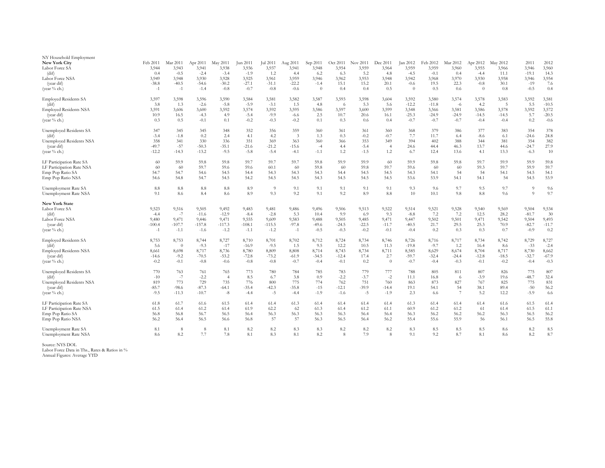| NY Household Employment<br>New York City | Feb 2011          | Mar 2011                | Apr 2011          | May 2011          | Jun 2011          | Jul 2011          | Aug 2011         | Sep 2011         | Oct 2011         | Nov 2011         | Dec 2011         | Jan 2012          | Feb 2012          | Mar 2012          | Apr 2012          | May 2012          | 2011             | 2012              |
|------------------------------------------|-------------------|-------------------------|-------------------|-------------------|-------------------|-------------------|------------------|------------------|------------------|------------------|------------------|-------------------|-------------------|-------------------|-------------------|-------------------|------------------|-------------------|
| Labor Force SA<br>(dif)                  | 3,944<br>0.4      | 3,943<br>$-0.5$         | 3,941<br>$-2.4$   | 3,938<br>$-3.4$   | 3,936<br>$-1.9$   | 3,937<br>1.2      | 3,941<br>-4.4    | 3,948<br>6.2     | 3,954<br>6.3     | 3,959<br>5.2     | 3,964<br>4.8     | 3,959<br>$-4.5$   | 3,959<br>$-0.1$   | 3,960<br>0.4      | 3,955<br>$-4.4$   | 3,966<br>11.1     | 3,946<br>$-19.1$ | 3,960<br>14.3     |
| Labor Force NSA                          | 3,949             | 3,948                   | 3,930             | 3,928             | 3,925             | 3,961             | 3,959            | 3,946            | 3,962            | 3,953            | 3,948            | 3,942             | 3,968             | 3,970             | 3,930             | 3,958             | 3,946            | 3,954             |
| (year dif)                               | $-38.8$           | $-40.5$                 | $-54.6$           | $-30.2$           | $-27.1$           | $-31.1$           | $-22.2$          | $-1.4$           | 15.1             | 15.2             | 20.1             | $-0.6$            | 19.5              | 22.3              | $-0.8$            | 30.1              | $-19$            | 7.6               |
| (year % ch.)                             | $-1$              | $-1$                    | $-1.4$            | $-0.8$            | $-0.7$            | $-0.8$            | $-0.6$           | $\overline{0}$   | 0.4              | 0.4              | 0.5              | $\overline{0}$    | 0.5               | 0.6               | $\overline{0}$    | 0.8               | $-0.5$           | 0.4               |
| <b>Employed Residents SA</b>             | 3,597             | 3,598                   | 3,596             | 3,590             | 3,584             | 3,581             | 3,582            | 3,587            | 3,593            | 3,598            | 3,604            | 3,592             | 3,580             | 3,574             | 3,578             | 3,583             | 3,592            | 3,581             |
| (dif)                                    | 3.8               | 1.3                     | $-2.6$            | $-5.8$            | $-5.9$            | $-3.1$            | 1.5              | 4.8              | - 6              | 5.3              | 5.6              | $-12.2$           | $-11.8$           | $-6$              | 4.2               | -5                | 5.5              | $-10.5$           |
| <b>Employed Residents NSA</b>            | 3,591             | 3,606                   | 3,600             | 3,592             | 3,574             | 3,592             | 3,595            | 3,586            | 3,597            | 3,600            | 3,599            | 3,548             | 3,566             | 3,581             | 3,586             | 3,578             | 3,592            | 3,572             |
| (year dif)<br>(year $%$ ch.)             | 10.9<br>0.3       | 16.5<br>0.5             | $-4.3$<br>$-0.1$  | 4.9<br>0.1        | $-5.4$<br>$-0.2$  | $-9.9$<br>$-0.3$  | $-6.6$<br>$-0.2$ | 2.5<br>0.1       | 10.7<br>0.3      | 20.6<br>0.6      | 16.1<br>0.4      | $-25.3$<br>$-0.7$ | $-24.9$<br>$-0.7$ | $-24.9$<br>$-0.7$ | $-14.5$<br>$-0.4$ | $-14.5$<br>$-0.4$ | 5.7<br>$0.2\,$   | $-20.5$<br>$-0.6$ |
|                                          |                   |                         |                   |                   |                   |                   |                  |                  |                  |                  |                  |                   |                   |                   |                   |                   |                  |                   |
| Unemployed Residents SA                  | 347               | 345                     | 345               | 348               | 352               | 356               | 359              | 360              | 361              | 361              | 360              | 368               | 379               | 386               | 377               | 383               | 354              | 378               |
| (dif)<br>Unemployed Residents NSA        | $-3.4$<br>358     | $-1.8$<br>341           | 0.2<br>330        | 2.4<br>336        | 4.1<br>351        | 4.2<br>369        | -3<br>363        | 1.3<br>360       | 0.3<br>366       | $-0.2$<br>353    | $-0.7$<br>349    | 7.7<br>394        | 11.7<br>402       | 6.4<br>388        | $-8.6$<br>344     | 6.1<br>381        | $-24.6$<br>354   | 24.8<br>382       |
| (year dif)                               | $-49.7$           | $-57$                   | $-50.3$           | $-35.1$           | $-21.6$           | $-21.2$           | $-15.6$          | $-4$             | 4.4              | $-5.4$           |                  | 24.6              | 44.4              | 46.3              | 13.7              | 44.6              | $-24.7$          | 27.9              |
| (year % ch.)                             | $-12.2$           | $-14.3$                 | $-13.2$           | $-9.5$            | $-5.8$            | $-5.4$            | $-4.1$           | $-1.1$           | 1.2              | $-1.5$           | 1.2              | 6.7               | 12.4              | 13.6              | 4.1               | 13.3              | $-6.3$           | 10                |
| LF Participation Rate SA                 | 60                | 59.9                    | 59.8              | 59.8              | 59.7              | 59.7              | 59.7             | 59.8             | 59.9             | 59.9             | 60               | 59.9              | 59.8              | 59.8              | 59.7              | 59.9              | 59.9             | 59.8              |
| LF Participation Rate NSA                | 60                | 60                      | 59.7              | 59.6              | 59.6              | 60.1              | -60              | 59.8             | 60               | 59.8             | 59.7             | 59.6              | -60               | 60                | 59.3              | 59.7              | 59.9             | 59.7              |
| Emp Pop Ratio SA                         | 54.7              | 54.7                    | 54.6              | 54.5              | 54.4              | 54.3              | 54.3             | 54.3             | 54.4             | 54.5             | 54.5             | 54.3              | 54.1              | 54                | 54                | 54.1              | 54.5             | 54.1              |
| Emp Pop Ratio NSA                        | 54.6              | 54.8                    | 54.7              | 54.5              | 54.2              | 54.5              | 54.5             | 54.3             | 54.5             | 54.5             | 54.5             | 53.6              | 53.9              | 54.1              | 54.1              | 54                | 54.5             | 53.9              |
| Unemployment Rate SA                     | 8.8               | 8.8                     | 8.8               | 8.8               | 8.9               | -9                | 9.1              | 9.1              | 9.1              | 9.1              | 9.1              | 9.3               | 9.6               | 9.7               | 9.5               | 9.7               | -9               | 9.6               |
| Unemployment Rate NSA                    | 9.1               | 8.6                     | 8.4               | 8.6               | 8.9               | 9.3               | 9.2              | 9.1              | 9.2              | 8.9              | 8.8              | 10                | 10.1              | 9.8               | 8.8               | 9.6               | $\Omega$         | 9.7               |
| New York State                           |                   |                         |                   |                   |                   |                   |                  |                  |                  |                  |                  |                   |                   |                   |                   |                   |                  |                   |
| Labor Force SA                           | 9,523             | 9,516                   | 9,505             | 9,492             | 9,483             | 9,481             | 9,486            | 9,496            | 9,506            | 9,513            | 9,522            | 9,514             | 9,521             | 9,528             | 9,540             | 9,569             | 9,504            | 9,534             |
| (dif)                                    | $-4.4$            | $-7$                    | $-11.6$           | $-12.9$           | $-8.4$            | $-2.8$            | 5.3              | 10.4             | 9.9              | 6.9              | 9.3              | $-8.8$            | 7.2               | 7.2               | 12.5              | 28.2              | $-81.7$          | 30                |
| Labor Force NSA<br>(year dif)            | 9,480<br>$-100.4$ | 9,471<br>$-107.7$       | 9,446<br>$-157.8$ | 9,471<br>$-117.3$ | 9,555<br>$-108.1$ | 9,609<br>$-115.5$ | 9,583<br>$-97.8$ | 9,488<br>$-49.6$ | 9,505<br>$-24.5$ | 9,485<br>$-22.5$ | 9,471<br>$-11.7$ | 9,447<br>$-40.5$  | 9,502<br>21.7     | 9,501<br>29.5     | 9,471<br>25.3     | 9,542<br>70.9     | 9,504<br>$-82.7$ | 9,493<br>$-11.7$  |
| (year % ch.)                             | $-1$              | $-1.1$                  | $-1.6$            | $-1.2$            | $-1.1$            | $-1.2$            | $-1$             | $-0.5$           | $-0.3$           | $-0.2$           | $-0.1$           | $-0.4$            | 0.2               | 0.3               | 0.3               | 0.7               | $-0.9$           | 0.2               |
|                                          |                   |                         |                   |                   |                   |                   |                  |                  |                  |                  |                  |                   |                   |                   |                   |                   |                  |                   |
| <b>Employed Residents SA</b>             | 8,753             | 8,753                   | 8,744             | 8,727             | 8,710             | 8,701             | 8,702            | 8,712            | 8,724            | 8,734            | 8,746            | 8,726             | 8,716             | 8,717             | 8,734             | 8,742             | 8,729            | 8,727             |
| (dif)<br><b>Employed Residents NSA</b>   | 5.6<br>8,661      | $\overline{0}$<br>8,698 | $-9.3$<br>8,717   | $-17$<br>8,736    | $-16.9$<br>8,780  | $-9.5$<br>8,809   | 1.5<br>8,808     | 9.5<br>8,714     | 12.2<br>8,743    | 10.5<br>8,734    | 11.3<br>8,711    | $-19.8$<br>8,585  | $-9.7$<br>8,629   | 1.2<br>8,674      | 16.4<br>8,704     | 8.6<br>8,717      | $-33$<br>8,730   | $-2.4$<br>8,662   |
| (year dif)                               | $-14.6$           | $-9.2$                  | $-70.5$           | $-53.2$           | $-72.8$           | $-73.2$           | $-61.9$          | $-34.5$          | $-12.4$          | 17.4             | 2.7              | $-59.7$           | $-32.4$           | $-24.4$           | $-12.8$           | $-18.5$           | $-32.7$          | $-67.9$           |
| (year % ch.)                             | $-0.2$            | $-0.1$                  | $-0.8$            | $-0.6$            | $-0.8$            | $-0.8$            | $-0.7$           | $-0.4$           | $-0.1$           | 0.2              | $\overline{0}$   | $-0.7$            | $-0.4$            | $-0.3$            | $-0.1$            | $-0.2$            | $-0.4$           | $-0.3$            |
| Unemployed Residents SA                  | 770               | 763                     | 761               | 765               | 773               | 780               | 784              | 785              | 783              | 779              | 777              | 788               | 805               | 811               | 807               | 826               | 775              | 807               |
| (dif)                                    | $-10$             | $-7$                    | $-2.2$            | -4                | 8.5               | 6.7               | 3.8              | 0.9              | $-2.2$           | $-3.7$           | $-2$             | 11.1              | 16.8              | -6                | $-3.9$            | 19.6              | $-48.7$          | 32.4              |
| Unemployed Residents NSA                 | 819               | 773                     | 729               | 735               | 776               | 800               | 775              | 774              | 762              | 751              | 760              | 863               | 873               | 827               | 767               | 825               | 775              | 831               |
| (year dif)                               | $-85.7$           | $-98.6$                 | $-87.3$           | $-64.1$           | $-35.4$           | $-42.3$           | $-35.8$          | $-15$            | $-12.1$          | $-39.9$          | $-14.4$          | 19.1              | 54.1              | 54                | 38.1              | 89.4              | $-50$            | 56.2              |
| (year % ch.)                             | $-9.5$            | $-11.3$                 | $-10.7$           | $-8$              | $-4.4$            | $-5$              | $-4.4$           | $-1.9$           | $-1.6$           | $-5$             | $-1.9$           | 2.3               | 6.6               | $\overline{7}$    | 5.2               | 12.2              | $-5.9$           | $6.6\,$           |
| LF Participation Rate SA                 | 61.8              | 61.7                    | 61.6              | 61.5              | 61.4              | 61.4              | 61.3             | 61.4             | 61.4             | 61.4             | 61.4             | 61.3              | 61.4              | 61.4              | 61.4              | 61.6              | 61.5             | 61.4              |
| LF Participation Rate NSA                | 61.5              | 61.4                    | 61.2              | 61.4              | 61.9              | 62.2              | 62               | 61.3             | 61.4             | 61.2             | 61.1             | 60.9              | 61.2              | 61.2              | 61                | 61.4              | 61.5             | 61.1              |
| Emp Pop Ratio SA                         | 56.8<br>56.2      | 56.8<br>56.4            | 56.7<br>56.5      | 56.5<br>56.6      | 56.4<br>56.8      | 56.3<br>57        | 56.3<br>57       | 56.3<br>56.3     | 56.3<br>56.5     | 56.4<br>56.4     | 56.4<br>56.2     | 56.3<br>55.4      | 56.2<br>55.6      | 56.2<br>55.9      | 56.2<br>56        | 56.3<br>56.1      | 56.5<br>56.5     | 56.2<br>55.8      |
| Emp Pop Ratio NSA                        |                   |                         |                   |                   |                   |                   |                  |                  |                  |                  |                  |                   |                   |                   |                   |                   |                  |                   |
| Unemployment Rate SA                     | 8.1               | 8                       | 8                 | 8.1               | 8.2               | 8.2               | 8.3              | 8.3              | 8.2              | 8.2              | 8.2              | 8.3               | 8.5               | 8.5               | $\!\!\!\!\!8.5$   | 8.6               | 8.2              | 8.5               |
| Unemployment Rate NSA                    | 8.6               | 8.2                     | 7.7               | 7.8               | 8.1               | 8.3               | 8.1              | 8.2              | 8                | 7.9              | 8                | 9.1               | 9.2               | 8.7               | 8.1               | 8.6               | 8.2              | 8.7               |

Source: NYS DOL Labor Force Data in Ths., Rates & Ratios in % Annual Figures: Average YTD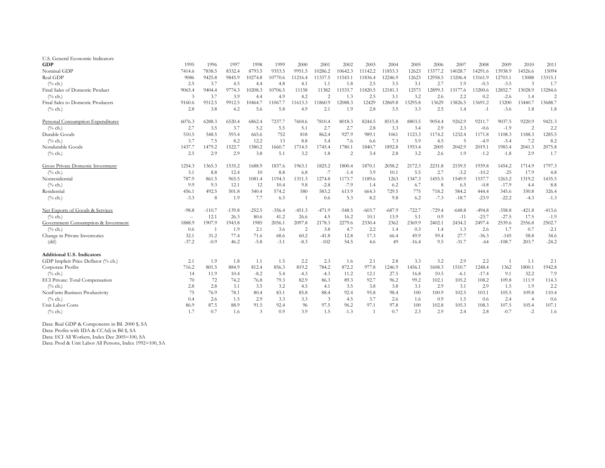| 1995                     | 1996                                                                                                          | 1997                                                                                                                                                              | 1998                                                                                                                                                                               | 1999                                                                                                                                                                               | 2000                                                                                                                                                                   | 2001                                                                                                                                                                                     | 2002                                                                                                                                                                | 2003                                                                                                                                                                                  | 2004                                                                                                                                                                        | 2005                                                                                                                                          | 2006                                                                                                                                                                               | 2007                                                                                                                                                                       | 2008                                                                                                                                                                          | 2009                                                                                                                                                                                                                          | 2010                                                                                                                                                                                                                 | 2011                                                                                                                                                       |
|--------------------------|---------------------------------------------------------------------------------------------------------------|-------------------------------------------------------------------------------------------------------------------------------------------------------------------|------------------------------------------------------------------------------------------------------------------------------------------------------------------------------------|------------------------------------------------------------------------------------------------------------------------------------------------------------------------------------|------------------------------------------------------------------------------------------------------------------------------------------------------------------------|------------------------------------------------------------------------------------------------------------------------------------------------------------------------------------------|---------------------------------------------------------------------------------------------------------------------------------------------------------------------|---------------------------------------------------------------------------------------------------------------------------------------------------------------------------------------|-----------------------------------------------------------------------------------------------------------------------------------------------------------------------------|-----------------------------------------------------------------------------------------------------------------------------------------------|------------------------------------------------------------------------------------------------------------------------------------------------------------------------------------|----------------------------------------------------------------------------------------------------------------------------------------------------------------------------|-------------------------------------------------------------------------------------------------------------------------------------------------------------------------------|-------------------------------------------------------------------------------------------------------------------------------------------------------------------------------------------------------------------------------|----------------------------------------------------------------------------------------------------------------------------------------------------------------------------------------------------------------------|------------------------------------------------------------------------------------------------------------------------------------------------------------|
| 7414.6                   | 7838.5                                                                                                        | 8332.4                                                                                                                                                            | 8793.5                                                                                                                                                                             | 9353.5                                                                                                                                                                             | 9951.5                                                                                                                                                                 | 10286.2                                                                                                                                                                                  | 10642.3                                                                                                                                                             | 11142.2                                                                                                                                                                               | 11853.3                                                                                                                                                                     | 12623                                                                                                                                         | 13377.2                                                                                                                                                                            | 14028.7                                                                                                                                                                    | 14291.6                                                                                                                                                                       | 13938.9                                                                                                                                                                                                                       | 14526.6                                                                                                                                                                                                              | 15094                                                                                                                                                      |
| 9086                     | 9425.8                                                                                                        | 9845.9                                                                                                                                                            | 10274.8                                                                                                                                                                            | 10770.6                                                                                                                                                                            | 11216.4                                                                                                                                                                | 11337.5                                                                                                                                                                                  | 11543.1                                                                                                                                                             | 11836.4                                                                                                                                                                               | 12246.9                                                                                                                                                                     | 12623                                                                                                                                         | 12958.5                                                                                                                                                                            | 13206.4                                                                                                                                                                    | 13161.9                                                                                                                                                                       | 12703.1                                                                                                                                                                                                                       | 13088                                                                                                                                                                                                                | 13315.1                                                                                                                                                    |
| 2.5                      | 3.7                                                                                                           | 4.5                                                                                                                                                               | 4.4                                                                                                                                                                                | 4.8                                                                                                                                                                                | 4.1                                                                                                                                                                    | 1.1                                                                                                                                                                                      | 1.8                                                                                                                                                                 | 2.5                                                                                                                                                                                   | 3.5                                                                                                                                                                         | 3.1                                                                                                                                           | 2.7                                                                                                                                                                                | 1.9                                                                                                                                                                        | $-0.3$                                                                                                                                                                        | $-3.5$                                                                                                                                                                                                                        | $\mathcal{E}$                                                                                                                                                                                                        | 1.7                                                                                                                                                        |
| 9065.4                   | 9404.4                                                                                                        | 9774.3                                                                                                                                                            | 10208.3                                                                                                                                                                            | 10706.5                                                                                                                                                                            | 11158                                                                                                                                                                  | 11382                                                                                                                                                                                    | 11533.7                                                                                                                                                             | 11820.5                                                                                                                                                                               | 12181.3                                                                                                                                                                     | 12573                                                                                                                                         | 12899.3                                                                                                                                                                            | 13177.6                                                                                                                                                                    | 13200.6                                                                                                                                                                       | 12852.7                                                                                                                                                                                                                       | 13028.9                                                                                                                                                                                                              | 13284.6                                                                                                                                                    |
| $\mathcal{Z}$            | 3.7                                                                                                           | 3.9                                                                                                                                                               | 4.4                                                                                                                                                                                | 4.9                                                                                                                                                                                | 4.2                                                                                                                                                                    | $\mathcal{D}$                                                                                                                                                                            | 1.3                                                                                                                                                                 | 2.5                                                                                                                                                                                   | 3.1                                                                                                                                                                         | 3.2                                                                                                                                           | 2.6                                                                                                                                                                                | 2.2                                                                                                                                                                        | 0.2                                                                                                                                                                           | $-2.6$                                                                                                                                                                                                                        | 1.4                                                                                                                                                                                                                  |                                                                                                                                                            |
| 9160.6                   | 9512.5                                                                                                        | 9912.5                                                                                                                                                            | 10464.7                                                                                                                                                                            | 11067.7                                                                                                                                                                            | 11613.3                                                                                                                                                                | 11860.9                                                                                                                                                                                  | 12088.3                                                                                                                                                             | 12429                                                                                                                                                                                 | 12869.8                                                                                                                                                                     | 13295.8                                                                                                                                       | 13629                                                                                                                                                                              | 13826.5                                                                                                                                                                    | 13691.2                                                                                                                                                                       | 13200                                                                                                                                                                                                                         | 13440.7                                                                                                                                                                                                              | 13688.7                                                                                                                                                    |
| 2.8                      | 3.8                                                                                                           |                                                                                                                                                                   |                                                                                                                                                                                    |                                                                                                                                                                                    | 4.9                                                                                                                                                                    | 2.1                                                                                                                                                                                      | 1.9                                                                                                                                                                 |                                                                                                                                                                                       |                                                                                                                                                                             |                                                                                                                                               |                                                                                                                                                                                    | 1.4                                                                                                                                                                        | $-1$                                                                                                                                                                          |                                                                                                                                                                                                                               | 1.8                                                                                                                                                                                                                  | 1.8                                                                                                                                                        |
| 6076.3                   | 6288.3                                                                                                        | 6520.4                                                                                                                                                            | 6862.4                                                                                                                                                                             | 7237.7                                                                                                                                                                             | 7604.6                                                                                                                                                                 | 7810.4                                                                                                                                                                                   | 8018.3                                                                                                                                                              | 8244.5                                                                                                                                                                                | 8515.8                                                                                                                                                                      | 8803.5                                                                                                                                        | 9054.4                                                                                                                                                                             | 9262.9                                                                                                                                                                     | 9211.7                                                                                                                                                                        | 9037.5                                                                                                                                                                                                                        | 9220.9                                                                                                                                                                                                               | 9421.3                                                                                                                                                     |
|                          |                                                                                                               |                                                                                                                                                                   |                                                                                                                                                                                    |                                                                                                                                                                                    | 5.1                                                                                                                                                                    | 2.7                                                                                                                                                                                      |                                                                                                                                                                     |                                                                                                                                                                                       |                                                                                                                                                                             |                                                                                                                                               |                                                                                                                                                                                    |                                                                                                                                                                            |                                                                                                                                                                               |                                                                                                                                                                                                                               |                                                                                                                                                                                                                      | 2.2                                                                                                                                                        |
| 510.5                    |                                                                                                               |                                                                                                                                                                   |                                                                                                                                                                                    |                                                                                                                                                                                    |                                                                                                                                                                        | 862.4                                                                                                                                                                                    |                                                                                                                                                                     |                                                                                                                                                                                       |                                                                                                                                                                             |                                                                                                                                               |                                                                                                                                                                                    |                                                                                                                                                                            |                                                                                                                                                                               |                                                                                                                                                                                                                               |                                                                                                                                                                                                                      | 1285.5                                                                                                                                                     |
| 3.7                      |                                                                                                               |                                                                                                                                                                   |                                                                                                                                                                                    |                                                                                                                                                                                    |                                                                                                                                                                        |                                                                                                                                                                                          |                                                                                                                                                                     | 6.6                                                                                                                                                                                   |                                                                                                                                                                             |                                                                                                                                               |                                                                                                                                                                                    |                                                                                                                                                                            |                                                                                                                                                                               |                                                                                                                                                                                                                               |                                                                                                                                                                                                                      | 8.2                                                                                                                                                        |
|                          |                                                                                                               |                                                                                                                                                                   |                                                                                                                                                                                    |                                                                                                                                                                                    |                                                                                                                                                                        |                                                                                                                                                                                          |                                                                                                                                                                     |                                                                                                                                                                                       |                                                                                                                                                                             |                                                                                                                                               |                                                                                                                                                                                    |                                                                                                                                                                            |                                                                                                                                                                               |                                                                                                                                                                                                                               |                                                                                                                                                                                                                      | 2075.8                                                                                                                                                     |
|                          |                                                                                                               |                                                                                                                                                                   |                                                                                                                                                                                    |                                                                                                                                                                                    |                                                                                                                                                                        |                                                                                                                                                                                          |                                                                                                                                                                     |                                                                                                                                                                                       |                                                                                                                                                                             |                                                                                                                                               |                                                                                                                                                                                    |                                                                                                                                                                            |                                                                                                                                                                               |                                                                                                                                                                                                                               |                                                                                                                                                                                                                      | 1.7                                                                                                                                                        |
| 1254.3                   | 1365.3                                                                                                        | 1535.2                                                                                                                                                            | 1688.9                                                                                                                                                                             | 1837.6                                                                                                                                                                             | 1963.1                                                                                                                                                                 | 1825.2                                                                                                                                                                                   | 1800.4                                                                                                                                                              | 1870.1                                                                                                                                                                                | 2058.2                                                                                                                                                                      | 2172.3                                                                                                                                        | 2231.8                                                                                                                                                                             | 2159.5                                                                                                                                                                     | 1939.8                                                                                                                                                                        | 1454.2                                                                                                                                                                                                                        | 1714.9                                                                                                                                                                                                               | 1797.3                                                                                                                                                     |
| 3.1                      |                                                                                                               |                                                                                                                                                                   | 10                                                                                                                                                                                 |                                                                                                                                                                                    | 6.8                                                                                                                                                                    |                                                                                                                                                                                          | $-1.4$                                                                                                                                                              |                                                                                                                                                                                       | 10.1                                                                                                                                                                        |                                                                                                                                               |                                                                                                                                                                                    |                                                                                                                                                                            |                                                                                                                                                                               |                                                                                                                                                                                                                               |                                                                                                                                                                                                                      | 4.8                                                                                                                                                        |
|                          |                                                                                                               |                                                                                                                                                                   |                                                                                                                                                                                    | 1194.3                                                                                                                                                                             |                                                                                                                                                                        |                                                                                                                                                                                          |                                                                                                                                                                     |                                                                                                                                                                                       | 1263                                                                                                                                                                        |                                                                                                                                               |                                                                                                                                                                                    | 1549.9                                                                                                                                                                     |                                                                                                                                                                               |                                                                                                                                                                                                                               |                                                                                                                                                                                                                      | 1435.5                                                                                                                                                     |
| 9.9                      |                                                                                                               |                                                                                                                                                                   |                                                                                                                                                                                    | 10.4                                                                                                                                                                               |                                                                                                                                                                        |                                                                                                                                                                                          |                                                                                                                                                                     | 1.4                                                                                                                                                                                   |                                                                                                                                                                             |                                                                                                                                               |                                                                                                                                                                                    |                                                                                                                                                                            |                                                                                                                                                                               |                                                                                                                                                                                                                               | 4.4                                                                                                                                                                                                                  | 8.8                                                                                                                                                        |
|                          |                                                                                                               |                                                                                                                                                                   |                                                                                                                                                                                    |                                                                                                                                                                                    |                                                                                                                                                                        |                                                                                                                                                                                          |                                                                                                                                                                     |                                                                                                                                                                                       |                                                                                                                                                                             |                                                                                                                                               |                                                                                                                                                                                    |                                                                                                                                                                            |                                                                                                                                                                               |                                                                                                                                                                                                                               |                                                                                                                                                                                                                      | 326.4                                                                                                                                                      |
|                          |                                                                                                               |                                                                                                                                                                   |                                                                                                                                                                                    |                                                                                                                                                                                    |                                                                                                                                                                        |                                                                                                                                                                                          |                                                                                                                                                                     |                                                                                                                                                                                       |                                                                                                                                                                             |                                                                                                                                               |                                                                                                                                                                                    |                                                                                                                                                                            |                                                                                                                                                                               |                                                                                                                                                                                                                               |                                                                                                                                                                                                                      | $-1.3$                                                                                                                                                     |
| $-98.8$                  | $-110.7$                                                                                                      | $-139.8$                                                                                                                                                          | $-252.5$                                                                                                                                                                           | $-356.4$                                                                                                                                                                           | $-451.3$                                                                                                                                                               | -471.9                                                                                                                                                                                   | $-548.5$                                                                                                                                                            | $-603.7$                                                                                                                                                                              | $-687.9$                                                                                                                                                                    | $-722.7$                                                                                                                                      | $-729.4$                                                                                                                                                                           | $-648.8$                                                                                                                                                                   | $-494.8$                                                                                                                                                                      | $-358.8$                                                                                                                                                                                                                      | $-421.8$                                                                                                                                                                                                             | $-413.6$                                                                                                                                                   |
| $\overline{\phantom{a}}$ | 12.1                                                                                                          | 26.3                                                                                                                                                              |                                                                                                                                                                                    |                                                                                                                                                                                    |                                                                                                                                                                        | 4.5                                                                                                                                                                                      | 16.2                                                                                                                                                                |                                                                                                                                                                                       | 13.9                                                                                                                                                                        | 5.1                                                                                                                                           |                                                                                                                                                                                    | $-11$                                                                                                                                                                      |                                                                                                                                                                               |                                                                                                                                                                                                                               |                                                                                                                                                                                                                      | $-1.9$                                                                                                                                                     |
| 1888.9                   |                                                                                                               |                                                                                                                                                                   | 1985                                                                                                                                                                               |                                                                                                                                                                                    |                                                                                                                                                                        |                                                                                                                                                                                          |                                                                                                                                                                     |                                                                                                                                                                                       | 2362                                                                                                                                                                        |                                                                                                                                               | 2402.1                                                                                                                                                                             |                                                                                                                                                                            |                                                                                                                                                                               |                                                                                                                                                                                                                               |                                                                                                                                                                                                                      | 2502.7                                                                                                                                                     |
| 0.6                      | $\overline{1}$                                                                                                |                                                                                                                                                                   |                                                                                                                                                                                    |                                                                                                                                                                                    |                                                                                                                                                                        |                                                                                                                                                                                          | 4.7                                                                                                                                                                 |                                                                                                                                                                                       | 1.4                                                                                                                                                                         |                                                                                                                                               | 1.4                                                                                                                                                                                |                                                                                                                                                                            |                                                                                                                                                                               |                                                                                                                                                                                                                               | 0.7                                                                                                                                                                                                                  | $-2.1$                                                                                                                                                     |
| 32.1                     | 31.2                                                                                                          |                                                                                                                                                                   |                                                                                                                                                                                    | 68.6                                                                                                                                                                               | 60.2                                                                                                                                                                   | $-41.8$                                                                                                                                                                                  |                                                                                                                                                                     |                                                                                                                                                                                       | 66.4                                                                                                                                                                        | 49.9                                                                                                                                          | 59.4                                                                                                                                                                               |                                                                                                                                                                            |                                                                                                                                                                               | $-145$                                                                                                                                                                                                                        | 58.8                                                                                                                                                                                                                 | 34.6                                                                                                                                                       |
|                          |                                                                                                               |                                                                                                                                                                   |                                                                                                                                                                                    |                                                                                                                                                                                    |                                                                                                                                                                        |                                                                                                                                                                                          |                                                                                                                                                                     |                                                                                                                                                                                       |                                                                                                                                                                             |                                                                                                                                               |                                                                                                                                                                                    |                                                                                                                                                                            |                                                                                                                                                                               |                                                                                                                                                                                                                               |                                                                                                                                                                                                                      | $-24.2$                                                                                                                                                    |
|                          |                                                                                                               |                                                                                                                                                                   |                                                                                                                                                                                    |                                                                                                                                                                                    |                                                                                                                                                                        |                                                                                                                                                                                          |                                                                                                                                                                     |                                                                                                                                                                                       |                                                                                                                                                                             |                                                                                                                                               |                                                                                                                                                                                    |                                                                                                                                                                            |                                                                                                                                                                               |                                                                                                                                                                                                                               |                                                                                                                                                                                                                      |                                                                                                                                                            |
| 2.1                      |                                                                                                               |                                                                                                                                                                   |                                                                                                                                                                                    |                                                                                                                                                                                    |                                                                                                                                                                        |                                                                                                                                                                                          |                                                                                                                                                                     |                                                                                                                                                                                       |                                                                                                                                                                             |                                                                                                                                               |                                                                                                                                                                                    |                                                                                                                                                                            |                                                                                                                                                                               |                                                                                                                                                                                                                               | 1.1                                                                                                                                                                                                                  | 2.1                                                                                                                                                        |
|                          |                                                                                                               |                                                                                                                                                                   |                                                                                                                                                                                    |                                                                                                                                                                                    |                                                                                                                                                                        |                                                                                                                                                                                          |                                                                                                                                                                     |                                                                                                                                                                                       |                                                                                                                                                                             |                                                                                                                                               |                                                                                                                                                                                    |                                                                                                                                                                            |                                                                                                                                                                               |                                                                                                                                                                                                                               |                                                                                                                                                                                                                      | 1942.8                                                                                                                                                     |
| 14                       |                                                                                                               | 10.4                                                                                                                                                              |                                                                                                                                                                                    |                                                                                                                                                                                    |                                                                                                                                                                        | $-4.3$                                                                                                                                                                                   |                                                                                                                                                                     |                                                                                                                                                                                       |                                                                                                                                                                             |                                                                                                                                               |                                                                                                                                                                                    | $-6.1$                                                                                                                                                                     |                                                                                                                                                                               |                                                                                                                                                                                                                               |                                                                                                                                                                                                                      | 7.9                                                                                                                                                        |
|                          |                                                                                                               |                                                                                                                                                                   |                                                                                                                                                                                    |                                                                                                                                                                                    |                                                                                                                                                                        |                                                                                                                                                                                          |                                                                                                                                                                     |                                                                                                                                                                                       |                                                                                                                                                                             |                                                                                                                                               |                                                                                                                                                                                    |                                                                                                                                                                            |                                                                                                                                                                               |                                                                                                                                                                                                                               |                                                                                                                                                                                                                      | 114.3                                                                                                                                                      |
|                          |                                                                                                               |                                                                                                                                                                   |                                                                                                                                                                                    |                                                                                                                                                                                    |                                                                                                                                                                        |                                                                                                                                                                                          |                                                                                                                                                                     |                                                                                                                                                                                       |                                                                                                                                                                             |                                                                                                                                               |                                                                                                                                                                                    |                                                                                                                                                                            |                                                                                                                                                                               |                                                                                                                                                                                                                               |                                                                                                                                                                                                                      | 2.2                                                                                                                                                        |
|                          |                                                                                                               |                                                                                                                                                                   |                                                                                                                                                                                    |                                                                                                                                                                                    |                                                                                                                                                                        |                                                                                                                                                                                          |                                                                                                                                                                     |                                                                                                                                                                                       |                                                                                                                                                                             |                                                                                                                                               |                                                                                                                                                                                    |                                                                                                                                                                            |                                                                                                                                                                               |                                                                                                                                                                                                                               |                                                                                                                                                                                                                      | 110.4                                                                                                                                                      |
|                          |                                                                                                               |                                                                                                                                                                   |                                                                                                                                                                                    |                                                                                                                                                                                    |                                                                                                                                                                        |                                                                                                                                                                                          |                                                                                                                                                                     |                                                                                                                                                                                       |                                                                                                                                                                             |                                                                                                                                               |                                                                                                                                                                                    |                                                                                                                                                                            |                                                                                                                                                                               |                                                                                                                                                                                                                               | $\overline{4}$                                                                                                                                                                                                       | 0.6                                                                                                                                                        |
|                          |                                                                                                               |                                                                                                                                                                   |                                                                                                                                                                                    |                                                                                                                                                                                    |                                                                                                                                                                        |                                                                                                                                                                                          |                                                                                                                                                                     |                                                                                                                                                                                       |                                                                                                                                                                             |                                                                                                                                               |                                                                                                                                                                                    |                                                                                                                                                                            |                                                                                                                                                                               |                                                                                                                                                                                                                               |                                                                                                                                                                                                                      | 107.1                                                                                                                                                      |
|                          |                                                                                                               |                                                                                                                                                                   |                                                                                                                                                                                    |                                                                                                                                                                                    |                                                                                                                                                                        |                                                                                                                                                                                          |                                                                                                                                                                     |                                                                                                                                                                                       |                                                                                                                                                                             |                                                                                                                                               |                                                                                                                                                                                    |                                                                                                                                                                            |                                                                                                                                                                               |                                                                                                                                                                                                                               |                                                                                                                                                                                                                      | 1.6                                                                                                                                                        |
|                          | 2.7<br>1437.7<br>2.5<br>787.9<br>456.1<br>$-3.3$<br>$-37.2$<br>716.2<br>70<br>2.8<br>75<br>0.4<br>86.9<br>1.7 | 3.5<br>548.5<br>7.5<br>1479.2<br>2.9<br>8.8<br>861.5<br>9.3<br>492.5<br>-8<br>1907.9<br>$-0.9$<br>1.9<br>801.5<br>11.9<br>72<br>2.8<br>76.9<br>2.6<br>87.5<br>0.7 | 4.2<br>3.7<br>593.4<br>8.2<br>1522.7<br>2.9<br>12.4<br>965.5<br>12.1<br>501.8<br>1.9<br>1943.8<br>1.9<br>77.4<br>46.2<br>1.8<br>884.9<br>74.2<br>3.1<br>78.1<br>1.5<br>88.9<br>1.6 | 5.6<br>5.2<br>665.6<br>12.2<br>1580.2<br>3.8<br>1081.4<br>12<br>540.4<br>7.7<br>80.6<br>2.1<br>71.6<br>$-5.8$<br>1.1<br>812.4<br>$-8.2$<br>76.8<br>3.5<br>80.4<br>2.9<br>91.5<br>3 | 5.8<br>5.5<br>752<br>13<br>1660.7<br>5.1<br>8.8<br>574.2<br>6.3<br>41.2<br>2056.1<br>3.6<br>$-3.1$<br>1.5<br>856.3<br>5.4<br>79.3<br>3.2<br>83.1<br>3.3<br>92.4<br>0.9 | 818<br>8.8<br>1714.5<br>3.2<br>1311.3<br>9.8<br>580<br>$\overline{1}$<br>26.6<br>2097.8<br>$\overline{c}$<br>$-8.3$<br>2.2<br>819.2<br>$-4.3$<br>82.9<br>4.5<br>85.8<br>3.3<br>96<br>3.9 | 5.4<br>1745.4<br>1.8<br>$-7$<br>1274.8<br>$-2.8$<br>583.2<br>0.6<br>2178.3<br>3.8<br>$-102$<br>2.3<br>784.2<br>86.3<br>4.1<br>88.4<br>$\overline{3}$<br>97.5<br>1.5 | 2.7<br>927.9<br>7.6<br>1780.1<br>$\overline{2}$<br>1173.7<br>$-7.9$<br>613.9<br>5.3<br>2279.6<br>12.8<br>54.5<br>1.6<br>872.2<br>11.2<br>89.3<br>3.5<br>92.4<br>4.5<br>96.2<br>$-1.3$ | 2.8<br>2.8<br>989.1<br>1840.7<br>3.4<br>3.9<br>1189.6<br>664.3<br>8.2<br>10.1<br>2330.4<br>2.2<br>17.3<br>4.6<br>2.1<br>977.8<br>12.1<br>92.7<br>3.8<br>95.8<br>3.7<br>97.1 | 3.5<br>3.3<br>1061<br>7.3<br>1892.8<br>2.8<br>6.2<br>729.5<br>9.8<br>49<br>2.8<br>1246.9<br>27.5<br>96.2<br>3.8<br>98.4<br>2.6<br>97.8<br>0.7 | 3.3<br>3.4<br>1123.3<br>5.9<br>1953.4<br>3.2<br>5.5<br>1347.3<br>6.7<br>775<br>6.2<br>2369.9<br>0.3<br>$-16.4$<br>3.3<br>1456.1<br>16.8<br>99.2<br>3.1<br>100<br>1.6<br>100<br>2.3 | 2.5<br>2.9<br>1174.2<br>4.5<br>2005<br>2.6<br>2.7<br>1455.5<br>8<br>718.2<br>$-7.3$<br>0.9<br>9.5<br>3.2<br>1608.3<br>10.5<br>102.1<br>2.9<br>100.9<br>0.9<br>102.8<br>2.9 | 2.3<br>1232.4<br>5<br>2042.9<br>1.9<br>$-3.2$<br>6.5<br>584.2<br>$-18.7$<br>2434.2<br>1.3<br>27.7<br>$-31.7$<br>2.9<br>1510.7<br>105.2<br>3.1<br>102.5<br>1.5<br>105.3<br>2.4 | $-0.6$<br>1171.8<br>$-4.9$<br>2019.1<br>$-1.2$<br>$-10.2$<br>1537.7<br>$-0.8$<br>444.4<br>$-23.9$<br>$-23.7$<br>2497.4<br>2.6<br>$-36.3$<br>$-64$<br>2.2<br>1248.4<br>$-17.4$<br>108.2<br>2.9<br>103.1<br>0.6<br>108.3<br>2.8 | $-3.6$<br>$-1.9$<br>1108.3<br>$-5.4$<br>1983.4<br>$-1.8$<br>$-25$<br>1263.2<br>$-17.9$<br>345.6<br>$-22.2$<br>$-27.5$<br>2539.6<br>1.7<br>$-108.7$<br>1362<br>9.1<br>109.8<br>1.5<br>105.5<br>2.4<br>107.5<br>$-0.7$ | 1188.3<br>7.2<br>2041.3<br>2.9<br>17.9<br>1319.2<br>330.8<br>$-4.3$<br>17.5<br>2556.8<br>203.7<br>1800.1<br>32.2<br>111.9<br>1.9<br>109.8<br>105.4<br>$-2$ |

Data: Real GDP & Components in Bil. 2000 \$, SA Data: Profits with IDA & CCAdj in Bil \$, SA Data: ECI All Workers, Index Dec 2005=100, SA Data: Prod & Unit Labor All Persons, Index 1992=100, SA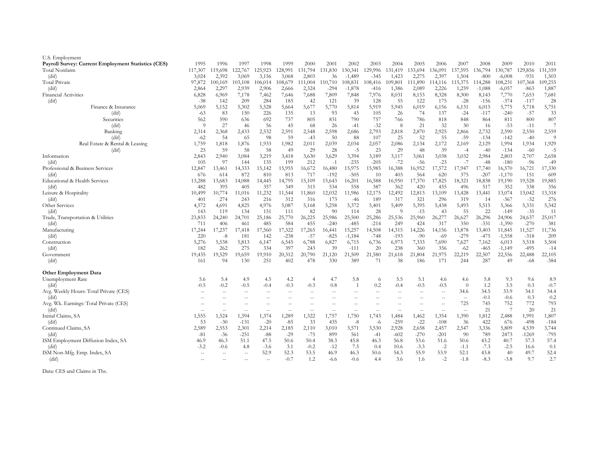| U.S. Employment                                     |               |               |                   |                          |                                  |                          |                  |                   |                          |                          |                   |                          |                                                     |                  |                    |                  |               |
|-----------------------------------------------------|---------------|---------------|-------------------|--------------------------|----------------------------------|--------------------------|------------------|-------------------|--------------------------|--------------------------|-------------------|--------------------------|-----------------------------------------------------|------------------|--------------------|------------------|---------------|
| Payroll Survey: Current Employment Statistics (CES) | 1995          | 1996          | 1997              | 1998                     | 1999                             | 2000                     | 2001             | 2002              | 2003                     | 2004                     | 2005              | 2006                     | 2007                                                | 2008             | 2009               | 2010             | 2011          |
| Total Nonfarm                                       | 117,307       | 19,698        | 122,767           | 125,923                  | 128,991                          | 131,794                  | 131,830          | 130,341           | 129,996                  | 131,419                  | 133,694           | 136,091                  | 137,595                                             | 136,794          | 30,787             | 129,856          | 131,359       |
| (dif)                                               | 3,024         | 2,392         | 3,069             | 3,156                    | 3,068                            | 2,803                    | 36               | $-1,489$          | $-345$                   | 1,423                    | 2,275             | 2,397                    | 1,504                                               | $-800$           | $-6,008$           | $-93$            | 1,503         |
| Total Private                                       | 97,872        | 100,169       | 103,108           | 106,014                  | 108,679                          | 11,004                   | 110,710          | 08,831            | 108,416                  | 109,801                  | 11,890            | 14,116                   | 15,375                                              | 14,288           | 08,231             | 107,368          | 109,255       |
| (dif)                                               | 2,864         | 2,297         | 2,939             | 2,906                    | 2,666                            | 2,324                    | $-294$           | $-1,878$          | -416                     | 1,386                    | 2,089             | 2,226                    | 1,259                                               | $-1,088$         | $-6,057$           | $-863$           | 1,887         |
| <b>Financial Activities</b>                         | 6,828         | 6,969         | 7,178             | 7,462                    | 7,646                            | 7,688                    | 7,809            | 7,848             | 7,976                    | 8,031                    | 8,153             | 8,328                    | 8,300                                               | 8,143            | 7,770              | 7,653            | 7,681         |
| (dif)                                               | $-38$         | 142           | 209               | 284                      | 185                              | 42                       | 121              | 39                | 128                      | 55                       | 122               | 175                      | $-28$                                               | $-156$           | $-374$             | $-117$           | 28            |
| Finance & Insurance                                 | 5,069         | 5,152         | 5,302             | 5,528                    | 5,664                            | 5,677                    | 5,770            | 5,814             | 5,919                    | 5,945                    | 6,019             | 6,156                    | 6,131                                               | 6,015            | 5,775              | 5,718            | 5,751         |
| $\text{(dif)}$                                      | $-63$         | -83           | 150               | 226                      | 135                              | 13                       | 93               | 45                | 105                      | 26                       | 74                | 137                      | $-24$                                               | $-117$           | $-240$             | $-57$            | 33            |
| Securities                                          | 562           | 590           | 636               | 692                      | 737                              | 805                      | 831              | 790               | 757                      | 766                      | 786               | 818                      | 848                                                 | 864              | 811                | 800              | 807           |
| $\text{(dif)}$                                      | - 0           | 27            | 46                | 56                       | 45                               | -68                      | 26               | $-41$             | $-32$                    | 8                        | 21                | 32                       | 30                                                  | 16               | $-53$              | $-11$            |               |
| Banking                                             | 2,314         | 2,368         | 2,433             | 2,532                    | 2,591                            | 2,548                    | 2,598            | 2,686             | 2,793                    | 2,818                    | 2,870             | 2,925                    | 2,866                                               | 2,732            | 2,590              | 2,550            | 2,559         |
| (dif)                                               | $-62$         | 54            | 65                | 98                       | 59                               | $-43$                    | 50               | 88                | 107                      | 25                       | 52                | 55                       | $-59$                                               | $-134$           | $-142$             | $-40$            | 9             |
| Real Estate & Rental & Leasing                      | 1,759         | 1,818         | 1,876             | 1,933                    | 1,982                            | 2,011                    | 2,039            | 2,034             | 2,057                    | 2,086                    | 2,134             | 2,172                    | 2,169                                               | 2,129            | 1,994              | 1,934            | 1,929         |
| (dif)                                               | 25            | 59            | 58                | 58                       | 49                               | 29                       | 28               | $-5$              | 23                       | 29                       | 48                | 39                       | $-4$                                                | $-40$            | $-134$             | $-60$            | $-5$          |
| Information                                         | 2,843         | 2,940         | 3,084             | 3,219                    | 3,418                            | 3,630                    | 3,629            | 3,394             | 3,189                    | 3,117                    | 3,061             | 3,038                    | 3,032                                               | 2,984            | 2,803              | 2,707            | 2,658         |
| (dif)                                               | 105           | 97            | 144               | 135                      | 199                              | 212                      | $-1$             | $-235$            | $-205$                   | $-72$                    | $-56$             | $-23$                    | $-7$                                                | $-48$            | $-180$             | $-96$            | $-49$         |
| Professional & Business Services                    | 12,847        | 13,461        | 14,333            | 15,142                   | 15,955                           | 16,672                   | 16,480           | 15,975            | 15,985                   | 16,388                   | 16,952            | 17,572                   | 17,947                                              | 17,740           | 16,570             | 16,721           | 17,330        |
| (dif)                                               | 676           | 614           | 872               | 810                      | 813                              | 717                      | $-192$           | $-505$            | 10                       | 403                      | 564               | 620                      | 375                                                 | $-207$           | $-1,170$           | 151              | 609           |
| Educational & Health Services                       | 13,288        | 13,683        | 14,088            | 14,445                   | 14,795                           | 15,109                   | 15,643           | 16,201            | 16,588                   | 16,950                   | 17,370            | 17,825                   | 18,321                                              | 18,838           | 19,190             | 19,528           | 19,885        |
| (dif)                                               | 482           | 395           | 405               | 357                      | 349                              | 315                      | 534              | 558               | 387                      | 362                      | 420               | 455                      | 496                                                 | 517              | 352                | 338              | 356           |
| Leisure & Hospitality                               | 10,499        | 10,774        | 11,016            | 11,232                   | 11,544                           | 11,860                   | 12,032           | 11,986            | 12,175                   | 12,492                   | 12,813            | 13,109                   | 13,428                                              | 13,441           | 13,074             | 13,042           | 13,318        |
| (dif)                                               | 401           | 274           | 243               | 216                      | 312                              | 316                      | 173              | $-46$             | 189                      | 317                      | 321               | 296                      | 319                                                 | 14               | $-367$             | $-32$            | 276           |
| Other Services                                      | 4,572         | 4,691         | 4,825             | 4,976                    | 5,087                            | 5,168                    | 5,258            | 5,372             | 5,401                    | 5,409                    | 5,395             | 5,438                    | 5,493                                               | 5,515            | 5,366              | 5,331            | 5,342         |
| (dif)                                               | 143           | 119           | 134               | 151                      | 111                              | 82                       | 90               | 114               | 28                       | 9                        | $-15$             | 43                       | 55                                                  | 22               | $-149$             | $-35$            | 11            |
| Trade, Transportation & Utilities                   | 23,833        | 24,240        | 24,701            | 25,186                   | 25,770                           | 26,225                   | 25,986           | 25,500            | 25,286                   | 25,536                   | 25,960            | 26,277                   | 26,627<br>350                                       | 26,296           | 24,906             | 24,637           | 25,017        |
| (dif)<br>Manufacturing                              | 711<br>17,244 | 406<br>17,237 | 461<br>17,418     | 485                      | 584<br>17,322                    | 455<br>17,265            | $-240$<br>16,441 | $-485$<br>15,257  | $-214$<br>14,508         | 249                      | 424<br>14,226     | 317<br>14,156            | 13,878                                              | $-331$<br>13,403 | $-1,390$<br>11,845 | $-270$<br>11,527 | 381<br>11,736 |
| (dif)                                               | 220           | $-8$          | 181               | 17,560<br>142            | $-238$                           | $-57$                    | $-825$           | $-1,184$          | $-748$                   | 14,315<br>$-193$         | $-90$             | $-69$                    | $-279$                                              | $-475$           | $-1,558$           | $-318$           | 209           |
| Construction                                        | 5,276         | 5,538         | 5,813             | 6,147                    | 6,545                            | 6,788                    | 6,827            | 6,715             | 6,736                    | 6,973                    | 7,333             | 7,690                    | 7,627                                               | 7,162            | 6,013              | 5,518            | 5,504         |
| (dif)                                               | 182           | 262           | 275               | 334                      | 397                              | 243                      | 39               | $-111$            | 20                       | 238                      | 360               | 356                      | $-62$                                               | $-465$           | $-1,149$           | $-495$           | $-14$         |
| Government                                          | 19,435        | 19,529        | 19,659            | 19,910                   | 20,312                           | 20,790                   | 21,120           | 21,509            | 21,580                   | 21,618                   | 21,804            | 21,975                   | 22,219                                              | 22,507           | 22,556             | 22,488           | 22,105        |
| (dif)                                               | 161           | 94            | 130               | 251                      | 402                              | 478                      | 330              | 389               | 71                       | 38                       | 186               | 171                      | 244                                                 | 287              | 49                 | -68              | $-384$        |
|                                                     |               |               |                   |                          |                                  |                          |                  |                   |                          |                          |                   |                          |                                                     |                  |                    |                  |               |
| <b>Other Employment Data</b>                        |               |               |                   |                          |                                  |                          |                  |                   |                          |                          |                   |                          |                                                     |                  |                    |                  |               |
| Unemployment Rate                                   | 5.6           | 5.4           | 4.9               | 4.5                      | 4.2                              | 4                        | 4.7              | 5.8               | 6                        | 5.5                      | 5.1               | 4.6                      | 4.6                                                 | 5.8              | 9.3                | 9.6              | 8.9           |
| (dif)                                               | $-0.5$        | $-0.2$        | $-0.5$            | $-0.4$                   | $-0.3$                           | $-0.3$                   | 0.8              |                   | 0.2                      | $-0.4$                   | $-0.5$            | $-0.5$                   | $\theta$                                            | $1.2\,$          | 3.5                | 0.3              | $-0.7$        |
| Avg. Weekly Hours: Total Private (CES)              |               | $\sim$        | $\qquad \qquad -$ | $-$                      | $\overline{\phantom{m}}$         |                          | --               |                   | $-$                      | $\overline{\phantom{m}}$ |                   | $- -$                    | 34.6                                                | 34.5             | 33.9               | 34.1             | 34.4          |
| (dif)                                               |               |               |                   |                          |                                  |                          |                  |                   |                          |                          |                   | $\overline{\phantom{m}}$ | $- -$                                               | $-0.1$           | $-0.6$             | 0.3              | 0.2           |
| Avg. Wk. Earnings: Total Private (CES)              |               |               |                   |                          |                                  |                          |                  |                   |                          |                          |                   | $\overline{\phantom{m}}$ | 725                                                 | 745              | 752                | 772              | 793           |
| (dif)                                               | $-$           | $- -$         | $-$               | $\overline{\phantom{m}}$ | $\hspace{0.1em} -\hspace{0.1em}$ | $\overline{\phantom{m}}$ | $- -$            | $\qquad \qquad -$ | $\overline{\phantom{m}}$ | $-\,-$                   | $\qquad \qquad -$ | $- -$                    | $\hspace{0.05cm} -\hspace{0.05cm} -\hspace{0.05cm}$ | 21               |                    | 20               | 21            |
| Initial Claims, SA                                  | 1,555         | 1,524         | 1,394             | 1,374                    | 1,289                            | 1,322                    | 1,757            | 1,750             | 1,743                    | 1,484                    | 1,462             | 1,354                    | 1,390                                               | 1,812            | 2,488              | 1,991            | 1,807         |
| (dif)                                               | 53            | $-30$         | $-131$            | $-20$                    | $-85$                            | 33                       | 435              | $-8$              | -6                       | $-259$                   | $-22$             | $-108$                   | 36                                                  | 422              | 676                | $-498$           | $-184$        |
| Continued Claims, SA                                | 2,589         | 2,553         | 2,301             | 2,214                    | 2,185                            | 2,110                    | 3,010            | 3,571             | 3,530                    | 2,928                    | 2,658             | 2,457                    | 2,547                                               | 3,336            | 5,809              | 4,539            | 3,744         |
| (dif)                                               | -81           | $-36$         | $-251$            | -88                      | $-29$                            | -75                      | 899              | 561               | $-41$                    | $-602$                   | $-270$            | $-201$                   | -90                                                 | 789              | 2473               | $-1269$          | $-795$        |
| ISM Employment Diffusion Index, SA                  | 46.9          | 46.3          | 51.1              | 47.5                     | 50.6                             | 50.4                     | 38.3             | 45.8              | 46.3                     | 56.8                     | 53.6              | 51.6                     | 50.6                                                | 43.2             | 40.7               | 57.3             | 57.4          |
| (dif)                                               | $-3.2$        | $-0.6$        | 4.8               | $-3.6$                   | 3.1                              | $-0.2$                   | $-12$            | 7.5               | 0.4                      | 10.6                     | $-3.3$            | $-2$                     | $-1.1$                                              | $-7.3$           | $-2.5$             | 16.6             | 0.1           |
| ISM Non-Mfg. Emp. Index, SA                         |               |               | $-$               | 52.9                     | 52.3                             | 53.5                     | 46.9             | 46.3              | 50.6                     | 54.3                     | 55.9              | 53.9                     | 52.1                                                | 43.8             | 40                 | 49.7             | 52.4          |
| (dif)                                               |               |               |                   | $-$                      | $-0.7$                           | 1.2                      | $-6.6$           | $-0.6$            | 4.4                      | 3.6                      | 1.6               | $-2$                     | $-1.8$                                              | $-8.3$           | $-3.8$             | 9.7              | 2.7           |
|                                                     |               |               |                   |                          |                                  |                          |                  |                   |                          |                          |                   |                          |                                                     |                  |                    |                  |               |

Data: CES and Claims in Ths.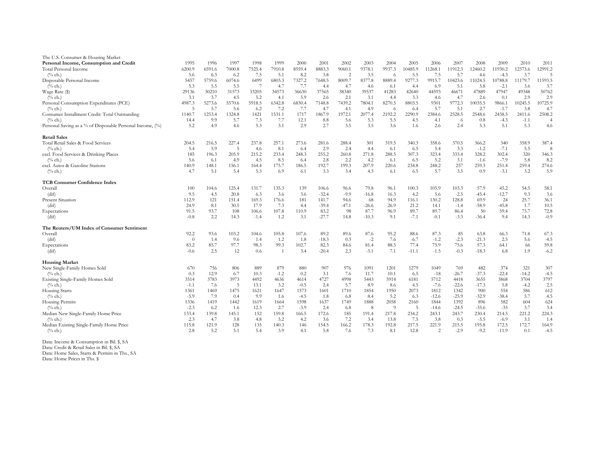| The U.S. Consumer & Housing Market                        |          |        |                 |        |        |        |         |                |         |        |         |         |         |         |         |         |                |
|-----------------------------------------------------------|----------|--------|-----------------|--------|--------|--------|---------|----------------|---------|--------|---------|---------|---------|---------|---------|---------|----------------|
| Personal Income, Consumption and Credit                   | 1995     | 1996   | 1997            | 1998   | 1999   | 2000   | 2001    | 2002           | 2003    | 2004   | 2005    | 2006    | 2007    | 2008    | 2009    | 2010    | 2011           |
| Total Personal Income                                     | 6200.9   | 6591.6 | 7000.8          | 7525.4 | 7910.8 | 8559.4 | 8883.3  | 9060.1         | 9378.1  | 9937.3 | 10485.9 | 11268.1 | 11912.3 | 12460.2 | 11930.2 | 12373.6 | 12991.2        |
| $(^{0}/_{0}$ ch.)                                         | 5.6      | 6.3    | 6.2             | 7.5    | 5.1    | 8.2    | 3.8     | $\overline{2}$ | 3.5     | - 6    | 5.5     | 7.5     | 5.7     | 4.6     | $-4.3$  | 3.7     | -5             |
| Disposable Personal Income                                | 5457     | 5759.6 | 6074.6          | 6499   | 6803.3 | 7327.2 | 7648.5  | 8009.7         | 8377.8  | 8889.4 | 9277.3  | 9915.7  | 10423.6 | 11024.5 | 10788.8 | 11179.7 | 11593.5        |
| $(\%$ ch.)                                                | 5.3      | 5.5    | 5.5             |        | 4.7    | 7.7    | 4.4     | 4.7            | 4.6     | -6.1   | 4.4     | 6.9     | 5.1     | 5.8     | $-2.1$  | 3.6     | 3.7            |
| Wage Rate (\$)                                            | 29136    | 30210  | 31573           | 33205  | 34573  | 36630  | 37565   | 38340          | 39537   | 41283  | 42640   | 44593   | 46671   | 47889   | 47947   | 49348   | 50762          |
| $(\%$ ch.)                                                | 3.1      | 3.7    | 4.5             | 5.2    | 4.1    | 5.9    | 2.6     | 2.1            | 3.1     | 4.4    | 3.3     | 4.6     | 4.7     | 2.6     | 0.1     | 2.9     | 2.9            |
| Personal Consumption Expenditures (PCE)                   | 4987.3   | 5273.6 | 5570.6          | 5918.5 | 6342.8 | 6830.4 | 7148.8  | 7439.2         | 7804.1  | 8270.5 | 8803.5  | 9301    | 9772.3  | 10035.5 | 9866.   | 10245.5 | 10725.9        |
| $(\%$ ch.)                                                | -5       | 5.7    | 5.6             | 6.2    | 7.2    | 7.7    | 4.7     | 4.1            | 4.9     | -6     | 6.4     | 5.7     | 5.1     | 2.7     | $-1.7$  | 3.8     | 4.7            |
| Consumer Installment Credit: Total Outstanding            | 1140.7   | 1253.4 | 1324.8          | 1421   | 1531.1 | 1717   | 1867.9  | 1972.1         | 2077.4  | 2192.2 | 2290.9  | 2384.6  | 2528.5  | 2548.6  | 2438.5  | 2411.6  | 2508.2         |
| $(%$ ch.)                                                 | 14.4     | 9.9    | 5.7             | 7.3    | 7.7    | 12.1   | 8.8     | 5.6            | 5.3     | 5.5    | 4.5     | 4.1     | -6      | 0.8     | $-4.3$  | $-1.1$  | $\overline{4}$ |
| Personal Saving as a % of Disposable Personal Income, (%) | 5.2      | 4.9    | 4.6             | 5.3    | 3.1    | 2.9    | 2.7     | 3.5            | 3.5     | 3.6    | 1.6     | 2.6     | 2.4     | 5.3     | 5.1     | 5.3     | 4.6            |
| <b>Retail Sales</b>                                       |          |        |                 |        |        |        |         |                |         |        |         |         |         |         |         |         |                |
| Total Retail Sales & Food Services                        | 204.5    | 216.5  | 227.4           | 237.8  | 257.1  | 273.6  | 281.6   | 288.4          | 301     | 319.5  | 340.3   | 358.6   | 370.5   | 366.2   | 340     | 358.9   | 387.4          |
| $(%$ ch.)                                                 | 5.4      | 5.9    | -5              | 4.6    | 8.1    | 6.4    | 2.9     | 2.4            | 4.4     | 6.1    | 6.5     | 5.4     | 3.3     | $-1.2$  | $-7.1$  | 5.5     | 8              |
| excl. Food Services & Drinking Places                     | 185      | 196.3  | 205.9           | 215.2  | 233.4  | 248.3  | 255.2   | 260.8          | 271.8   | 288.5  | 307.3   | 323.4   | 333.4   | 328.2   | 302.4   | 320     | 346.3          |
| $(\%$ ch.)                                                | 5.6      | 6.1    | 4.9             | 4.5    | 8.5    | 6.4    | 2.8     | 2.2            | 4.2     | -6.1   | 6.5     | 5.2     | 3.1     | $-1.6$  | $-7.9$  | 5.8     | 8.2            |
| excl. Autos & Gasoline Stations                           | 140.9    | 148.1  | 156.1           | 164.4  | 175.7  | 186.5  | 192.7   | 199.3          | 207.9   | 220.6  | 234.8   | 248.2   | 257     | 259.3   | 251.4   | 259.4   | 274.6          |
| $(\%$ ch.)                                                | 4.7      | 5.1    | 5.4             | 5.3    | 6.9    | 6.1    | 3.3     | 3.4            | 4.3     | -6.1   | 6.5     | 5.7     | 3.5     | 0.9     | $-3.1$  | 3.2     | 5.9            |
| <b>TCB Consumer Confidence Index</b>                      |          |        |                 |        |        |        |         |                |         |        |         |         |         |         |         |         |                |
| Overall                                                   | 100      | 104.6  | 125.4           | 131.7  | 135.3  | 139    | 106.6   | 96.6           | 79.8    | 96.1   | 100.3   | 105.9   | 103.3   | 57.9    | 45.2    | 54.5    | 58.1           |
| (dif)                                                     | 9.5      | 4.5    | 20.8            | 6.3    | 3.6    | 3.6    | $-32.4$ | $-9.9$         | $-16.8$ | 16.3   | 4.2     | 5.6     | $-2.5$  | $-45.4$ | $-12.7$ | 9.3     | 3.6            |
| <b>Present Situation</b>                                  | 112.9    | 121    | 151.4           | 169.3  | 176.6  | 181    | 141.7   | 94.6           | 68      | 94.9   | 116.1   | 130.2   | 128.8   | 69.9    | 24      | 25.7    | 36.1           |
| (dif)                                                     | 24.9     | 8.1    | 30.5            | 17.9   | 7.3    | 4.4    | $-39.4$ | $-47.1$        | $-26.6$ | 26.9   | 21.2    | 14.1    | $-1.4$  | $-58.9$ | $-45.8$ | 1.7     | 10.5           |
| Expectations                                              | 91.5     | 93.7   | 108             | 106.6  | 107.8  | 110.9  | 83.2    | 98             | 87.7    | 96.9   | 89.7    | 89.7    | 86.4    | 50      | 59.4    | 73.7    | 72.8           |
| (dif)                                                     | $-0.8$   | 2.2    | 14.3            | $-1.4$ | 1.2    | 3.1    | $-27.7$ | 14.8           | $-10.3$ | 9.1    | $-7.1$  | $-0.1$  | $-3.3$  | $-36.4$ | 9.4     | 14.3    | $-0.9$         |
| The Reuters/UM Index of Consumer Sentiment                |          |        |                 |        |        |        |         |                |         |        |         |         |         |         |         |         |                |
| Overall                                                   | 92.2     | 93.6   | 103.2           | 104.6  | 105.8  | 107.6  | 89.2    | 89.6           | 87.6    | 95.2   | 88.6    | 87.3    | 85      | 63.8    | 66.3    | 71.8    | 67.3           |
| (dif)                                                     | $\theta$ | 1.4    | 9.6             | 1.4    | 1.2    | 1.8    | $-18.3$ | 0.3            | $-2$    | 7.6    | $-6.7$  | $-1.2$  | $-2.3$  | $-21.3$ | 2.5     | 5.6     | $-4.5$         |
| Expectations                                              | 83.2     | 85.7   | 97.7            | 98.3   | 99.3   | 102.7  | 82.3    | 84.6           | 81.4    | 88.5   | 77.4    | 75.9    | 75.6    | 57.3    | 64.1    | 66      | 59.8           |
| (dif)                                                     | $-0.6$   | 2.5    | 12              | 0.6    |        | 3.4    | $-20.4$ | 2.3            | $-3.1$  | 7.1    | $-11.1$ | $-1.5$  | $-0.3$  | $-18.3$ | 6.8     | 1.9     | $-6.2$         |
| <b>Housing Market</b>                                     |          |        |                 |        |        |        |         |                |         |        |         |         |         |         |         |         |                |
| New Single-Family Homes Sold                              | 670      | 756    | 806             | 889    | 879    | 880    | 907     | 976            | 1091    | 1201   | 1279    | 1049    | 769     | 482     | 374     | 321     | 307            |
| $(^{0}/_{0}$ ch.)                                         | 0.3      | 12.9   | 6.7             | 10.3   | $-1.2$ | 0.2    | 3.1     | 7.6            | 11.7    | 10.1   | 6.5     | $-18$   | $-26.7$ | $-37.3$ | $-22.4$ | $-14.2$ | $-4.5$         |
| Existing Single-Family Homes Sold                         | 3514     | 3783   | 3973            | 4492   | 4636   | 4614   | 4727    | 4998           | 5443    | 5914   | 6181    | 5712    | 4418    | 3655    | 3868    | 3704    | 3797           |
| $(\%$ ch.)                                                | $-1.1$   | 7.6    | $5\phantom{.0}$ | 13.1   | 3.2    | $-0.5$ | 2.4     | 5.7            | 8.9     | 8.6    | 4.5     | $-7.6$  | $-22.6$ | $-17.3$ | 5.8     | $-4.2$  | 2.5            |
| Housing Starts                                            | 1361     | 1469   | 1475            | 1621   | 1647   | 1573   | 1601    | 1710           | 1854    | 1950   | 2073    | 1812    | 1342    | 900     | 554     | 586     | 612            |
| $(^{0}/_{0}$ ch.)                                         | $-5.9$   | 7.9    | 0.4             | 9.9    | 1.6    | $-4.5$ | 1.8     | 6.8            | 8.4     | 5.2    | 6.3     | $-12.6$ | $-25.9$ | $-32.9$ | $-38.4$ | 5.7     | 4.5            |
| Housing Permits                                           | 1336     | 1419   | 1442            | 1619   | 1664   | 1598   | 1637    | 1749           | 1888    | 2058   | 2160    | 1844    | 1392    | 896     | 582     | 604     | 624            |
| $(^{0}/_{0}$ ch.)                                         | $-2.3$   | 6.2    | 1.6             | 12.3   | 2.7    | $-3.9$ | 2.4     | 6.8            | 8       | -9     | - 5     | $-14.6$ | $-24.5$ | $-35.6$ | $-35$   | 3.7     | 3.4            |
| Median New Single-Family Home Price                       | 133.4    | 139.8  | 145.1           | 152    | 159.8  | 166.5  | 172.6   | 185            | 191.4   | 217.8  | 234.2   | 243.1   | 243.7   | 230.4   | 214.5   | 221.2   | 224.3          |
| $(%$ ch.)                                                 | 2.3      | 4.7    | 3.8             | 4.8    | 5.2    | 4.2    | 3.6     | 7.2            | 3.4     | 13.8   | 7.5     | 3.8     | 0.3     | $-5.5$  | $-6.9$  | 3.1     | 1.4            |
| Median Existing Single-Family Home Price                  | 115.8    | 121.9  | 128             | 135    | 140.3  | 146    | 154.5   | 166.2          | 178.3   | 192.8  | 217.5   | 221.9   | 215.5   | 195.8   | 172.5   | 172.7   | 164.9          |
| $(\%$ ch.)                                                | 2.8      | 5.2    | 5.1             | 5.4    | 3.9    | 4.1    | 5.8     | 7.6            | 7.3     | 8.1    | 12.8    | 2       | $-2.9$  | $-9.2$  | $-11.9$ | 0.1     | $-4.5$         |
|                                                           |          |        |                 |        |        |        |         |                |         |        |         |         |         |         |         |         |                |

Data: Income & Consumption in Bil. \$, SA

Data: Credit & Retail Sales in Bil. \$, SA

Data: Home Sales, Starts & Permits in Ths., SA

Data: Home Prices in Ths. \$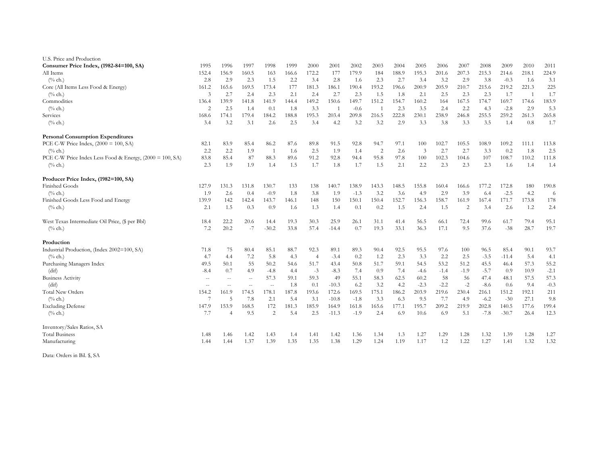| U.S. Price and Production                                |                |                |                          |                |       |                |                |        |                |       |                |        |                |        |         |                |        |
|----------------------------------------------------------|----------------|----------------|--------------------------|----------------|-------|----------------|----------------|--------|----------------|-------|----------------|--------|----------------|--------|---------|----------------|--------|
| Consumer Price Index, (1982-84=100, SA)                  | 1995           | 1996           | 1997                     | 1998           | 1999  | 2000           | 2001           | 2002   | 2003           | 2004  | 2005           | 2006   | 2007           | 2008   | 2009    | 2010           | 2011   |
| All Items                                                | 152.4          | 156.9          | 160.5                    | 163            | 166.6 | 172.2          | 177            | 179.9  | 184            | 188.9 | 195.3          | 201.6  | 207.3          | 215.3  | 214.6   | 218.1          | 224.9  |
| $(^{0}/_{0}$ ch.)                                        | 2.8            | 2.9            | 2.3                      | 1.5            | 2.2   | 3.4            | 2.8            | 1.6    | 2.3            | 2.7   | 3.4            | 3.2    | 2.9            | 3.8    | $-0.3$  | 1.6            | 3.1    |
| Core (All Items Less Food & Energy)                      | 161.2          | 165.6          | 169.5                    | 173.4          | 177   | 181.3          | 186.1          | 190.4  | 193.2          | 196.6 | 200.9          | 205.9  | 210.7          | 215.6  | 219.2   | 221.3          | 225    |
| $(\%$ ch.)                                               | 3              | 2.7            | 2.4                      | 2.3            | 2.1   | 2.4            | 2.7            | 2.3    | 1.5            | 1.8   | 2.1            | 2.5    | 2.3            | 2.3    | 1.7     | $\overline{1}$ | 1.7    |
| Commodities                                              | 136.4          | 139.9          | 141.8                    | 141.9          | 144.4 | 149.2          | 150.6          | 149.7  | 151.2          | 154.7 | 160.2          | 164    | 167.5          | 174.7  | 169.7   | 174.6          | 183.9  |
| $(\%$ ch.)                                               | $\overline{2}$ | 2.5            | 1.4                      | 0.1            | 1.8   | 3.3            | $\overline{1}$ | $-0.6$ | $\overline{1}$ | 2.3   | 3.5            | 2.4    | 2.2            | 4.3    | $-2.8$  | 2.9            | 5.3    |
| Services                                                 | 168.6          | 174.1          | 179.4                    | 184.2          | 188.8 | 195.3          | 203.4          | 209.8  | 216.5          | 222.8 | 230.1          | 238.9  | 246.8          | 255.5  | 259.2   | 261.3          | 265.8  |
| $(\%$ ch.)                                               | 3.4            | 3.2            | 3.1                      | 2.6            | 2.5   | 3.4            | 4.2            | 3.2    | 3.2            | 2.9   | 3.3            | 3.8    | 3.3            | 3.5    | 1.4     | 0.8            | 1.7    |
| <b>Personal Consumption Expenditures</b>                 |                |                |                          |                |       |                |                |        |                |       |                |        |                |        |         |                |        |
| PCE C-W Price Index, $(2000 = 100, SA)$                  | 82.1           | 83.9           | 85.4                     | 86.2           | 87.6  | 89.8           | 91.5           | 92.8   | 94.7           | 97.1  | 100            | 102.7  | 105.5          | 108.9  | 109.2   | 111.1          | 113.8  |
| $(\%$ ch.)                                               | 2.2            | 2.2            | 1.9                      | $\overline{1}$ | 1.6   | 2.5            | 1.9            | 1.4    | $\overline{2}$ | 2.6   | $\mathfrak{Z}$ | 2.7    | 2.7            | 3.3    | 0.2     | 1.8            | 2.5    |
| PCE C-W Price Index Less Food & Energy, (2000 = 100, SA) | 83.8           | 85.4           | 87                       | 88.3           | 89.6  | 91.2           | 92.8           | 94.4   | 95.8           | 97.8  | 100            | 102.3  | 104.6          | 107    | 108.7   | 110.2          | 111.8  |
| $(\%$ ch.)                                               | 2.3            | 1.9            | 1.9                      | 1.4            | 1.5   | 1.7            | 1.8            | 1.7    | 1.5            | 2.1   | 2.2            | 2.3    | 2.3            | 2.3    | 1.6     | 1.4            | 1.4    |
| Producer Price Index, (1982=100, SA)                     |                |                |                          |                |       |                |                |        |                |       |                |        |                |        |         |                |        |
| Finished Goods                                           | 127.9          | 131.3          | 131.8                    | 130.7          | 133   | 138            | 140.7          | 138.9  | 143.3          | 148.5 | 155.8          | 160.4  | 166.6          | 177.2  | 172.8   | 180            | 190.8  |
| $(\%$ ch.)                                               | 1.9            | 2.6            | 0.4                      | $-0.9$         | 1.8   | 3.8            | 1.9            | $-1.3$ | 3.2            | 3.6   | 4.9            | 2.9    | 3.9            | 6.4    | $-2.5$  | 4.2            | 6      |
| Finished Goods Less Food and Energy                      | 139.9          | 142            | 142.4                    | 143.7          | 146.1 | 148            | 150            | 150.1  | 150.4          | 152.7 | 156.3          | 158.7  | 161.9          | 167.4  | 171.7   | 173.8          | 178    |
| $(^{0}/_{0}$ ch.)                                        | 2.1            | 1.5            | 0.3                      | 0.9            | 1.6   | 1.3            | 1.4            | 0.1    | 0.2            | 1.5   | 2.4            | 1.5    | $\overline{2}$ | 3.4    | 2.6     | 1.2            | 2.4    |
| West Texas Intermediate Oil Price, (\$ per Bbl)          | 18.4           | 22.2           | 20.6                     | 14.4           | 19.3  | 30.3           | 25.9           | 26.1   | 31.1           | 41.4  | 56.5           | 66.1   | 72.4           | 99.6   | 61.7    | 79.4           | 95.1   |
| $(\%$ ch.)                                               | 7.2            | 20.2           | $-7$                     | $-30.2$        | 33.8  | 57.4           | $-14.4$        | 0.7    | 19.3           | 33.1  | 36.3           | 17.1   | 9.5            | 37.6   | $-38$   | 28.7           | 19.7   |
| Production                                               |                |                |                          |                |       |                |                |        |                |       |                |        |                |        |         |                |        |
| Industrial Production, (Index 2002=100, SA)              | 71.8           | 75             | 80.4                     | 85.1           | 88.7  | 92.3           | 89.1           | 89.3   | 90.4           | 92.5  | 95.5           | 97.6   | 100            | 96.5   | 85.4    | 90.1           | 93.7   |
| $(\%$ ch.)                                               | 4.7            | 4.4            | 7.2                      | 5.8            | 4.3   | $\overline{4}$ | $-3.4$         | 0.2    | 1.2            | 2.3   | 3.3            | 2.2    | 2.5            | $-3.5$ | $-11.4$ | 5.4            | 4.1    |
| Purchasing Managers Index                                | 49.5           | 50.1           | 55                       | 50.2           | 54.6  | 51.7           | 43.4           | 50.8   | 51.7           | 59.1  | 54.5           | 53.2   | 51.2           | 45.5   | 46.4    | 57.3           | 55.2   |
| (dif)                                                    | $-8.4$         | 0.7            | 4.9                      | $-4.8$         | 4.4   | $-3$           | $-8.3$         | 7.4    | 0.9            | 7.4   | $-4.6$         | $-1.4$ | $-1.9$         | $-5.7$ | 0.9     | 10.9           | $-2.1$ |
| <b>Business Activity</b>                                 | $\sim$ $\sim$  | $\sim$ $\sim$  | $\overline{\phantom{a}}$ | 57.3           | 59.1  | 59.3           | 49             | 55.1   | 58.3           | 62.5  | 60.2           | 58     | 56             | 47.4   | 48.1    | 57.5           | 57.3   |
| (dif)                                                    | $\sim$         | $-$            | $\sim$ $\sim$            | $\sim$ $\sim$  | 1.8   | 0.1            | $-10.3$        | 6.2    | 3.2            | 4.2   | $-2.3$         | $-2.2$ | $-2$           | $-8.6$ | 0.6     | 9.4            | $-0.3$ |
| <b>Total New Orders</b>                                  | 154.2          | 161.9          | 174.5                    | 178.1          | 187.8 | 193.6          | 172.6          | 169.5  | 175.1          | 186.2 | 203.9          | 219.6  | 230.4          | 216.1  | 151.2   | 192.1          | 211    |
| $(\%$ ch.)                                               | 7              | 5              | 7.8                      | 2.1            | 5.4   | 3.1            | $-10.8$        | $-1.8$ | 3.3            | 6.3   | 9.5            | 7.7    | 4.9            | $-6.2$ | $-30$   | 27.1           | 9.8    |
| <b>Excluding Defense</b>                                 | 147.9          | 153.9          | 168.5                    | 172            | 181.3 | 185.9          | 164.9          | 161.8  | 165.6          | 177.1 | 195.7          | 209.2  | 219.9          | 202.8  | 140.5   | 177.6          | 199.4  |
| $(^{0}/_{0}$ ch.)                                        | 7.7            | $\overline{4}$ | 9.5                      | $\overline{2}$ | 5.4   | 2.5            | $-11.3$        | $-1.9$ | 2.4            | 6.9   | 10.6           | 6.9    | 5.1            | $-7.8$ | $-30.7$ | 26.4           | 12.3   |
| Inventory/Sales Ratios, SA                               |                |                |                          |                |       |                |                |        |                |       |                |        |                |        |         |                |        |
| <b>Total Business</b>                                    | 1.48           | 1.46           | 1.42                     | 1.43           | 1.4   | 1.41           | 1.42           | 1.36   | 1.34           | 1.3   | 1.27           | 1.29   | 1.28           | 1.32   | 1.39    | 1.28           | 1.27   |
| Manufacturing                                            | 1.44           | 1.44           | 1.37                     | 1.39           | 1.35  | 1.35           | 1.38           | 1.29   | 1.24           | 1.19  | 1.17           | 1.2    | 1.22           | 1.27   | 1.41    | 1.32           | 1.32   |
|                                                          |                |                |                          |                |       |                |                |        |                |       |                |        |                |        |         |                |        |

Data: Orders in Bil. \$, SA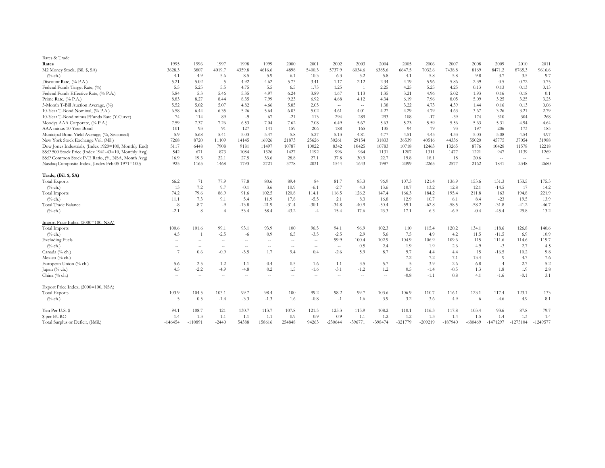| Rates & Trade                                        |                                                     |                                                       |                                                  |               |                          |         |                                               |                                                |                                                |         |           |           |           |           |            |            |                                                  |
|------------------------------------------------------|-----------------------------------------------------|-------------------------------------------------------|--------------------------------------------------|---------------|--------------------------|---------|-----------------------------------------------|------------------------------------------------|------------------------------------------------|---------|-----------|-----------|-----------|-----------|------------|------------|--------------------------------------------------|
| Rates                                                | 1995                                                | 1996                                                  | 1997                                             | 1998          | 1999                     | 2000    | 2001                                          | 2002                                           | 2003                                           | 2004    | 2005      | 2006      | 2007      | 2008      | 2009       | 2010       | 2011                                             |
| M2 Money Stock, (Bil. \$, SA)                        | 3628.3                                              | 3807                                                  | 4019.7                                           | 4359.8        | 4616.6                   | 4898    | 5400.3                                        | 5737.9                                         | 6034.6                                         | 6385.6  | 6647.5    | 7032.6    | 7438.8    | 8169      | 8471.2     | 8765.3     | 9616.6                                           |
| $(\%$ ch.)                                           | 4.1                                                 | 4.9                                                   | 5.6                                              | 8.5           | 5.9                      | 6.1     | 10.3                                          | 6.3                                            | 5.2                                            | 5.8     | 4.1       | 5.8       | 5.8       | 9.8       | 3.7        | 3.5        | 9.7                                              |
| Discount Rate, (% P.A.)                              | 5.21                                                | 5.02                                                  | 5                                                | 4.92          | 4.62                     | 5.73    | 3.41                                          | 1.17                                           | 2.12                                           | 2.34    | 4.19      | 5.96      | 5.86      | 2.39      | 0.5        | 0.72       | 0.75                                             |
| Federal Funds Target Rate, (%)                       | 5.5                                                 | 5.25                                                  | 5.5                                              | 4.75          | 5.5                      | 6.5     | 1.75                                          | 1.25                                           | -1                                             | 2.25    | 4.25      | 5.25      | 4.25      | 0.13      | 0.13       | 0.13       | 0.13                                             |
| Federal Funds Effective Rate, (% P.A.)               | 5.84                                                | 5.3                                                   | 5.46                                             | 5.35          | 4.97                     | 6.24    | 3.89                                          | 1.67                                           | 1.13                                           | 1.35    | 3.21      | 4.96      | 5.02      | 1.93      | 0.16       | 0.18       | 0.1                                              |
| Prime Rate, (% P.A.)                                 | 8.83                                                | 8.27                                                  | 8.44                                             | 8.35          | 7.99                     | 9.23    | 6.92                                          | 4.68                                           | 4.12                                           | 4.34    | 6.19      | 7.96      | 8.05      | 5.09      | 3.25       | 3.25       | 3.25                                             |
| 3-Month T-Bill Auction Average, (%)                  | 5.52                                                | 5.02                                                  | 5.07                                             | 4.82          | 4.66                     | 5.85    | 2.05                                          | $\hspace{0.1mm}-\hspace{0.1mm}-\hspace{0.1mm}$ | $\sim$ $\sim$                                  | 1.38    | 3.22      | 4.73      | 4.39      | 1.44      | 0.16       | 0.13       | 0.06                                             |
| 10-Year T-Bond Nominal, (% P.A.)                     | 6.58                                                | 6.44                                                  | 6.35                                             | 5.26          | 5.64                     | 6.03    | 5.02                                          | 4.61                                           | 4.01                                           | 4.27    | 4.29      | 4.79      | 4.63      | 3.67      | 3.26       | 3.21       | 2.79                                             |
| 10-Year T-Bond minus FFunds Rate (Y.Curve)           | 74                                                  | 114                                                   | 89                                               | $-9$          | 67                       | $-21$   | 113                                           | 294                                            | 289                                            | 293     | 108       | $-17$     | $-39$     | 174       | 310        | 304        | 268                                              |
| Moodys AAA Corporate, (% P.A.)                       | 7.59                                                | 7.37                                                  | 7.26                                             | 6.53          | 7.04                     | 7.62    | 7.08                                          | 6.49                                           | 5.67                                           | 5.63    | 5.23      | 5.59      | 5.56      | 5.63      | 5.31       | 4.94       | 4.64                                             |
| AAA minus 10-Year Bond                               | 101                                                 | -93                                                   | 91                                               | 127           | 141                      | 159     | 206                                           | 188                                            | 165                                            | 135     | 94        | 79        | 93        | 197       | 206        | 173        | 185                                              |
| Municipal Bond Yield Average, (%, Seasoned)          | 5.9                                                 | 5.68                                                  | 5.41                                             | 5.03          | 5.47                     | 5.8     | 5.27                                          | 5.13                                           | 4.81                                           | 4.77    | 4.51      | 4.45      | 4.33      | 5.03      | 5.08       | 4.54       | 4.97                                             |
| New York Stock Exchange Vol. (Mil.)                  | 7268                                                | 8720                                                  | 11109                                            | 14145         | 16926                    | 21873   | 25626                                         | 30261                                          | 29154                                          | 31833   | 36539     | 40516     | 44336     | 55020     | 45775      | 37054      | 31988                                            |
| Dow Jones Industrials, (Index 1920=100, Monthly End) | 5117                                                | 6448                                                  | 7908                                             | 9181          | 11497                    | 10787   | 10022                                         | 8342                                           | 10425                                          | 10783   | 10718     | 12463     | 13265     | 8776      | 10428      | 11578      | 12218                                            |
| S&P 500 Stock Price (Index 1941-43=10, Monthly Avg)  | 542                                                 | 671                                                   | 873                                              | 1084          | 1326                     | 1427    | 1192                                          | 996                                            | 964                                            | 1131    | 1207      | 1311      | 1477      | 1221      | 947        | 1139       | 1269                                             |
| S&P Common Stock P/E Ratio, (%, NSA, Month Avg)      | 16.9                                                | 19.3                                                  | 22.1                                             | 27.5          | 33.6                     | 28.8    | 27.1                                          | 37.8                                           | 30.9                                           | 22.7    | 19.8      | 18.1      | 18        | 20.6      | $\sim$     | $\sim$ $-$ | $\hspace{0.1em} -\hspace{0.1em} -\hspace{0.1em}$ |
| Nasdaq Composite Index, (Index Feb 05 1971=100)      | 925                                                 | 1165                                                  | 1468                                             | 1793          | 2721                     | 3778    | 2031                                          | 1544                                           | 1643                                           | 1987    | 2099      | 2265      | 2577      | 2162      | 1841       | 2348       | 2680                                             |
|                                                      |                                                     |                                                       |                                                  |               |                          |         |                                               |                                                |                                                |         |           |           |           |           |            |            |                                                  |
| Trade, (Bil. \$, SA)                                 |                                                     |                                                       |                                                  |               |                          |         |                                               |                                                |                                                |         |           |           |           |           |            |            |                                                  |
| <b>Total Exports</b>                                 | 66.2                                                | 71                                                    | 77.9                                             | 77.8          | 80.6                     | 89.4    | 84                                            | 81.7                                           | 85.3                                           | 96.9    | 107.3     | 121.4     | 136.9     | 153.6     | 131.3      | 153.5      | 175.3                                            |
| $(^{0}/_{0}$ ch.)                                    | 13                                                  | 7.2                                                   | 9.7                                              | $-0.1$        | 3.6                      | 10.9    | $-6.1$                                        | $-2.7$                                         | 4.3                                            | 13.6    | 10.7      | 13.2      | 12.8      | 12.1      | $-14.5$    | 17         | 14.2                                             |
| <b>Total Imports</b>                                 | 74.2                                                | 79.6                                                  | 86.9                                             | 91.6          | 102.5                    | 120.8   | 114.1                                         | 116.5                                          | 126.2                                          | 147.4   | 166.3     | 184.2     | 195.4     | 211.8     | 163        | 194.8      | 221.9                                            |
| $(%$ ch.)                                            | 11.1                                                | 7.3                                                   | 9.1                                              | 5.4           | 11.9                     | 17.8    | $-5.5$                                        | 2.1                                            | 8.3                                            | 16.8    | 12.9      | 10.7      | -6.1      | 8.4       | $-23$      | 19.5       | 13.9                                             |
| Total Trade Balance                                  | $\text{-}8$                                         | $-8.7$                                                | -9                                               | $-13.8$       | $-21.9$                  | $-31.4$ | $-30.1$                                       | $-34.8$                                        | $-40.9$                                        | $-50.4$ | $-59.1$   | $-62.8$   | $-58.5$   | $-58.2$   | $-31.8$    | $-41.2$    | $-46.7$                                          |
| $(^{0}/_{0}$ ch.)                                    | $-2.1$                                              | 8                                                     | $\overline{4}$                                   | 53.4          | 58.4                     | 43.2    | $-4$                                          | 15.4                                           | 17.6                                           | 23.3    | 17.1      | 6.3       | $-6.9$    | $-0.4$    | $-45.4$    | 29.8       | 13.2                                             |
| Import Price Index, (2000=100, NSA)                  |                                                     |                                                       |                                                  |               |                          |         |                                               |                                                |                                                |         |           |           |           |           |            |            |                                                  |
| <b>Total Imports</b>                                 | 100.6                                               | 101.6                                                 | 99.1                                             | 93.1          | 93.9                     | 100     | 96.5                                          | 94.1                                           | 96.9                                           | 102.3   | 110       | 115.4     | 120.2     | 134.1     | 118.6      | 126.8      | 140.6                                            |
| $(^{0}/_{0}$ ch.)                                    | 4.5                                                 | $\overline{1}$                                        | $-2.5$                                           | $-6$          | 0.9                      | 6.5     | $-3.5$                                        | $-2.5$                                         | 2.9                                            | 5.6     | 7.5       | 4.9       | 4.2       | 11.5      | $-11.5$    | 6.9        | 10.9                                             |
| <b>Excluding Fuels</b>                               | $\hspace{0.05cm} -\hspace{0.05cm} -\hspace{0.05cm}$ | $- -$                                                 | $\hspace{0.1em} -\hspace{0.1em} -\hspace{0.1em}$ | $\rightarrow$ | $\overline{\phantom{m}}$ | $--$    | $\mathord{\hspace{1pt}\text{--}\hspace{1pt}}$ | 99.9                                           | 100.4                                          | 102.9   | 104.9     | 106.9     | 109.6     | 115       | 111.6      | 114.6      | 119.7                                            |
| $(^{0}\!/_{0}$ ch.)                                  | $\hspace{0.05cm} -\hspace{0.05cm} -\hspace{0.05cm}$ | $\hspace{0.05cm} - \hspace{0.05cm} - \hspace{0.05cm}$ | $\hspace{0.1em} -\hspace{0.1em} -\hspace{0.1em}$ | $\rightarrow$ | $- \, -$                 | $--$    | $--$                                          | $\hspace{0.1mm}-\hspace{0.1mm}-\hspace{0.1mm}$ | 0.5                                            | 2.4     | 1.9       | 1.9       | 2.6       | 4.9       | $-3$       | 2.7        | 4.5                                              |
| Canada (% ch.)                                       | 7                                                   | 0.6                                                   | $-0.9$                                           | $-3.5$        | 1.7                      | 9.4     | 0.4                                           | $-2.6$                                         | 5.9                                            | 8.7     | 9.7       | 4.4       | 4.4       | 15        | $-16.5$    | 10.2       | 9.8                                              |
| Mexico (% ch.)                                       | $\sim$ $\sim$                                       | $- -$                                                 | $\sim$ $\sim$                                    | $--$          | $--$                     | $- -$   | $--$                                          | $- -$                                          | $\hspace{0.1mm}-\hspace{0.1mm}-\hspace{0.1mm}$ | $--$    | 7.2       | 7.2       | 7.1       | 13.4      | $-9$       | 4.7        | 7.6                                              |
| European Union (% ch.)                               | 5.6                                                 | 2.5                                                   | $-1.2$                                           | $-1.1$        | 0.4                      | 0.5     | $-1.6$                                        | 1.1                                            | 3.5                                            | 5.7     | 5         | 3.9       | 2.6       | 6.8       | $-4$       | 2.7        | 5.2                                              |
| Japan (% ch.)                                        | 4.5                                                 | $-2.2$                                                | $-4.9$                                           | $-4.8$        | 0.2                      | 1.5     | $-1.6$                                        | $-3.1$                                         | $-1.2$                                         | 1.2     | 0.5       | $-1.4$    | $-0.5$    | 1.3       | 1.8        | 1.9        | 2.8                                              |
| China (% ch.)                                        |                                                     |                                                       |                                                  |               |                          |         |                                               |                                                |                                                |         | $-0.8$    | $-1.1$    | 0.8       | 4.1       | $-1.6$     | $-0.1$     | 3.1                                              |
| Export Price Index, (2000=100, NSA)                  |                                                     |                                                       |                                                  |               |                          |         |                                               |                                                |                                                |         |           |           |           |           |            |            |                                                  |
| <b>Total Exports</b>                                 | 103.9                                               | 104.5                                                 | 103.1                                            | 99.7          | 98.4                     | 100     | 99.2                                          | 98.2                                           | 99.7                                           | 103.6   | 106.9     | 110.7     | 116.1     | 123.1     | 117.4      | 123.1      | 133                                              |
| $(^{0}/_{0}$ ch.)                                    | 5                                                   | 0.5                                                   | $-1.4$                                           | $-3.3$        | $-1.3$                   | 1.6     | $-0.8$                                        | $-1$                                           | 1.6                                            | 3.9     | 3.2       | 3.6       | 4.9       | 6         | $-4.6$     | 4.9        | 8.1                                              |
| Yen Per U.S. \$                                      | 94.1                                                | 108.7                                                 | 121                                              | 130.7         | 113.7                    | 107.8   | 121.5                                         | 125.3                                          | 115.9                                          | 108.2   | 110.1     | 116.3     | 117.8     | 103.4     | 93.6       | 87.8       | 79.7                                             |
| \$ per EURO                                          | 1.4                                                 | 1.3                                                   | 1.1                                              | 1.1           | -1.1                     | 0.9     | 0.9                                           | 0.9                                            | 1.1                                            | 1.2     | 1.2       | 1.3       | 1.4       | 1.5       | 1.4        | 1.3        | 1.4                                              |
| Total Surplus or Deficit, (\$Mil.)                   | $-146454$                                           | $-110891$                                             | $-2440$                                          | 54388         | 158616                   | 254848  | 94263                                         | $-230644$                                      | $-396771$                                      | -398474 | $-321779$ | $-209219$ | $-187940$ | $-680469$ | $-1471297$ | $-1275104$ | $-1249577$                                       |
|                                                      |                                                     |                                                       |                                                  |               |                          |         |                                               |                                                |                                                |         |           |           |           |           |            |            |                                                  |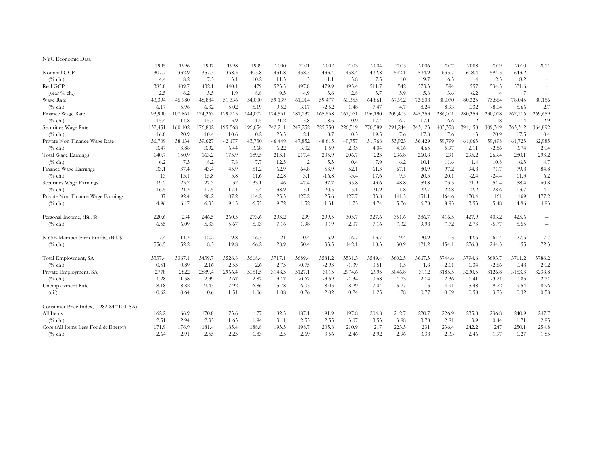| NYC Economic Data                       |         |         |         |         |         |         |                |         |         |         |         |         |          |         |          |         |                                                     |
|-----------------------------------------|---------|---------|---------|---------|---------|---------|----------------|---------|---------|---------|---------|---------|----------|---------|----------|---------|-----------------------------------------------------|
|                                         | 1995    | 1996    | 1997    | 1998    | 1999    | 2000    | 2001           | 2002    | 2003    | 2004    | 2005    | 2006    | 2007     | 2008    | 2009     | 2010    | 2011                                                |
| Nominal GCP                             | 307.7   | 332.9   | 357.3   | 368.3   | 405.8   | 451.8   | 438.3          | 433.4   | 458.4   | 492.8   | 542.1   | 594.9   | 633.7    | 608.4   | 594.3    | 643.2   | $-\!$                                               |
| $(^{0}/_{0}$ ch.)                       | 4.4     | 8.2     | 7.3     | 3.1     | 10.2    | 11.3    | $-3$           | $-1.1$  | 5.8     | 7.5     | 10      | 9.7     | 6.5      | $-4$    | $-2.3$   | 8.2     | $\hspace{0.05cm} \ldots$                            |
| Real GCP                                | 385.8   | 409.7   | 432.1   | 440.1   | 479     | 523.5   | 497.8          | 479.9   | 493.4   | 511.7   | 542     | 573.3   | 594      | 557     | 534.5    | 571.6   | $\hspace{0.05cm} -\hspace{0.05cm} -\hspace{0.05cm}$ |
| (year % ch.)                            | 2.5     | 6.2     | 5.5     | 1.9     | 8.8     | 9.3     | $-4.9$         | $-3.6$  | 2.8     | 3.7     | 5.9     | 5.8     | 3.6      | $-6.2$  | $-4$     |         | $\hspace{0.05cm} -\hspace{0.05cm} -\hspace{0.05cm}$ |
| Wage Rate                               | 43,394  | 45,980  | 48,884  | 51,336  | 54,000  | 59,139  | 61,014         | 59,477  | 60,355  | 64,861  | 67,912  | 73,508  | 80,070   | 80,325  | 73,864   | 78,045  | 80,156                                              |
| $(\%$ ch.)                              | 6.17    | 5.96    | 6.32    | 5.02    | 5.19    | 9.52    | 3.17           | $-2.52$ | 1.48    | 7.47    | 4.7     | 8.24    | 8.93     | 0.32    | $-8.04$  | 5.66    | 2.7                                                 |
| Finance Wage Rate                       | 93,990  | 107,861 | 124,363 | 129,215 | 144,072 | 174,561 | 181,137        | 165,568 | 167,061 | 196,190 | 209,405 | 245,253 | 286,001  | 280,353 | 230,018  | 262,116 | 269,659                                             |
| $(\%$ ch.)                              | 15.4    | 14.8    | 15.3    | 3.9     | 11.5    | 21.2    | 3.8            | $-8.6$  | 0.9     | 17.4    | 6.7     | 17.1    | 16.6     | $-2$    | $-18$    | 14      | 2.9                                                 |
| Securities Wage Rate                    | 132,451 | 160,102 | 176,802 | 195,568 | 196,054 | 242,211 | 247,252        | 225,750 | 226,519 | 270,589 | 291,244 | 343,123 | 403,358  | 391,158 | 309,319  | 363,312 | 364,892                                             |
| $(\%$ ch.)                              | 16.8    | 20.9    | 10.4    | 10.6    | 0.2     | 23.5    | 2.1            | $-8.7$  | 0.3     | 19.5    | 7.6     | 17.8    | 17.6     | $-3$    | $-20.9$  | 17.5    | 0.4                                                 |
| Private Non-Finance Wage Rate           | 36,709  | 38,134  | 39,627  | 42,177  | 43,730  | 46,449  | 47,852         | 48,615  | 49,757  | 51,768  | 53,923  | 56,429  | 59,799   | 61,063  | 59,498   | 61,723  | 62,985                                              |
| $(\%$ ch.)                              | 3.47    | 3.88    | 3.92    | 6.44    | 3.68    | 6.22    | 3.02           | 1.59    | 2.35    | 4.04    | 4.16    | 4.65    | 5.97     | 2.11    | $-2.56$  | 3.74    | 2.04                                                |
| Total Wage Earnings                     | 140.7   | 150.9   | 163.2   | 175.9   | 189.5   | 213.1   | 217.4          | 205.9   | 206.7   | 223     | 236.8   | 260.8   | 291      | 295.2   | 263.4    | 280.1   | 293.2                                               |
| $(\%$ ch.)                              | 6.2     | 7.3     | 8.2     | 7.8     | 7.7     | 12.5    | $\overline{2}$ | $-5.3$  | 0.4     | 7.9     | 6.2     | 10.1    | 11.6     | 1.4     | $-10.8$  | 6.3     | 4.7                                                 |
| Finance Wage Earnings                   | 33.1    | 37.4    | 43.4    | 45.9    | 51.2    | 62.9    | 64.8           | 53.9    | 52.1    | 61.3    | 67.1    | 80.9    | 97.2     | 94.8    | 71.7     | 79.8    | 84.8                                                |
| $(^{0}/_{0}$ ch.)                       | 13      | 13.1    | 15.8    | 5.8     | 11.6    | 22.8    | 3.1            | $-16.8$ | $-3.4$  | 17.6    | 9.5     | 20.5    | 20.1     | $-2.4$  | $-24.4$  | 11.3    | 6.2                                                 |
| Securities Wage Earnings                | 19.2    | 23.2    | 27.3    | 32      | 33.1    | 46      | 47.4           | 37.7    | 35.8    | 43.6    | 48.8    | 59.8    | 73.5     | 71.9    | 51.4     | 58.4    | 60.8                                                |
| $(\%$ ch.)                              | 16.5    | 21.3    | 17.5    | 17.1    | 3.4     | 38.9    | 3.1            | $-20.5$ | $-5.1$  | 21.9    | 11.8    | 22.7    | 22.8     | $-2.2$  | $-28.6$  | 13.7    | 4.1                                                 |
| Private Non-Finance Wage Earnings       | 87      | 92.4    | 98.2    | 107.2   | 114.2   | 125.3   | 127.2          | 125.6   | 127.7   | 133.8   | 141.5   | 151.1   | 164.6    | 170.4   | 161      | 169     | 177.2                                               |
| $(^{0}/_{0}$ ch.)                       | 4.96    | 6.17    | 6.33    | 9.15    | 6.55    | 9.72    | 1.52           | $-1.31$ | 1.73    | 4.74    | 5.76    | 6.78    | 8.93     | 3.53    | $-5.48$  | 4.96    | 4.83                                                |
| Personal Income, (Bil. \$)              | 220.6   | 234     | 246.5   | 260.5   | 273.6   | 293.2   | 299            | 299.5   | 305.7   | 327.6   | 351.6   | 386.7   | 416.5    | 427.9   | 403.2    | 425.6   | $\hspace{0.05cm} \dashv$                            |
| $(\%$ ch.)                              | 6.55    | 6.09    | 5.33    | 5.67    | 5.03    | 7.16    | 1.98           | 0.19    | 2.07    | 7.16    | 7.32    | 9.98    | 7.72     | 2.73    | $-5.77$  | 5.55    | $\hspace{0.05cm} \cdots$                            |
| NYSE Member-Firm Profits, (Bil. \$)     | 7.4     | 11.3    | 12.2    | 9.8     | 16.3    | 21      | 10.4           | 6.9     | 16.7    | 13.7    | 9.4     | 20.9    | $-11.3$  | $-42.6$ | 61.4     | 27.6    | 7.7                                                 |
| $(^{0}/_{0}$ ch.)                       | 556.5   | 52.2    | 8.3     | $-19.8$ | 66.2    | 28.9    | $-50.4$        | $-33.5$ | 142.1   | $-18.3$ | $-30.9$ | 121.2   | $-154.1$ | 276.8   | $-244.3$ | $-55$   | $-72.3$                                             |
| Total Employment, SA                    | 3337.4  | 3367.1  | 3439.7  | 3526.8  | 3618.4  | 3717.1  | 3689.4         | 3581.2  | 3531.3  | 3549.4  | 3602.5  | 3667.3  | 3744.6   | 3794.6  | 3693.7   | 3711.2  | 3786.2                                              |
| $(^{0}/_{0}$ ch.)                       | 0.51    | 0.89    | 2.16    | 2.53    | 2.6     | 2.73    | $-0.75$        | $-2.93$ | $-1.39$ | 0.51    | 1.5     | 1.8     | 2.11     | 1.34    | $-2.66$  | 0.48    | 2.02                                                |
| Private Employment, SA                  | 2778    | 2822    | 2889.4  | 2966.4  | 3051.5  | 3148.3  | 3127.1         | 3015    | 2974.6  | 2995    | 3046.8  | 3112    | 3185.5   | 3230.5  | 3126.8   | 3153.3  | 3238.8                                              |
| $(\%$ ch.)                              | 1.28    | 1.58    | 2.39    | 2.67    | 2.87    | 3.17    | $-0.67$        | $-3.59$ | $-1.34$ | 0.68    | 1.73    | 2.14    | 2.36     | 1.41    | $-3.21$  | 0.85    | 2.71                                                |
| Unemployment Rate                       | 8.18    | 8.82    | 9.43    | 7.92    | 6.86    | 5.78    | 6.03           | 8.05    | 8.29    | 7.04    | 5.77    | 5       | 4.91     | 5.48    | 9.22     | 9.54    | 8.96                                                |
| (dif)                                   | $-0.62$ | 0.64    | 0.6     | $-1.51$ | $-1.06$ | $-1.08$ | 0.26           | 2.02    | 0.24    | $-1.25$ | $-1.28$ | $-0.77$ | $-0.09$  | 0.58    | 3.73     | 0.32    | $-0.58$                                             |
| Consumer Price Index, (1982-84=100, SA) |         |         |         |         |         |         |                |         |         |         |         |         |          |         |          |         |                                                     |
| All Items                               | 162.2   | 166.9   | 170.8   | 173.6   | 177     | 182.5   | 187.1          | 191.9   | 197.8   | 204.8   | 212.7   | 220.7   | 226.9    | 235.8   | 236.8    | 240.9   | 247.7                                               |
| $(\%$ ch.)                              | 2.51    | 2.94    | 2.33    | 1.63    | 1.94    | 3.11    | 2.55           | 2.55    | 3.07    | 3.53    | 3.88    | 3.78    | 2.81     | 3.9     | 0.44     | 1.71    | 2.85                                                |
| Core (All Items Less Food & Energy)     | 171.9   | 176.9   | 181.4   | 185.4   | 188.8   | 193.5   | 198.7          | 205.8   | 210.9   | 217     | 223.5   | 231     | 236.4    | 242.2   | 247      | 250.1   | 254.8                                               |
| $(\%$ ch.)                              | 2.64    | 2.91    | 2.55    | 2.23    | 1.83    | 2.5     | 2.69           | 3.56    | 2.46    | 2.92    | 2.96    | 3.38    | 2.33     | 2.46    | 1.97     | 1.27    | 1.85                                                |